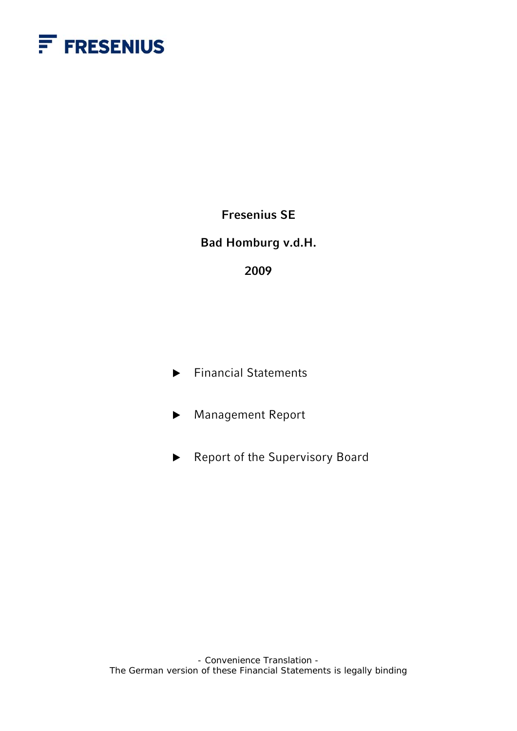

**Fresenius SE** 

**Bad Homburg v.d.H.** 

**2009** 

- $\blacktriangleright$  Financial Statements
- ▶ Management Report
- $\blacktriangleright$  Report of the Supervisory Board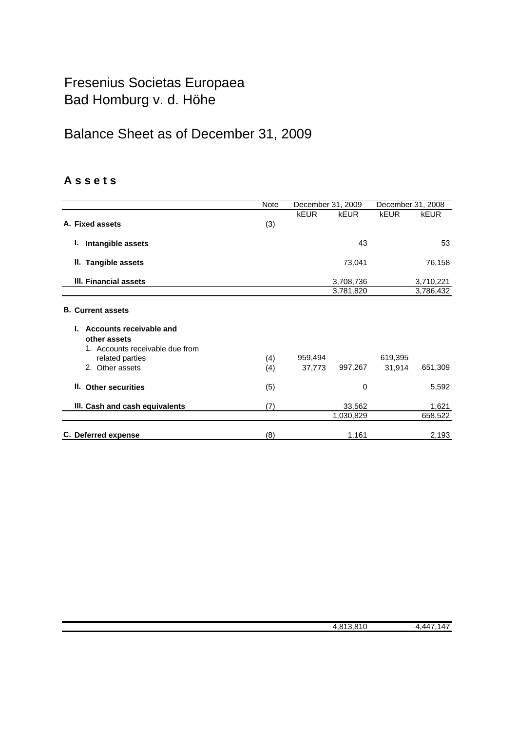## Fresenius Societas Europaea Bad Homburg v. d. Höhe

# Balance Sheet as of December 31, 2009

## **A s s e t s**

|                                                                                                                  | Note       | December 31, 2009 |                        | December 31, 2008 |                        |
|------------------------------------------------------------------------------------------------------------------|------------|-------------------|------------------------|-------------------|------------------------|
| A. Fixed assets                                                                                                  | (3)        | <b>kEUR</b>       | kEUR                   | <b>kEUR</b>       | <b>kEUR</b>            |
| L.<br>Intangible assets                                                                                          |            |                   | 43                     |                   | 53                     |
| II. Tangible assets                                                                                              |            |                   | 73,041                 |                   | 76,158                 |
| III. Financial assets                                                                                            |            |                   | 3,708,736<br>3,781,820 |                   | 3,710,221<br>3,786,432 |
| <b>B.</b> Current assets                                                                                         |            |                   |                        |                   |                        |
| Accounts receivable and<br>other assets<br>1. Accounts receivable due from<br>related parties<br>2. Other assets | (4)<br>(4) | 959,494<br>37,773 | 997,267                | 619,395<br>31,914 | 651,309                |
| II. Other securities                                                                                             | (5)        |                   | 0                      |                   | 5,592                  |
| III. Cash and cash equivalents                                                                                   | (7)        |                   | 33,562<br>1,030,829    |                   | 1,621<br>658,522       |
| C. Deferred expense                                                                                              | (8)        |                   | 1,161                  |                   | 2,193                  |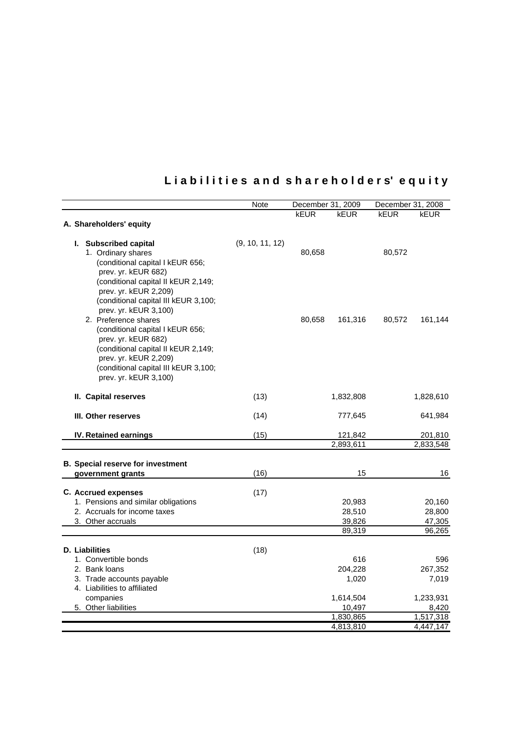# **L i a b i l i t i e s a n d s h a r e h o l d e r s' e q u i t y**

|                                                           | Note            | December 31, 2009 |                | December 31, 2008 |                |
|-----------------------------------------------------------|-----------------|-------------------|----------------|-------------------|----------------|
|                                                           |                 | kEUR              | kEUR           | kEUR              | kEUR           |
| A. Shareholders' equity                                   |                 |                   |                |                   |                |
|                                                           |                 |                   |                |                   |                |
| I. Subscribed capital                                     | (9, 10, 11, 12) |                   |                |                   |                |
| 1. Ordinary shares                                        |                 | 80,658            |                | 80,572            |                |
| (conditional capital I kEUR 656;                          |                 |                   |                |                   |                |
| prev. yr. kEUR 682)                                       |                 |                   |                |                   |                |
| (conditional capital II kEUR 2,149;                       |                 |                   |                |                   |                |
| prev. yr. kEUR 2,209)                                     |                 |                   |                |                   |                |
| (conditional capital III kEUR 3,100;                      |                 |                   |                |                   |                |
| prev. yr. kEUR 3,100)                                     |                 |                   |                |                   |                |
| 2. Preference shares                                      |                 | 80,658            | 161,316        | 80,572            | 161,144        |
| (conditional capital I kEUR 656;                          |                 |                   |                |                   |                |
| prev. yr. kEUR 682)                                       |                 |                   |                |                   |                |
| (conditional capital II kEUR 2,149;                       |                 |                   |                |                   |                |
| prev. yr. kEUR 2,209)                                     |                 |                   |                |                   |                |
| (conditional capital III kEUR 3,100;                      |                 |                   |                |                   |                |
| prev. yr. kEUR 3,100)                                     |                 |                   |                |                   |                |
| II. Capital reserves                                      | (13)            |                   | 1,832,808      |                   | 1,828,610      |
|                                                           |                 |                   |                |                   |                |
| III. Other reserves                                       | (14)            |                   | 777,645        |                   | 641,984        |
|                                                           |                 |                   |                |                   |                |
| IV. Retained earnings                                     | (15)            |                   | 121,842        |                   | 201,810        |
|                                                           |                 |                   | 2,893,611      |                   | 2,833,548      |
| <b>B.</b> Special reserve for investment                  |                 |                   |                |                   |                |
| government grants                                         | (16)            |                   | 15             |                   | 16             |
|                                                           |                 |                   |                |                   |                |
| <b>C.</b> Accrued expenses                                | (17)            |                   |                |                   |                |
| 1. Pensions and similar obligations                       |                 |                   | 20,983         |                   | 20,160         |
| 2. Accruals for income taxes                              |                 |                   | 28,510         |                   | 28,800         |
| 3. Other accruals                                         |                 |                   | 39,826         |                   | 47,305         |
|                                                           |                 |                   | 89,319         |                   | 96,265         |
|                                                           |                 |                   |                |                   |                |
| <b>D.</b> Liabilities<br>1. Convertible bonds             | (18)            |                   |                |                   |                |
| 2. Bank loans                                             |                 |                   | 616<br>204,228 |                   | 596<br>267,352 |
|                                                           |                 |                   | 1,020          |                   | 7,019          |
| 3. Trade accounts payable<br>4. Liabilities to affiliated |                 |                   |                |                   |                |
| companies                                                 |                 |                   | 1,614,504      |                   | 1,233,931      |
| 5. Other liabilities                                      |                 |                   | 10,497         |                   | 8,420          |
|                                                           |                 |                   | 1,830,865      |                   | 1,517,318      |
|                                                           |                 |                   | 4,813,810      |                   | 4,447,147      |
|                                                           |                 |                   |                |                   |                |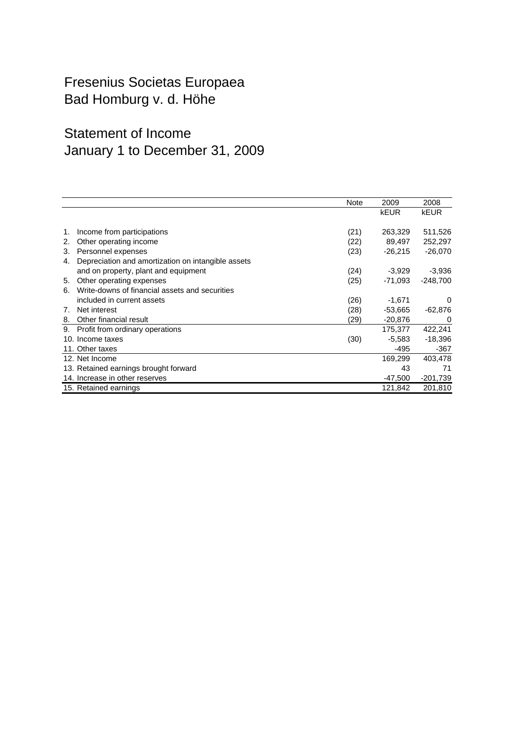## Fresenius Societas Europaea Bad Homburg v. d. Höhe

## Statement of Income January 1 to December 31, 2009

|    |                                                    | Note | 2009        | 2008        |
|----|----------------------------------------------------|------|-------------|-------------|
|    |                                                    |      | <b>kEUR</b> | <b>kEUR</b> |
|    |                                                    |      |             |             |
| 1. | Income from participations                         | (21) | 263,329     | 511,526     |
| 2. | Other operating income                             | (22) | 89,497      | 252,297     |
| З. | Personnel expenses                                 | (23) | $-26,215$   | $-26,070$   |
| 4. | Depreciation and amortization on intangible assets |      |             |             |
|    | and on property, plant and equipment               | (24) | $-3,929$    | $-3,936$    |
| 5. | Other operating expenses                           | (25) | -71,093     | $-248.700$  |
| 6. | Write-downs of financial assets and securities     |      |             |             |
|    | included in current assets                         | (26) | $-1,671$    | 0           |
| 7. | Net interest                                       | (28) | $-53,665$   | $-62,876$   |
| 8. | Other financial result                             | (29) | $-20,876$   | 0           |
| 9. | Profit from ordinary operations                    |      | 175,377     | 422,241     |
|    | 10. Income taxes                                   | (30) | $-5,583$    | $-18,396$   |
|    | 11. Other taxes                                    |      | -495        | -367        |
|    | 12. Net Income                                     |      | 169,299     | 403,478     |
|    | 13. Retained earnings brought forward              |      | 43          | 71          |
|    | 14. Increase in other reserves                     |      | $-47,500$   | $-201,739$  |
|    | 15. Retained earnings                              |      | 121,842     | 201,810     |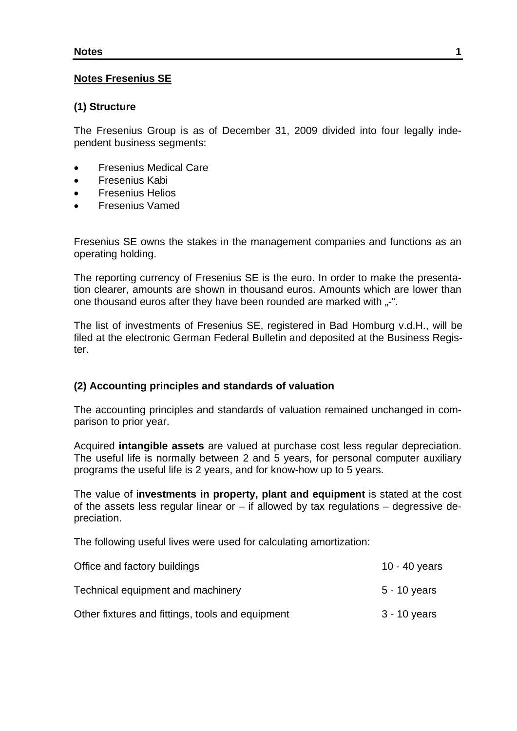#### **Notes Fresenius SE**

#### **(1) Structure**

The Fresenius Group is as of December 31, 2009 divided into four legally independent business segments:

- Fresenius Medical Care
- Fresenius Kabi
- Fresenius Helios
- Fresenius Vamed

Fresenius SE owns the stakes in the management companies and functions as an operating holding.

The reporting currency of Fresenius SE is the euro. In order to make the presentation clearer, amounts are shown in thousand euros. Amounts which are lower than one thousand euros after they have been rounded are marked with ..-".

The list of investments of Fresenius SE, registered in Bad Homburg v.d.H., will be filed at the electronic German Federal Bulletin and deposited at the Business Register.

#### **(2) Accounting principles and standards of valuation**

The accounting principles and standards of valuation remained unchanged in comparison to prior year.

Acquired **intangible assets** are valued at purchase cost less regular depreciation. The useful life is normally between 2 and 5 years, for personal computer auxiliary programs the useful life is 2 years, and for know-how up to 5 years.

The value of i**nvestments in property, plant and equipment** is stated at the cost of the assets less regular linear or  $-$  if allowed by tax regulations  $-$  degressive depreciation.

The following useful lives were used for calculating amortization:

| Office and factory buildings                     | 10 - 40 years  |
|--------------------------------------------------|----------------|
| Technical equipment and machinery                | $5 - 10$ years |
| Other fixtures and fittings, tools and equipment | $3 - 10$ years |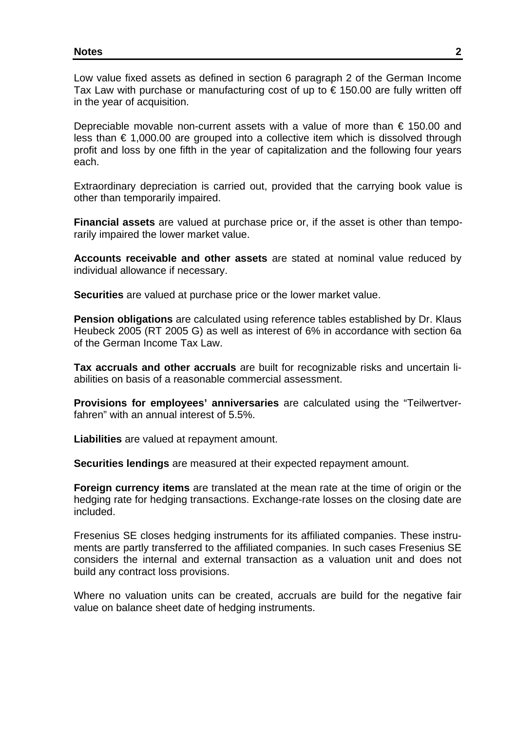Low value fixed assets as defined in section 6 paragraph 2 of the German Income Tax Law with purchase or manufacturing cost of up to  $\epsilon$  150.00 are fully written off in the year of acquisition.

Depreciable movable non-current assets with a value of more than  $\epsilon$  150.00 and less than € 1,000.00 are grouped into a collective item which is dissolved through profit and loss by one fifth in the year of capitalization and the following four years each.

Extraordinary depreciation is carried out, provided that the carrying book value is other than temporarily impaired.

**Financial assets** are valued at purchase price or, if the asset is other than temporarily impaired the lower market value.

**Accounts receivable and other assets** are stated at nominal value reduced by individual allowance if necessary.

**Securities** are valued at purchase price or the lower market value.

**Pension obligations** are calculated using reference tables established by Dr. Klaus Heubeck 2005 (RT 2005 G) as well as interest of 6% in accordance with section 6a of the German Income Tax Law.

**Tax accruals and other accruals** are built for recognizable risks and uncertain liabilities on basis of a reasonable commercial assessment.

**Provisions for employees' anniversaries** are calculated using the "Teilwertverfahren" with an annual interest of 5.5%.

**Liabilities** are valued at repayment amount.

**Securities lendings** are measured at their expected repayment amount.

**Foreign currency items** are translated at the mean rate at the time of origin or the hedging rate for hedging transactions. Exchange-rate losses on the closing date are included.

Fresenius SE closes hedging instruments for its affiliated companies. These instruments are partly transferred to the affiliated companies. In such cases Fresenius SE considers the internal and external transaction as a valuation unit and does not build any contract loss provisions.

Where no valuation units can be created, accruals are build for the negative fair value on balance sheet date of hedging instruments.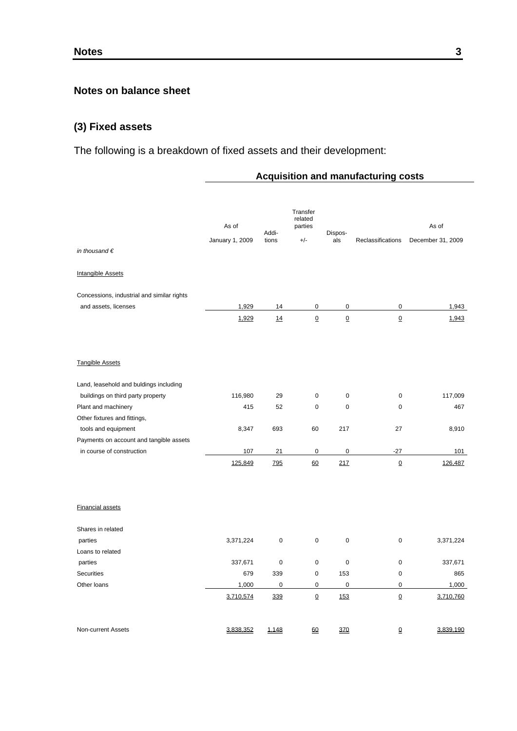## **Notes on balance sheet**

## **(3) Fixed assets**

The following is a breakdown of fixed assets and their development:

### **Acquisition and manufacturing costs**

| in thousand $\epsilon$                     | As of<br>January 1, 2009 | Addi-<br>tions | Transfer<br>related<br>parties<br>$+/-$ | Dispos-<br>als  | Reclassifications | As of<br>December 31, 2009 |
|--------------------------------------------|--------------------------|----------------|-----------------------------------------|-----------------|-------------------|----------------------------|
| <b>Intangible Assets</b>                   |                          |                |                                         |                 |                   |                            |
| Concessions, industrial and similar rights |                          |                |                                         |                 |                   |                            |
| and assets, licenses                       | 1,929                    | 14             | 0                                       | 0               | $\pmb{0}$         | 1,943                      |
|                                            | 1,929                    | 14             | $\underline{0}$                         | $\underline{0}$ | $\underline{0}$   | 1,943                      |
| <b>Tangible Assets</b>                     |                          |                |                                         |                 |                   |                            |
| Land, leasehold and buldings including     |                          |                |                                         |                 |                   |                            |
| buildings on third party property          | 116,980                  | 29             | 0                                       | $\pmb{0}$       | 0                 | 117,009                    |
| Plant and machinery                        | 415                      | 52             | $\mathbf 0$                             | $\mathbf 0$     | 0                 | 467                        |
| Other fixtures and fittings,               |                          |                |                                         |                 |                   |                            |
| tools and equipment                        | 8,347                    | 693            | 60                                      | 217             | 27                | 8,910                      |
| Payments on account and tangible assets    |                          |                |                                         |                 |                   |                            |
| in course of construction                  | 107                      | 21             | $\mathbf 0$                             | $\mathbf 0$     | $-27$             | 101                        |
|                                            | 125,849                  | 795            | 60                                      | 217             | $\mathbf 0$       | 126,487                    |
| <b>Financial assets</b>                    |                          |                |                                         |                 |                   |                            |
| Shares in related                          |                          |                |                                         |                 |                   |                            |
| parties                                    | 3,371,224                | $\pmb{0}$      | $\mathbf 0$                             | $\mathbf 0$     | 0                 | 3,371,224                  |
| Loans to related                           |                          |                |                                         |                 |                   |                            |
| parties                                    | 337,671                  | 0              | $\mathbf 0$                             | $\mathbf 0$     | 0                 | 337,671                    |
| <b>Securities</b>                          | 679                      | 339            | $\pmb{0}$                               | 153             | 0                 | 865                        |
| Other loans                                | 1,000                    | 0              | $\pmb{0}$                               | $\mathbf 0$     | $\pmb{0}$         | 1,000                      |
|                                            | 3,710,574                | 339            | $\underline{0}$                         | 153             | $\underline{0}$   | 3,710,760                  |
| Non-current Assets                         | 3,838,352                | 1,148          | 60                                      | 370             | 0                 | 3,839,190                  |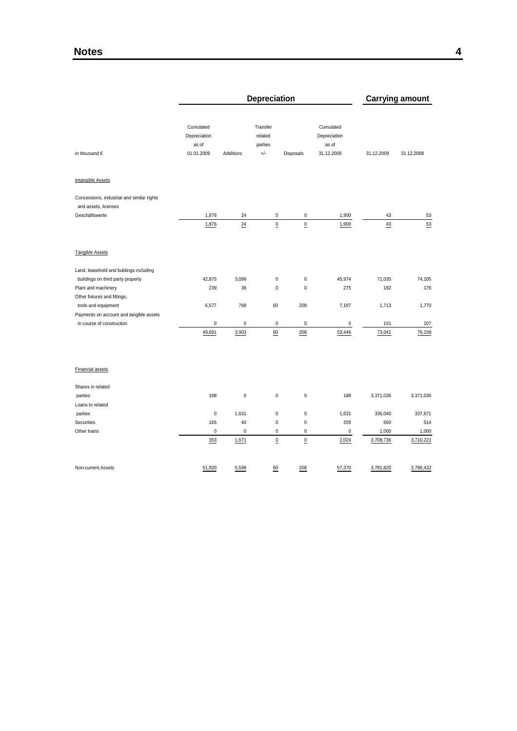|                                                                    | Depreciation                                     |                 |                                         |                 |                                                  |            | <b>Carrying amount</b> |
|--------------------------------------------------------------------|--------------------------------------------------|-----------------|-----------------------------------------|-----------------|--------------------------------------------------|------------|------------------------|
| in thousand $\epsilon$                                             | Cumulated<br>Depreciation<br>as of<br>01.01.2009 | Additions       | Transfer<br>related<br>parties<br>$+/-$ | Disposals       | Cumulated<br>Depreciation<br>as of<br>31.12.2009 | 31.12.2009 | 31.12.2008             |
| <b>Intangible Assets</b>                                           |                                                  |                 |                                         |                 |                                                  |            |                        |
| Concessions, industrial and similar rights<br>and assets, licenses |                                                  |                 |                                         |                 |                                                  |            |                        |
| Geschäftswerte                                                     | 1,876                                            | 24              | 0                                       | $\pmb{0}$       | 1,900                                            | 43         | 53                     |
|                                                                    | 1,876                                            | $\overline{24}$ | $\overline{\mathbf{0}}$                 | $\underline{0}$ | 1,900                                            | 43         | 53                     |
| <b>Tangible Assets</b>                                             |                                                  |                 |                                         |                 |                                                  |            |                        |
| Land, leasehold and buldings including                             |                                                  |                 |                                         |                 |                                                  |            |                        |
| buildings on third party property                                  | 42,875                                           | 3,099           | $\mathbf 0$                             | $\pmb{0}$       | 45,974                                           | 71,035     | 74,105                 |
| Plant and machinery                                                | 239                                              | 36              | 0                                       | $\mathbf 0$     | 275                                              | 192        | 176                    |
| Other fixtures and fittings,                                       |                                                  |                 |                                         |                 |                                                  |            |                        |
| tools and equipment                                                | 6,577                                            | 768             | 60                                      | 208             | 7,197                                            | 1,713      | 1,770                  |
| Payments on account and tangible assets                            |                                                  |                 |                                         |                 |                                                  |            |                        |
| in course of construction                                          | $\pmb{0}$                                        | 0               | 0                                       | $\pmb{0}$       | $\pmb{0}$                                        | 101        | 107                    |
|                                                                    | 49,691                                           | 3,903           | 60                                      | 208             | 53,446                                           | 73,041     | 76,158                 |
| <b>Financial assets</b>                                            |                                                  |                 |                                         |                 |                                                  |            |                        |
| Shares in related                                                  |                                                  |                 |                                         |                 |                                                  |            |                        |
| parties                                                            | 188                                              | $\pmb{0}$       | 0                                       | $\pmb{0}$       | 188                                              | 3,371,036  | 3,371,036              |
| Loans to related                                                   |                                                  |                 |                                         |                 |                                                  |            |                        |
| parties                                                            | $\pmb{0}$                                        | 1,631           | 0                                       | $\pmb{0}$       | 1,631                                            | 336,040    | 337,671                |
| Securities                                                         | 165                                              | 40              | 0                                       | $\pmb{0}$       | 205                                              | 660        | 514                    |
| Other loans                                                        | $\pmb{0}$                                        | $\pmb{0}$       | 0                                       | 0               | $\pmb{0}$                                        | 1,000      | 1,000                  |
|                                                                    | 353                                              | 1,671           | $\overline{0}$                          | $\underline{0}$ | 2,024                                            | 3,708,736  | 3,710,221              |
| Non-current Assets                                                 | 51,920                                           | 5,598           | 60                                      | 208             | 57,370                                           | 3,781,820  | 3,786,432              |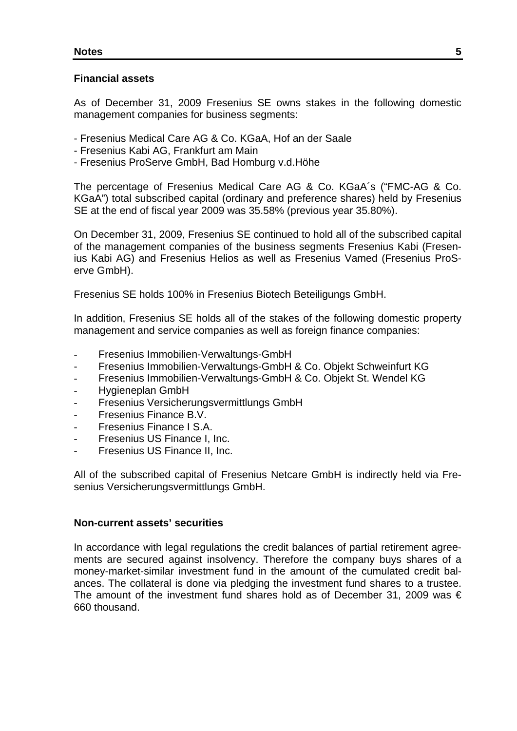#### **Financial assets**

As of December 31, 2009 Fresenius SE owns stakes in the following domestic management companies for business segments:

- Fresenius Medical Care AG & Co. KGaA, Hof an der Saale
- Fresenius Kabi AG, Frankfurt am Main
- Fresenius ProServe GmbH, Bad Homburg v.d.Höhe

The percentage of Fresenius Medical Care AG & Co. KGaA´s ("FMC-AG & Co. KGaA") total subscribed capital (ordinary and preference shares) held by Fresenius SE at the end of fiscal year 2009 was 35.58% (previous year 35.80%).

On December 31, 2009, Fresenius SE continued to hold all of the subscribed capital of the management companies of the business segments Fresenius Kabi (Fresenius Kabi AG) and Fresenius Helios as well as Fresenius Vamed (Fresenius ProServe GmbH).

Fresenius SE holds 100% in Fresenius Biotech Beteiligungs GmbH.

In addition, Fresenius SE holds all of the stakes of the following domestic property management and service companies as well as foreign finance companies:

- Fresenius Immobilien-Verwaltungs-GmbH
- Fresenius Immobilien-Verwaltungs-GmbH & Co. Objekt Schweinfurt KG
- Fresenius Immobilien-Verwaltungs-GmbH & Co. Objekt St. Wendel KG
- Hygieneplan GmbH
- Fresenius Versicherungsvermittlungs GmbH
- Fresenius Finance B.V.
- Fresenius Finance I S.A.
- Fresenius US Finance I, Inc.
- Fresenius US Finance II, Inc.

All of the subscribed capital of Fresenius Netcare GmbH is indirectly held via Fresenius Versicherungsvermittlungs GmbH.

#### **Non-current assets' securities**

In accordance with legal regulations the credit balances of partial retirement agreements are secured against insolvency. Therefore the company buys shares of a money-market-similar investment fund in the amount of the cumulated credit balances. The collateral is done via pledging the investment fund shares to a trustee. The amount of the investment fund shares hold as of December 31, 2009 was  $\epsilon$ 660 thousand.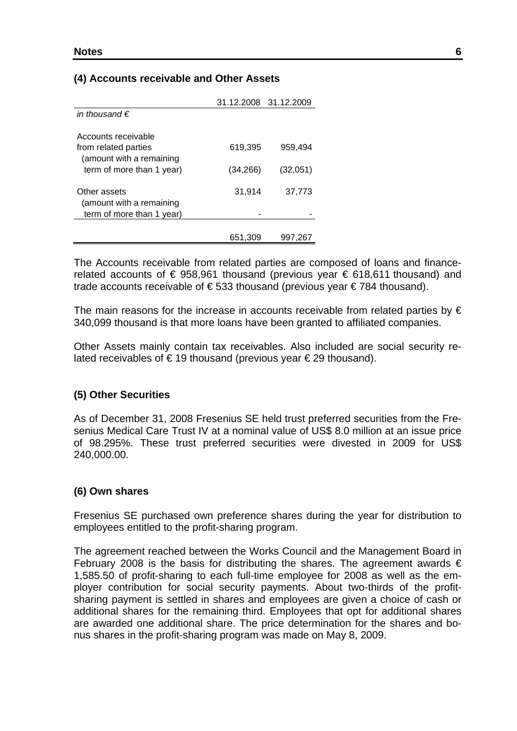### **(4) Accounts receivable and Other Assets**

| 31.12.2008 31.12.2009 |          |
|-----------------------|----------|
|                       |          |
|                       |          |
|                       |          |
| 619,395               | 959,494  |
|                       |          |
|                       | (32,051) |
|                       |          |
| 31,914                | 37,773   |
|                       |          |
|                       |          |
|                       |          |
| 651,309               | 997,267  |
|                       | (34,266) |

The Accounts receivable from related parties are composed of loans and financerelated accounts of  $\epsilon$  958,961 thousand (previous year  $\epsilon$  618,611 thousand) and trade accounts receivable of € 533 thousand (previous year € 784 thousand).

The main reasons for the increase in accounts receivable from related parties by  $\epsilon$ 340,099 thousand is that more loans have been granted to affiliated companies.

Other Assets mainly contain tax receivables. Also included are social security related receivables of €19 thousand (previous year €29 thousand).

#### **(5) Other Securities**

As of December 31, 2008 Fresenius SE held trust preferred securities from the Fresenius Medical Care Trust IV at a nominal value of US\$ 8.0 million at an issue price of 98.295%. These trust preferred securities were divested in 2009 for US\$ 240,000.00.

#### **(6) Own shares**

Fresenius SE purchased own preference shares during the year for distribution to employees entitled to the profit-sharing program.

The agreement reached between the Works Council and the Management Board in February 2008 is the basis for distributing the shares. The agreement awards  $\epsilon$ 1,585.50 of profit-sharing to each full-time employee for 2008 as well as the employer contribution for social security payments. About two-thirds of the profitsharing payment is settled in shares and employees are given a choice of cash or additional shares for the remaining third. Employees that opt for additional shares are awarded one additional share. The price determination for the shares and bonus shares in the profit-sharing program was made on May 8, 2009.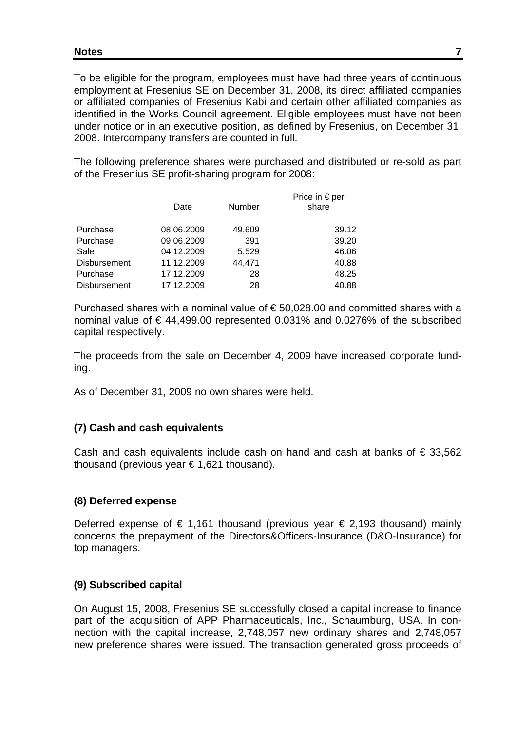To be eligible for the program, employees must have had three years of continuous employment at Fresenius SE on December 31, 2008, its direct affiliated companies or affiliated companies of Fresenius Kabi and certain other affiliated companies as identified in the Works Council agreement. Eligible employees must have not been under notice or in an executive position, as defined by Fresenius, on December 31, 2008. Intercompany transfers are counted in full.

The following preference shares were purchased and distributed or re-sold as part of the Fresenius SE profit-sharing program for 2008:

|                     | Date       | <b>Number</b> | Price in $\epsilon$ per<br>share |
|---------------------|------------|---------------|----------------------------------|
|                     |            |               |                                  |
| Purchase            | 08.06.2009 | 49,609        | 39.12                            |
| Purchase            | 09.06.2009 | 391           | 39.20                            |
| Sale                | 04.12.2009 | 5,529         | 46.06                            |
| <b>Disbursement</b> | 11.12.2009 | 44,471        | 40.88                            |
| Purchase            | 17.12.2009 | 28            | 48.25                            |
| <b>Disbursement</b> | 17.12.2009 | 28            | 40.88                            |

Purchased shares with a nominal value of  $\epsilon$  50,028.00 and committed shares with a nominal value of € 44,499.00 represented 0.031% and 0.0276% of the subscribed capital respectively.

The proceeds from the sale on December 4, 2009 have increased corporate funding.

As of December 31, 2009 no own shares were held.

### **(7) Cash and cash equivalents**

Cash and cash equivalents include cash on hand and cash at banks of  $\epsilon$  33,562 thousand (previous year € 1,621 thousand).

### **(8) Deferred expense**

Deferred expense of € 1,161 thousand (previous year € 2,193 thousand) mainly concerns the prepayment of the Directors&Officers-Insurance (D&O-Insurance) for top managers.

### **(9) Subscribed capital**

On August 15, 2008, Fresenius SE successfully closed a capital increase to finance part of the acquisition of APP Pharmaceuticals, Inc., Schaumburg, USA. In connection with the capital increase, 2,748,057 new ordinary shares and 2,748,057 new preference shares were issued. The transaction generated gross proceeds of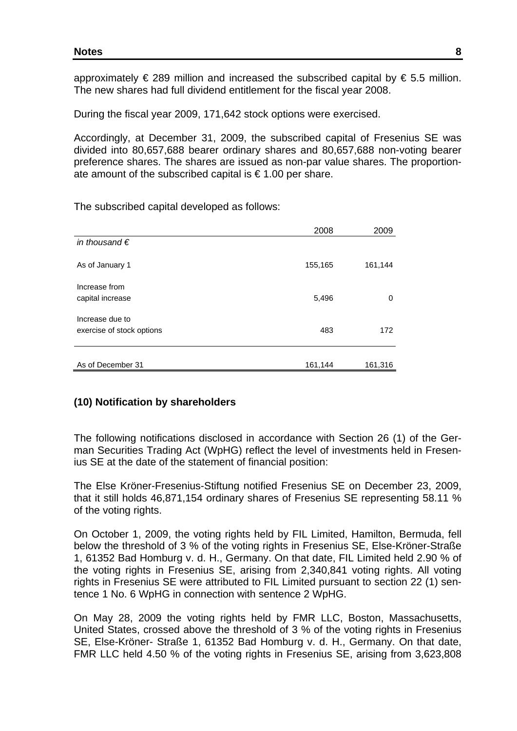approximately  $\epsilon$  289 million and increased the subscribed capital by  $\epsilon$  5.5 million. The new shares had full dividend entitlement for the fiscal year 2008.

During the fiscal year 2009, 171,642 stock options were exercised.

Accordingly, at December 31, 2009, the subscribed capital of Fresenius SE was divided into 80,657,688 bearer ordinary shares and 80,657,688 non-voting bearer preference shares. The shares are issued as non-par value shares. The proportionate amount of the subscribed capital is  $\epsilon$  1.00 per share.

The subscribed capital developed as follows:

|                           | 2008    | 2009    |
|---------------------------|---------|---------|
| in thousand $\epsilon$    |         |         |
| As of January 1           | 155,165 | 161,144 |
| Increase from             |         |         |
| capital increase          | 5,496   | 0       |
| Increase due to           |         |         |
| exercise of stock options | 483     | 172     |
|                           |         |         |
| As of December 31         | 161,144 | 161,316 |

#### **(10) Notification by shareholders**

The following notifications disclosed in accordance with Section 26 (1) of the German Securities Trading Act (WpHG) reflect the level of investments held in Fresenius SE at the date of the statement of financial position:

The Else Kröner-Fresenius-Stiftung notified Fresenius SE on December 23, 2009, that it still holds 46,871,154 ordinary shares of Fresenius SE representing 58.11 % of the voting rights.

On October 1, 2009, the voting rights held by FIL Limited, Hamilton, Bermuda, fell below the threshold of 3 % of the voting rights in Fresenius SE, Else-Kröner-Straße 1, 61352 Bad Homburg v. d. H., Germany. On that date, FIL Limited held 2.90 % of the voting rights in Fresenius SE, arising from 2,340,841 voting rights. All voting rights in Fresenius SE were attributed to FIL Limited pursuant to section 22 (1) sentence 1 No. 6 WpHG in connection with sentence 2 WpHG.

On May 28, 2009 the voting rights held by FMR LLC, Boston, Massachusetts, United States, crossed above the threshold of 3 % of the voting rights in Fresenius SE, Else-Kröner- Straße 1, 61352 Bad Homburg v. d. H., Germany. On that date, FMR LLC held 4.50 % of the voting rights in Fresenius SE, arising from 3,623,808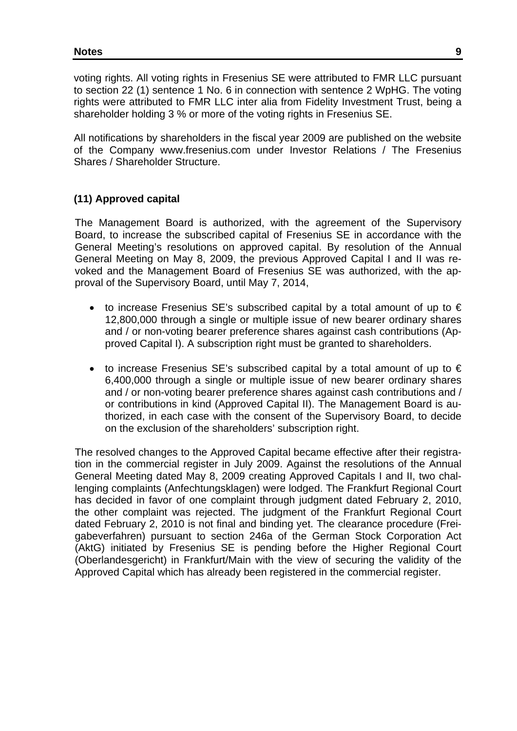voting rights. All voting rights in Fresenius SE were attributed to FMR LLC pursuant to section 22 (1) sentence 1 No. 6 in connection with sentence 2 WpHG. The voting rights were attributed to FMR LLC inter alia from Fidelity Investment Trust, being a shareholder holding 3 % or more of the voting rights in Fresenius SE.

All notifications by shareholders in the fiscal year 2009 are published on the website of the Company www.fresenius.com under Investor Relations / The Fresenius Shares / Shareholder Structure.

### **(11) Approved capital**

The Management Board is authorized, with the agreement of the Supervisory Board, to increase the subscribed capital of Fresenius SE in accordance with the General Meeting's resolutions on approved capital. By resolution of the Annual General Meeting on May 8, 2009, the previous Approved Capital I and II was revoked and the Management Board of Fresenius SE was authorized, with the approval of the Supervisory Board, until May 7, 2014,

- to increase Fresenius SE's subscribed capital by a total amount of up to  $\epsilon$ 12,800,000 through a single or multiple issue of new bearer ordinary shares and / or non-voting bearer preference shares against cash contributions (Approved Capital I). A subscription right must be granted to shareholders.
- to increase Fresenius SE's subscribed capital by a total amount of up to  $\epsilon$ 6,400,000 through a single or multiple issue of new bearer ordinary shares and / or non-voting bearer preference shares against cash contributions and / or contributions in kind (Approved Capital II). The Management Board is authorized, in each case with the consent of the Supervisory Board, to decide on the exclusion of the shareholders' subscription right.

The resolved changes to the Approved Capital became effective after their registration in the commercial register in July 2009. Against the resolutions of the Annual General Meeting dated May 8, 2009 creating Approved Capitals I and II, two challenging complaints (Anfechtungsklagen) were lodged. The Frankfurt Regional Court has decided in favor of one complaint through judgment dated February 2, 2010, the other complaint was rejected. The judgment of the Frankfurt Regional Court dated February 2, 2010 is not final and binding yet. The clearance procedure (Freigabeverfahren) pursuant to section 246a of the German Stock Corporation Act (AktG) initiated by Fresenius SE is pending before the Higher Regional Court (Oberlandesgericht) in Frankfurt/Main with the view of securing the validity of the Approved Capital which has already been registered in the commercial register.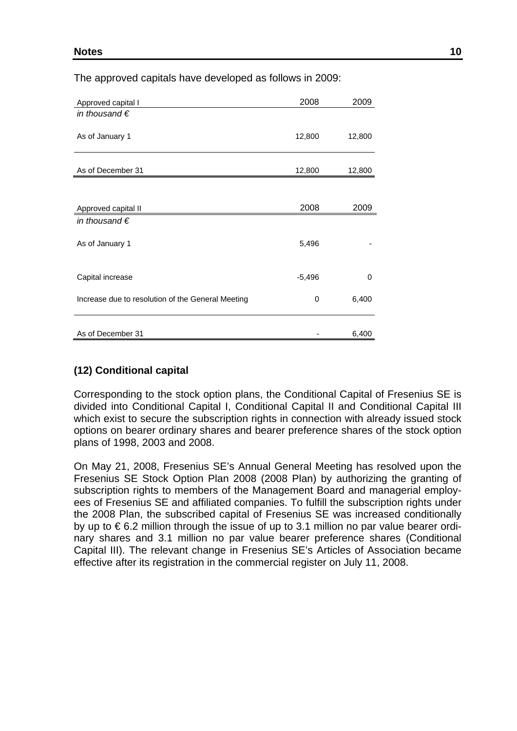| Approved capital I                                | 2008     | 2009     |
|---------------------------------------------------|----------|----------|
| in thousand $\epsilon$                            |          |          |
| As of January 1                                   | 12,800   | 12,800   |
| As of December 31                                 | 12,800   | 12,800   |
|                                                   |          |          |
| Approved capital II                               | 2008     | 2009     |
| in thousand $\epsilon$                            |          |          |
| As of January 1                                   | 5,496    |          |
| Capital increase                                  | $-5,496$ | $\Omega$ |
| Increase due to resolution of the General Meeting | 0        | 6,400    |
|                                                   |          |          |
| As of December 31                                 |          | 6,400    |

The approved capitals have developed as follows in 2009:

## **(12) Conditional capital**

Corresponding to the stock option plans, the Conditional Capital of Fresenius SE is divided into Conditional Capital I, Conditional Capital II and Conditional Capital III which exist to secure the subscription rights in connection with already issued stock options on bearer ordinary shares and bearer preference shares of the stock option plans of 1998, 2003 and 2008.

On May 21, 2008, Fresenius SE's Annual General Meeting has resolved upon the Fresenius SE Stock Option Plan 2008 (2008 Plan) by authorizing the granting of subscription rights to members of the Management Board and managerial employees of Fresenius SE and affiliated companies. To fulfill the subscription rights under the 2008 Plan, the subscribed capital of Fresenius SE was increased conditionally by up to € 6.2 million through the issue of up to 3.1 million no par value bearer ordinary shares and 3.1 million no par value bearer preference shares (Conditional Capital III). The relevant change in Fresenius SE's Articles of Association became effective after its registration in the commercial register on July 11, 2008.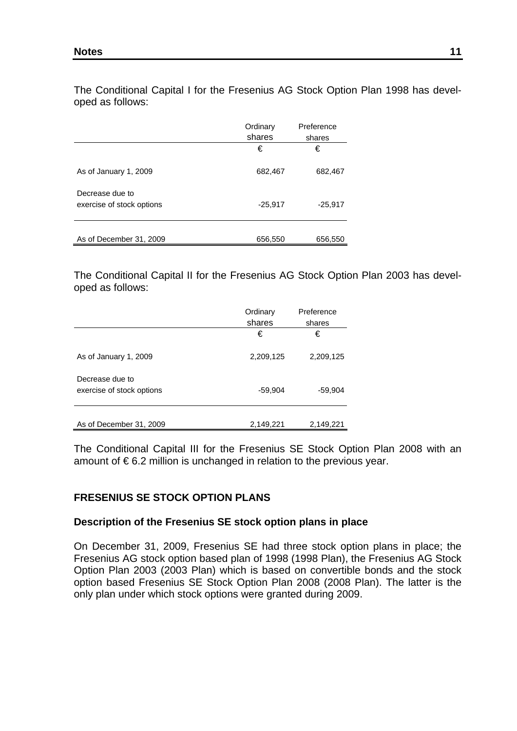The Conditional Capital I for the Fresenius AG Stock Option Plan 1998 has developed as follows:

|                                              | Ordinary<br>shares | Preference<br>shares |
|----------------------------------------------|--------------------|----------------------|
|                                              | €                  | €                    |
| As of January 1, 2009                        | 682,467            | 682,467              |
| Decrease due to<br>exercise of stock options | $-25,917$          | $-25,917$            |
| As of December 31, 2009                      | 656,550            | 656,550              |

The Conditional Capital II for the Fresenius AG Stock Option Plan 2003 has developed as follows:

|                                              | Ordinary<br>shares | Preference<br>shares |
|----------------------------------------------|--------------------|----------------------|
|                                              | €                  | €                    |
| As of January 1, 2009                        | 2,209,125          | 2,209,125            |
| Decrease due to<br>exercise of stock options | $-59,904$          | $-59,904$            |
| As of December 31, 2009                      | 2,149,221          | 2,149,221            |

The Conditional Capital III for the Fresenius SE Stock Option Plan 2008 with an amount of  $\epsilon$  6.2 million is unchanged in relation to the previous year.

## **FRESENIUS SE STOCK OPTION PLANS**

#### **Description of the Fresenius SE stock option plans in place**

On December 31, 2009, Fresenius SE had three stock option plans in place; the Fresenius AG stock option based plan of 1998 (1998 Plan), the Fresenius AG Stock Option Plan 2003 (2003 Plan) which is based on convertible bonds and the stock option based Fresenius SE Stock Option Plan 2008 (2008 Plan). The latter is the only plan under which stock options were granted during 2009.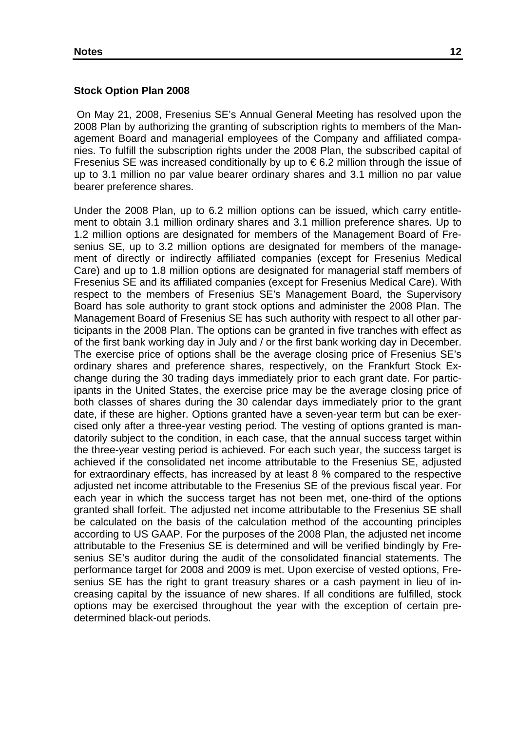#### **Stock Option Plan 2008**

On May 21, 2008, Fresenius SE's Annual General Meeting has resolved upon the 2008 Plan by authorizing the granting of subscription rights to members of the Management Board and managerial employees of the Company and affiliated companies. To fulfill the subscription rights under the 2008 Plan, the subscribed capital of Fresenius SE was increased conditionally by up to  $\epsilon$  6.2 million through the issue of up to 3.1 million no par value bearer ordinary shares and 3.1 million no par value bearer preference shares.

Under the 2008 Plan, up to 6.2 million options can be issued, which carry entitlement to obtain 3.1 million ordinary shares and 3.1 million preference shares. Up to 1.2 million options are designated for members of the Management Board of Fresenius SE, up to 3.2 million options are designated for members of the management of directly or indirectly affiliated companies (except for Fresenius Medical Care) and up to 1.8 million options are designated for managerial staff members of Fresenius SE and its affiliated companies (except for Fresenius Medical Care). With respect to the members of Fresenius SE's Management Board, the Supervisory Board has sole authority to grant stock options and administer the 2008 Plan. The Management Board of Fresenius SE has such authority with respect to all other participants in the 2008 Plan. The options can be granted in five tranches with effect as of the first bank working day in July and / or the first bank working day in December. The exercise price of options shall be the average closing price of Fresenius SE's ordinary shares and preference shares, respectively, on the Frankfurt Stock Exchange during the 30 trading days immediately prior to each grant date. For participants in the United States, the exercise price may be the average closing price of both classes of shares during the 30 calendar days immediately prior to the grant date, if these are higher. Options granted have a seven-year term but can be exercised only after a three-year vesting period. The vesting of options granted is mandatorily subject to the condition, in each case, that the annual success target within the three-year vesting period is achieved. For each such year, the success target is achieved if the consolidated net income attributable to the Fresenius SE, adjusted for extraordinary effects, has increased by at least 8 % compared to the respective adjusted net income attributable to the Fresenius SE of the previous fiscal year. For each year in which the success target has not been met, one-third of the options granted shall forfeit. The adjusted net income attributable to the Fresenius SE shall be calculated on the basis of the calculation method of the accounting principles according to US GAAP. For the purposes of the 2008 Plan, the adjusted net income attributable to the Fresenius SE is determined and will be verified bindingly by Fresenius SE's auditor during the audit of the consolidated financial statements. The performance target for 2008 and 2009 is met. Upon exercise of vested options, Fresenius SE has the right to grant treasury shares or a cash payment in lieu of increasing capital by the issuance of new shares. If all conditions are fulfilled, stock options may be exercised throughout the year with the exception of certain predetermined black-out periods.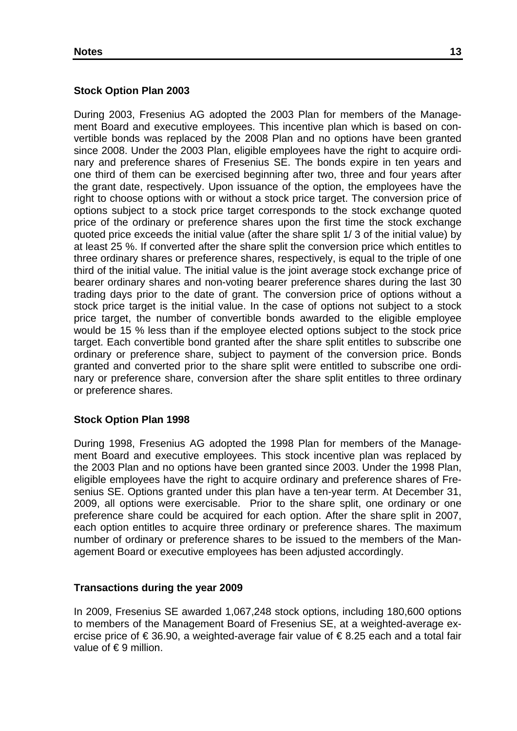### **Stock Option Plan 2003**

During 2003, Fresenius AG adopted the 2003 Plan for members of the Management Board and executive employees. This incentive plan which is based on convertible bonds was replaced by the 2008 Plan and no options have been granted since 2008. Under the 2003 Plan, eligible employees have the right to acquire ordinary and preference shares of Fresenius SE. The bonds expire in ten years and one third of them can be exercised beginning after two, three and four years after the grant date, respectively. Upon issuance of the option, the employees have the right to choose options with or without a stock price target. The conversion price of options subject to a stock price target corresponds to the stock exchange quoted price of the ordinary or preference shares upon the first time the stock exchange quoted price exceeds the initial value (after the share split 1/ 3 of the initial value) by at least 25 %. If converted after the share split the conversion price which entitles to three ordinary shares or preference shares, respectively, is equal to the triple of one third of the initial value. The initial value is the joint average stock exchange price of bearer ordinary shares and non-voting bearer preference shares during the last 30 trading days prior to the date of grant. The conversion price of options without a stock price target is the initial value. In the case of options not subject to a stock price target, the number of convertible bonds awarded to the eligible employee would be 15 % less than if the employee elected options subject to the stock price target. Each convertible bond granted after the share split entitles to subscribe one ordinary or preference share, subject to payment of the conversion price. Bonds granted and converted prior to the share split were entitled to subscribe one ordinary or preference share, conversion after the share split entitles to three ordinary or preference shares.

### **Stock Option Plan 1998**

During 1998, Fresenius AG adopted the 1998 Plan for members of the Management Board and executive employees. This stock incentive plan was replaced by the 2003 Plan and no options have been granted since 2003. Under the 1998 Plan, eligible employees have the right to acquire ordinary and preference shares of Fresenius SE. Options granted under this plan have a ten-year term. At December 31, 2009, all options were exercisable. Prior to the share split, one ordinary or one preference share could be acquired for each option. After the share split in 2007, each option entitles to acquire three ordinary or preference shares. The maximum number of ordinary or preference shares to be issued to the members of the Management Board or executive employees has been adjusted accordingly.

### **Transactions during the year 2009**

In 2009, Fresenius SE awarded 1,067,248 stock options, including 180,600 options to members of the Management Board of Fresenius SE, at a weighted-average exercise price of € 36.90, a weighted-average fair value of € 8.25 each and a total fair value of  $\epsilon$ 9 million.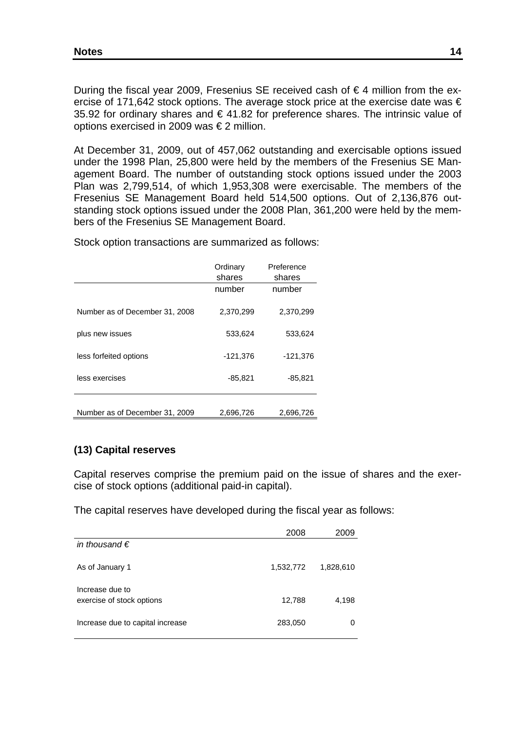During the fiscal year 2009, Fresenius SE received cash of €4 million from the exercise of 171,642 stock options. The average stock price at the exercise date was  $\epsilon$ 35.92 for ordinary shares and €41.82 for preference shares. The intrinsic value of options exercised in 2009 was € 2 million.

At December 31, 2009, out of 457,062 outstanding and exercisable options issued under the 1998 Plan, 25,800 were held by the members of the Fresenius SE Management Board. The number of outstanding stock options issued under the 2003 Plan was 2,799,514, of which 1,953,308 were exercisable. The members of the Fresenius SE Management Board held 514,500 options. Out of 2,136,876 outstanding stock options issued under the 2008 Plan, 361,200 were held by the members of the Fresenius SE Management Board.

Stock option transactions are summarized as follows:

|                                | Ordinary<br>shares | Preference<br>shares |
|--------------------------------|--------------------|----------------------|
|                                | number             | number               |
| Number as of December 31, 2008 | 2,370,299          | 2,370,299            |
| plus new issues                | 533,624            | 533,624              |
| less forfeited options         | $-121,376$         | $-121,376$           |
| less exercises                 | $-85,821$          | $-85,821$            |
| Number as of December 31, 2009 | 2,696,726          | 2,696,726            |
|                                |                    |                      |

## **(13) Capital reserves**

Capital reserves comprise the premium paid on the issue of shares and the exercise of stock options (additional paid-in capital).

The capital reserves have developed during the fiscal year as follows:

|                                  | 2008      | 2009      |
|----------------------------------|-----------|-----------|
| in thousand $\epsilon$           |           |           |
| As of January 1                  | 1,532,772 | 1,828,610 |
| Increase due to                  |           |           |
| exercise of stock options        | 12,788    | 4,198     |
| Increase due to capital increase | 283,050   | 0         |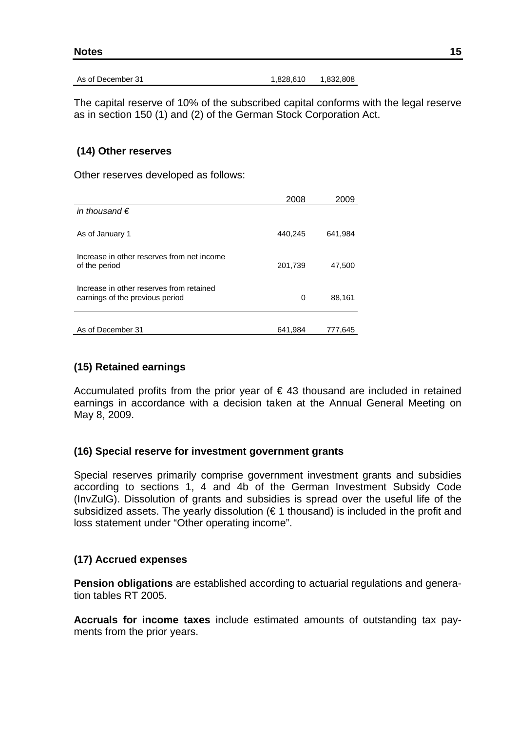| 15 |
|----|
|    |

As of December 31 1,828,610 1,832,808

The capital reserve of 10% of the subscribed capital conforms with the legal reserve as in section 150 (1) and (2) of the German Stock Corporation Act.

### **(14) Other reserves**

Other reserves developed as follows:

|                                                                             | 2008    | 2009    |
|-----------------------------------------------------------------------------|---------|---------|
| in thousand $\epsilon$                                                      |         |         |
| As of January 1                                                             | 440,245 | 641,984 |
| Increase in other reserves from net income<br>of the period                 | 201,739 | 47,500  |
| Increase in other reserves from retained<br>earnings of the previous period | 0       | 88,161  |
| As of December 31                                                           | 641,984 | 777.645 |

### **(15) Retained earnings**

Accumulated profits from the prior year of  $\epsilon$  43 thousand are included in retained earnings in accordance with a decision taken at the Annual General Meeting on May 8, 2009.

### **(16) Special reserve for investment government grants**

Special reserves primarily comprise government investment grants and subsidies according to sections 1, 4 and 4b of the German Investment Subsidy Code (InvZulG). Dissolution of grants and subsidies is spread over the useful life of the subsidized assets. The yearly dissolution ( $\epsilon$  1 thousand) is included in the profit and loss statement under "Other operating income".

### **(17) Accrued expenses**

**Pension obligations** are established according to actuarial regulations and generation tables RT 2005.

**Accruals for income taxes** include estimated amounts of outstanding tax payments from the prior years.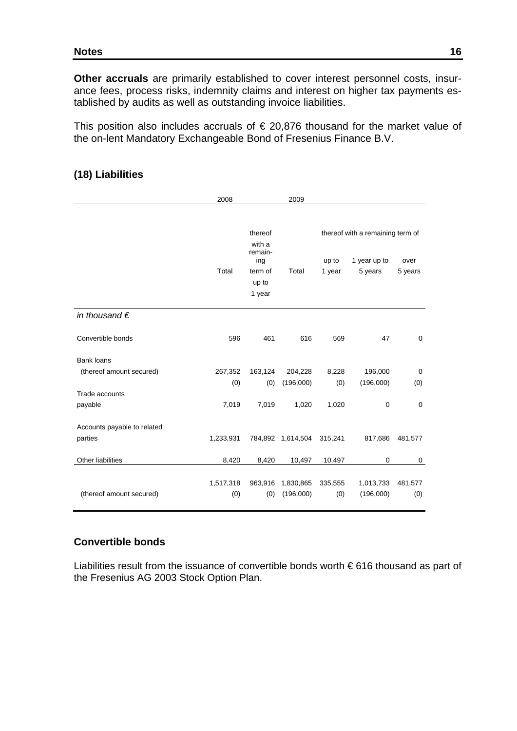#### **Notes** 16 **16**

**Other accruals** are primarily established to cover interest personnel costs, insurance fees, process risks, indemnity claims and interest on higher tax payments established by audits as well as outstanding invoice liabilities.

This position also includes accruals of  $\epsilon$  20,876 thousand for the market value of the on-lent Mandatory Exchangeable Bond of Fresenius Finance B.V.

|                                                                            | 2008                    |                                                                   | 2009                          |                       |                                                             |                 |
|----------------------------------------------------------------------------|-------------------------|-------------------------------------------------------------------|-------------------------------|-----------------------|-------------------------------------------------------------|-----------------|
|                                                                            | Total                   | thereof<br>with a<br>remain-<br>ing<br>term of<br>up to<br>1 year | Total                         | up to<br>1 year       | thereof with a remaining term of<br>1 year up to<br>5 years | over<br>5 years |
| in thousand $\epsilon$                                                     |                         |                                                                   |                               |                       |                                                             |                 |
| Convertible bonds                                                          | 596                     | 461                                                               | 616                           | 569                   | 47                                                          | 0               |
| <b>Bank loans</b><br>(thereof amount secured)<br>Trade accounts<br>payable | 267,352<br>(0)<br>7,019 | 163,124<br>(0)<br>7,019                                           | 204,228<br>(196,000)<br>1,020 | 8,228<br>(0)<br>1,020 | 196,000<br>(196,000)<br>0                                   | 0<br>(0)<br>0   |
| Accounts payable to related<br>parties                                     | 1,233,931               |                                                                   | 784,892 1,614,504             | 315,241               | 817,686                                                     | 481,577         |
| Other liabilities                                                          | 8,420                   | 8,420                                                             | 10,497                        | 10,497                | $\mathbf 0$                                                 | 0               |
| (thereof amount secured)                                                   | 1,517,318<br>(0)        | 963,916<br>(0)                                                    | 1,830,865<br>(196,000)        | 335,555<br>(0)        | 1,013,733<br>(196,000)                                      | 481,577<br>(0)  |

#### **(18) Liabilities**

### **Convertible bonds**

Liabilities result from the issuance of convertible bonds worth € 616 thousand as part of the Fresenius AG 2003 Stock Option Plan.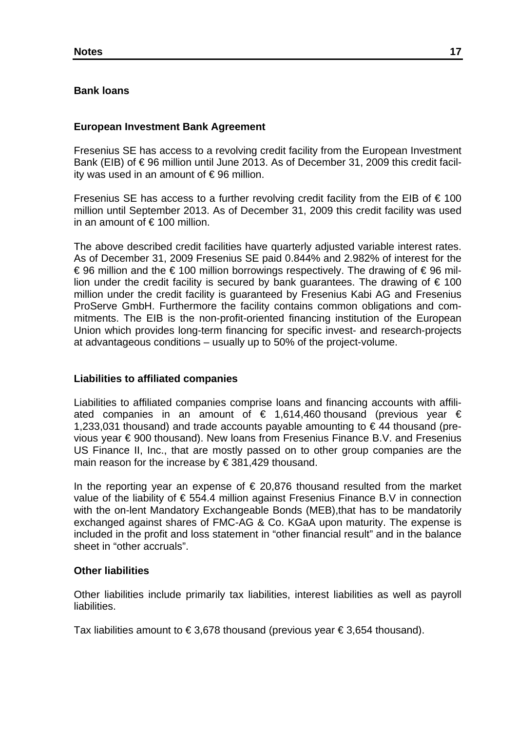### **Bank loans**

### **European Investment Bank Agreement**

Fresenius SE has access to a revolving credit facility from the European Investment Bank (EIB) of € 96 million until June 2013. As of December 31, 2009 this credit facility was used in an amount of  $\epsilon$ 96 million.

Fresenius SE has access to a further revolving credit facility from the EIB of  $\epsilon$  100 million until September 2013. As of December 31, 2009 this credit facility was used in an amount of  $\in$  100 million.

The above described credit facilities have quarterly adjusted variable interest rates. As of December 31, 2009 Fresenius SE paid 0.844% and 2.982% of interest for the € 96 million and the € 100 million borrowings respectively. The drawing of € 96 million under the credit facility is secured by bank quarantees. The drawing of  $\epsilon$  100 million under the credit facility is guaranteed by Fresenius Kabi AG and Fresenius ProServe GmbH. Furthermore the facility contains common obligations and commitments. The EIB is the non-profit-oriented financing institution of the European Union which provides long-term financing for specific invest- and research-projects at advantageous conditions – usually up to 50% of the project-volume.

### **Liabilities to affiliated companies**

Liabilities to affiliated companies comprise loans and financing accounts with affiliated companies in an amount of  $\epsilon$  1,614,460 thousand (previous year  $\epsilon$ 1,233,031 thousand) and trade accounts payable amounting to  $\epsilon$  44 thousand (previous year € 900 thousand). New loans from Fresenius Finance B.V. and Fresenius US Finance II, Inc., that are mostly passed on to other group companies are the main reason for the increase by € 381,429 thousand.

In the reporting year an expense of  $\epsilon$  20,876 thousand resulted from the market value of the liability of  $\epsilon$  554.4 million against Fresenius Finance B.V in connection with the on-lent Mandatory Exchangeable Bonds (MEB), that has to be mandatorily exchanged against shares of FMC-AG & Co. KGaA upon maturity. The expense is included in the profit and loss statement in "other financial result" and in the balance sheet in "other accruals".

### **Other liabilities**

Other liabilities include primarily tax liabilities, interest liabilities as well as payroll liabilities.

Tax liabilities amount to €3,678 thousand (previous year €3,654 thousand).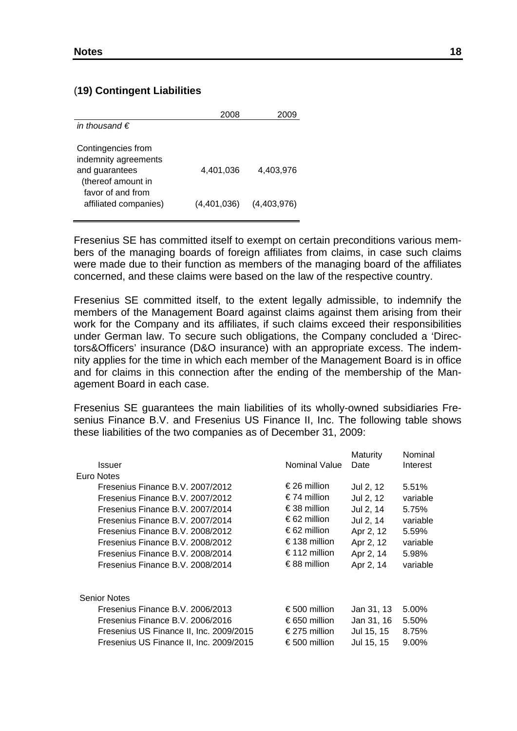#### (**19) Contingent Liabilities**

| in thousand $\epsilon$                                                                                                           |                          |                          |
|----------------------------------------------------------------------------------------------------------------------------------|--------------------------|--------------------------|
| Contingencies from<br>indemnity agreements<br>and guarantees<br>(thereof amount in<br>favor of and from<br>affiliated companies) | 4.401.036<br>(4,401,036) | 4.403.976<br>(4,403,976) |

Fresenius SE has committed itself to exempt on certain preconditions various members of the managing boards of foreign affiliates from claims, in case such claims were made due to their function as members of the managing board of the affiliates concerned, and these claims were based on the law of the respective country.

Fresenius SE committed itself, to the extent legally admissible, to indemnify the members of the Management Board against claims against them arising from their work for the Company and its affiliates, if such claims exceed their responsibilities under German law. To secure such obligations, the Company concluded a 'Directors&Officers' insurance (D&O insurance) with an appropriate excess. The indemnity applies for the time in which each member of the Management Board is in office and for claims in this connection after the ending of the membership of the Management Board in each case.

Fresenius SE guarantees the main liabilities of its wholly-owned subsidiaries Fresenius Finance B.V. and Fresenius US Finance II, Inc. The following table shows these liabilities of the two companies as of December 31, 2009:

|                                         |                      | Maturity   | Nominal  |
|-----------------------------------------|----------------------|------------|----------|
| <b>Issuer</b>                           | <b>Nominal Value</b> | Date       | Interest |
| Euro Notes                              |                      |            |          |
| Fresenius Finance B.V. 2007/2012        | €26 million          | Jul 2, 12  | 5.51%    |
| Fresenius Finance B.V. 2007/2012        | €74 million          | Jul 2, 12  | variable |
| Fresenius Finance B.V. 2007/2014        | €38 million          | Jul 2, 14  | 5.75%    |
| Fresenius Finance B.V. 2007/2014        | €62 million          | Jul 2, 14  | variable |
| Fresenius Finance B.V. 2008/2012        | €62 million          | Apr 2, 12  | 5.59%    |
| Fresenius Finance B.V. 2008/2012        | €138 million         | Apr 2, 12  | variable |
| Fresenius Finance B.V. 2008/2014        | €112 million         | Apr 2, 14  | 5.98%    |
| Fresenius Finance B.V. 2008/2014        | €88 million          | Apr 2, 14  | variable |
| <b>Senior Notes</b>                     |                      |            |          |
| Fresenius Finance B.V. 2006/2013        | €500 million         | Jan 31, 13 | 5.00%    |
| Fresenius Finance B.V. 2006/2016        | € 650 million        | Jan 31, 16 | 5.50%    |
| Fresenius US Finance II, Inc. 2009/2015 | € 275 million        | Jul 15, 15 | 8.75%    |
| Fresenius US Finance II, Inc. 2009/2015 | € 500 million        | Jul 15, 15 | 9.00%    |
|                                         |                      |            |          |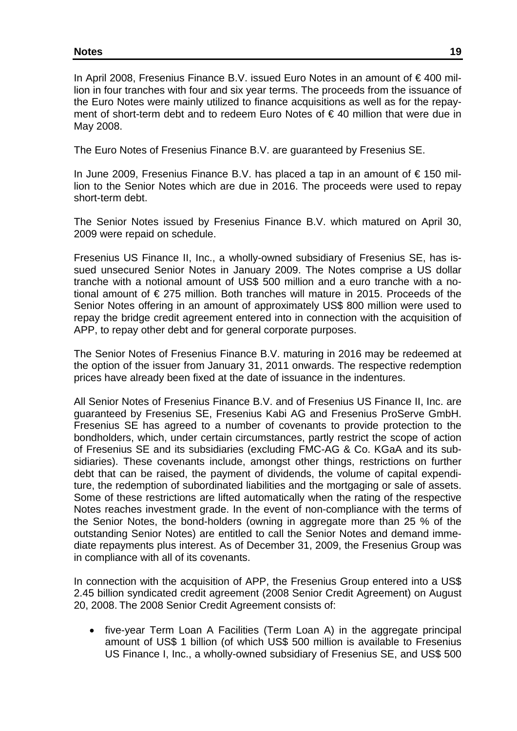In April 2008, Fresenius Finance B.V. issued Euro Notes in an amount of € 400 million in four tranches with four and six year terms. The proceeds from the issuance of the Euro Notes were mainly utilized to finance acquisitions as well as for the repayment of short-term debt and to redeem Euro Notes of € 40 million that were due in May 2008.

The Euro Notes of Fresenius Finance B.V. are guaranteed by Fresenius SE.

In June 2009, Fresenius Finance B.V. has placed a tap in an amount of €150 million to the Senior Notes which are due in 2016. The proceeds were used to repay short-term debt.

The Senior Notes issued by Fresenius Finance B.V. which matured on April 30, 2009 were repaid on schedule.

Fresenius US Finance II, Inc., a wholly-owned subsidiary of Fresenius SE, has issued unsecured Senior Notes in January 2009. The Notes comprise a US dollar tranche with a notional amount of US\$ 500 million and a euro tranche with a notional amount of € 275 million. Both tranches will mature in 2015. Proceeds of the Senior Notes offering in an amount of approximately US\$ 800 million were used to repay the bridge credit agreement entered into in connection with the acquisition of APP, to repay other debt and for general corporate purposes.

The Senior Notes of Fresenius Finance B.V. maturing in 2016 may be redeemed at the option of the issuer from January 31, 2011 onwards. The respective redemption prices have already been fixed at the date of issuance in the indentures.

All Senior Notes of Fresenius Finance B.V. and of Fresenius US Finance II, Inc. are guaranteed by Fresenius SE, Fresenius Kabi AG and Fresenius ProServe GmbH. Fresenius SE has agreed to a number of covenants to provide protection to the bondholders, which, under certain circumstances, partly restrict the scope of action of Fresenius SE and its subsidiaries (excluding FMC-AG & Co. KGaA and its subsidiaries). These covenants include, amongst other things, restrictions on further debt that can be raised, the payment of dividends, the volume of capital expenditure, the redemption of subordinated liabilities and the mortgaging or sale of assets. Some of these restrictions are lifted automatically when the rating of the respective Notes reaches investment grade. In the event of non-compliance with the terms of the Senior Notes, the bond-holders (owning in aggregate more than 25 % of the outstanding Senior Notes) are entitled to call the Senior Notes and demand immediate repayments plus interest. As of December 31, 2009, the Fresenius Group was in compliance with all of its covenants.

In connection with the acquisition of APP, the Fresenius Group entered into a US\$ 2.45 billion syndicated credit agreement (2008 Senior Credit Agreement) on August 20, 2008. The 2008 Senior Credit Agreement consists of:

• five-year Term Loan A Facilities (Term Loan A) in the aggregate principal amount of US\$ 1 billion (of which US\$ 500 million is available to Fresenius US Finance I, Inc., a wholly-owned subsidiary of Fresenius SE, and US\$ 500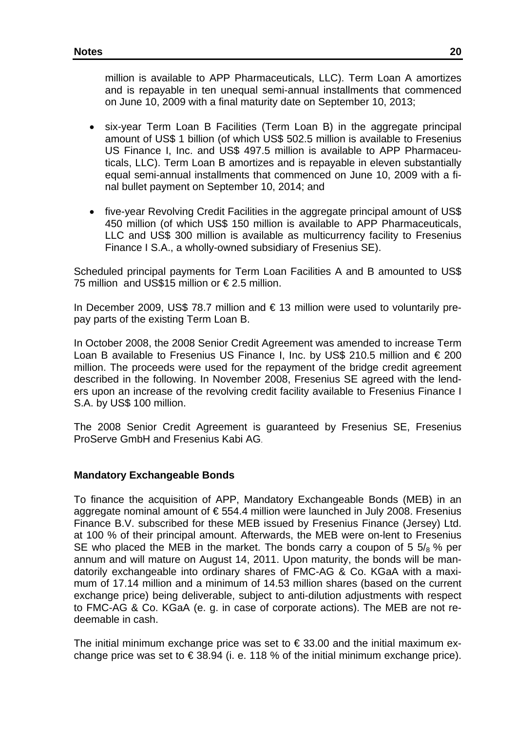million is available to APP Pharmaceuticals, LLC). Term Loan A amortizes and is repayable in ten unequal semi-annual installments that commenced on June 10, 2009 with a final maturity date on September 10, 2013;

- six-year Term Loan B Facilities (Term Loan B) in the aggregate principal amount of US\$ 1 billion (of which US\$ 502.5 million is available to Fresenius US Finance I, Inc. and US\$ 497.5 million is available to APP Pharmaceuticals, LLC). Term Loan B amortizes and is repayable in eleven substantially equal semi-annual installments that commenced on June 10, 2009 with a final bullet payment on September 10, 2014; and
- five-year Revolving Credit Facilities in the aggregate principal amount of US\$ 450 million (of which US\$ 150 million is available to APP Pharmaceuticals, LLC and US\$ 300 million is available as multicurrency facility to Fresenius Finance I S.A., a wholly-owned subsidiary of Fresenius SE).

Scheduled principal payments for Term Loan Facilities A and B amounted to US\$ 75 million and US\$15 million or € 2.5 million.

In December 2009, US\$ 78.7 million and  $\epsilon$  13 million were used to voluntarily prepay parts of the existing Term Loan B.

In October 2008, the 2008 Senior Credit Agreement was amended to increase Term Loan B available to Fresenius US Finance I, Inc. by US\$ 210.5 million and  $\epsilon$  200 million. The proceeds were used for the repayment of the bridge credit agreement described in the following. In November 2008, Fresenius SE agreed with the lenders upon an increase of the revolving credit facility available to Fresenius Finance I S.A. by US\$ 100 million.

The 2008 Senior Credit Agreement is guaranteed by Fresenius SE, Fresenius ProServe GmbH and Fresenius Kabi AG.

### **Mandatory Exchangeable Bonds**

To finance the acquisition of APP, Mandatory Exchangeable Bonds (MEB) in an aggregate nominal amount of € 554.4 million were launched in July 2008. Fresenius Finance B.V. subscribed for these MEB issued by Fresenius Finance (Jersey) Ltd. at 100 % of their principal amount. Afterwards, the MEB were on-lent to Fresenius SE who placed the MEB in the market. The bonds carry a coupon of 5  $5\frac{1}{8}$  % per annum and will mature on August 14, 2011. Upon maturity, the bonds will be mandatorily exchangeable into ordinary shares of FMC-AG & Co. KGaA with a maximum of 17.14 million and a minimum of 14.53 million shares (based on the current exchange price) being deliverable, subject to anti-dilution adjustments with respect to FMC-AG & Co. KGaA (e. g. in case of corporate actions). The MEB are not redeemable in cash.

The initial minimum exchange price was set to  $\epsilon$  33.00 and the initial maximum exchange price was set to  $\in$  38.94 (i. e. 118 % of the initial minimum exchange price).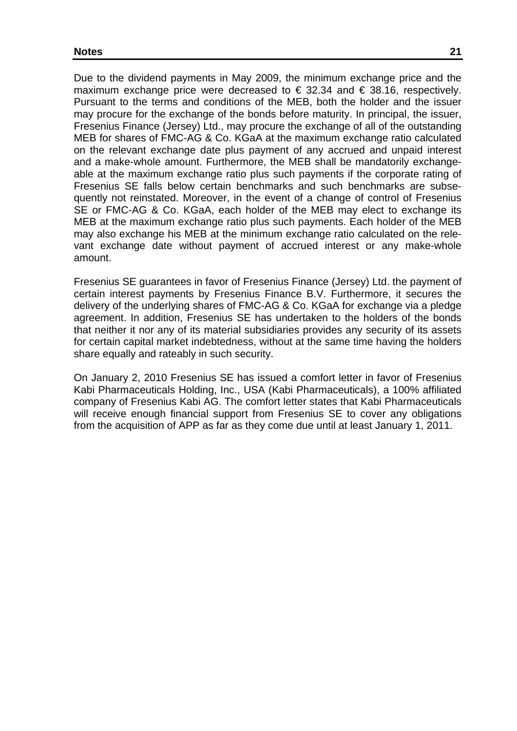Due to the dividend payments in May 2009, the minimum exchange price and the maximum exchange price were decreased to  $\epsilon$  32.34 and  $\epsilon$  38.16, respectively. Pursuant to the terms and conditions of the MEB, both the holder and the issuer may procure for the exchange of the bonds before maturity. In principal, the issuer, Fresenius Finance (Jersey) Ltd., may procure the exchange of all of the outstanding MEB for shares of FMC-AG & Co. KGaA at the maximum exchange ratio calculated on the relevant exchange date plus payment of any accrued and unpaid interest and a make-whole amount. Furthermore, the MEB shall be mandatorily exchangeable at the maximum exchange ratio plus such payments if the corporate rating of Fresenius SE falls below certain benchmarks and such benchmarks are subsequently not reinstated. Moreover, in the event of a change of control of Fresenius SE or FMC-AG & Co. KGaA, each holder of the MEB may elect to exchange its MEB at the maximum exchange ratio plus such payments. Each holder of the MEB may also exchange his MEB at the minimum exchange ratio calculated on the relevant exchange date without payment of accrued interest or any make-whole amount.

Fresenius SE guarantees in favor of Fresenius Finance (Jersey) Ltd. the payment of certain interest payments by Fresenius Finance B.V. Furthermore, it secures the delivery of the underlying shares of FMC-AG & Co. KGaA for exchange via a pledge agreement. In addition, Fresenius SE has undertaken to the holders of the bonds that neither it nor any of its material subsidiaries provides any security of its assets for certain capital market indebtedness, without at the same time having the holders share equally and rateably in such security.

On January 2, 2010 Fresenius SE has issued a comfort letter in favor of Fresenius Kabi Pharmaceuticals Holding, Inc., USA (Kabi Pharmaceuticals), a 100% affiliated company of Fresenius Kabi AG. The comfort letter states that Kabi Pharmaceuticals will receive enough financial support from Fresenius SE to cover any obligations from the acquisition of APP as far as they come due until at least January 1, 2011.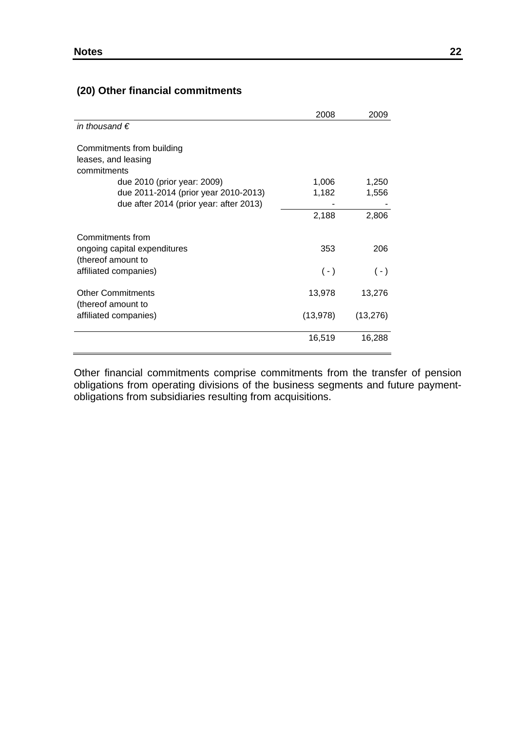## **(20) Other financial commitments**

|                                                                                                                | 2008           | 2009           |
|----------------------------------------------------------------------------------------------------------------|----------------|----------------|
| in thousand $\epsilon$                                                                                         |                |                |
| Commitments from building<br>leases, and leasing<br>commitments                                                |                |                |
| due 2010 (prior year: 2009)<br>due 2011-2014 (prior year 2010-2013)<br>due after 2014 (prior year: after 2013) | 1,006<br>1,182 | 1,250<br>1,556 |
|                                                                                                                | 2,188          | 2,806          |
| Commitments from<br>ongoing capital expenditures<br>(thereof amount to<br>affiliated companies)                | 353<br>$(-)$   | 206<br>$(-)$   |
| <b>Other Commitments</b>                                                                                       | 13,978         | 13,276         |
| (thereof amount to<br>affiliated companies)                                                                    | (13, 978)      | (13, 276)      |
|                                                                                                                | 16,519         | 16,288         |

Other financial commitments comprise commitments from the transfer of pension obligations from operating divisions of the business segments and future paymentobligations from subsidiaries resulting from acquisitions.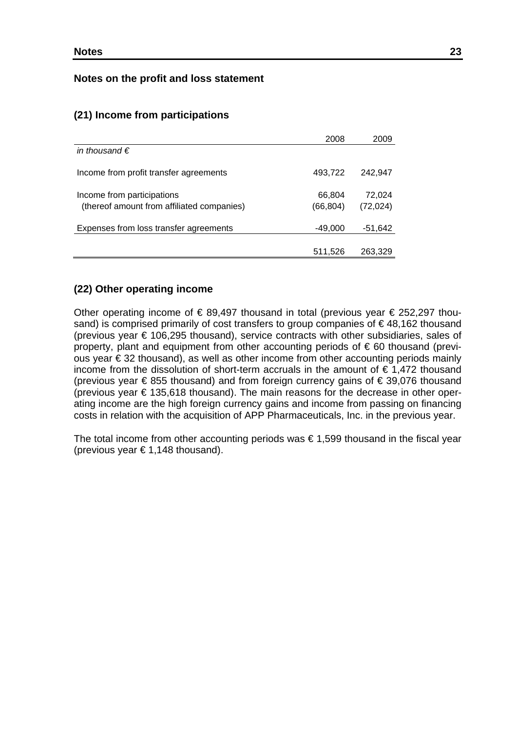#### **Notes on the profit and loss statement**

#### **(21) Income from participations**

|                                            | 2008     | 2009      |
|--------------------------------------------|----------|-----------|
| in thousand $\epsilon$                     |          |           |
| Income from profit transfer agreements     | 493,722  | 242.947   |
| Income from participations                 | 66,804   | 72,024    |
| (thereof amount from affiliated companies) | (66,804) | (72, 024) |
| Expenses from loss transfer agreements     | -49,000  | -51,642   |
|                                            |          |           |
|                                            | 511,526  | 263,329   |

#### **(22) Other operating income**

Other operating income of  $\epsilon$  89,497 thousand in total (previous year  $\epsilon$  252,297 thousand) is comprised primarily of cost transfers to group companies of €48,162 thousand (previous year € 106,295 thousand), service contracts with other subsidiaries, sales of property, plant and equipment from other accounting periods of € 60 thousand (previous year € 32 thousand), as well as other income from other accounting periods mainly income from the dissolution of short-term accruals in the amount of  $\epsilon$  1,472 thousand (previous year € 855 thousand) and from foreign currency gains of € 39,076 thousand (previous year  $\epsilon$  135,618 thousand). The main reasons for the decrease in other operating income are the high foreign currency gains and income from passing on financing costs in relation with the acquisition of APP Pharmaceuticals, Inc. in the previous year.

The total income from other accounting periods was  $\epsilon$  1,599 thousand in the fiscal year (previous year  $\in 1,148$  thousand).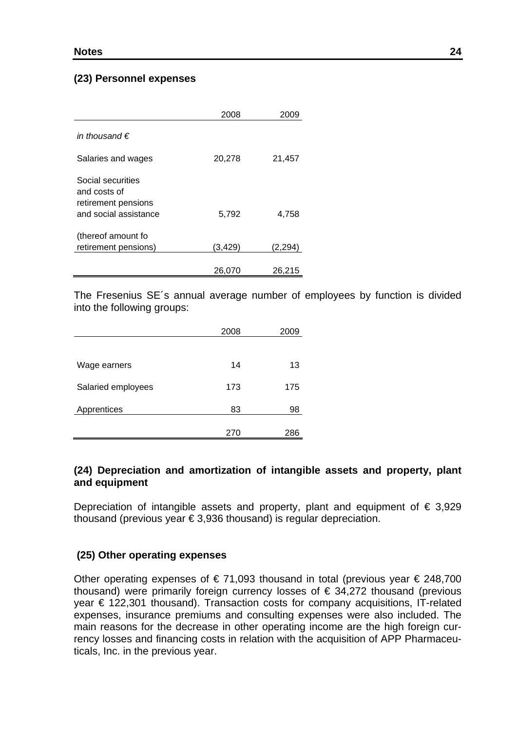### **(23) Personnel expenses**

|                                                                                   | 2008     | 2009     |
|-----------------------------------------------------------------------------------|----------|----------|
| in thousand $\epsilon$<br>Salaries and wages                                      | 20,278   | 21,457   |
| Social securities<br>and costs of<br>retirement pensions<br>and social assistance | 5,792    | 4,758    |
| (thereof amount fo<br>retirement pensions)                                        | (3, 429) | (2, 294) |
|                                                                                   | 26,070   | 26,215   |

The Fresenius SE´s annual average number of employees by function is divided into the following groups:

|                    | 2008 | 2009 |
|--------------------|------|------|
|                    |      |      |
| Wage earners       | 14   | 13   |
| Salaried employees | 173  | 175  |
| Apprentices        | 83   | 98   |
|                    | 270  | 286  |

### **(24) Depreciation and amortization of intangible assets and property, plant and equipment**

Depreciation of intangible assets and property, plant and equipment of  $\epsilon$  3,929 thousand (previous year  $\epsilon$  3,936 thousand) is regular depreciation.

### **(25) Other operating expenses**

Other operating expenses of  $\epsilon$  71,093 thousand in total (previous year  $\epsilon$  248,700 thousand) were primarily foreign currency losses of  $\epsilon$  34,272 thousand (previous year € 122,301 thousand). Transaction costs for company acquisitions, IT-related expenses, insurance premiums and consulting expenses were also included. The main reasons for the decrease in other operating income are the high foreign currency losses and financing costs in relation with the acquisition of APP Pharmaceuticals, Inc. in the previous year.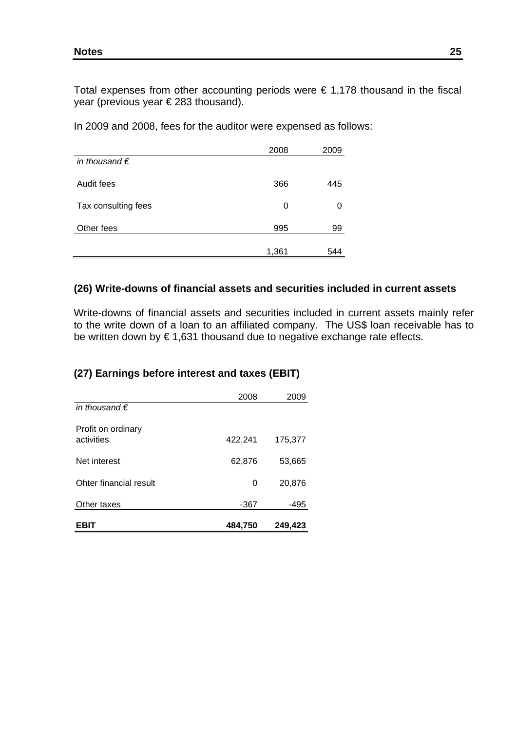Total expenses from other accounting periods were  $\epsilon$  1,178 thousand in the fiscal year (previous year € 283 thousand).

In 2009 and 2008, fees for the auditor were expensed as follows:

|                        | 2008  | 2009 |
|------------------------|-------|------|
| in thousand $\epsilon$ |       |      |
| Audit fees             | 366   | 445  |
| Tax consulting fees    | 0     | O    |
| Other fees             | 995   | 99   |
|                        | 1,361 | 544  |

### **(26) Write-downs of financial assets and securities included in current assets**

Write-downs of financial assets and securities included in current assets mainly refer to the write down of a loan to an affiliated company. The US\$ loan receivable has to be written down by  $\epsilon$  1,631 thousand due to negative exchange rate effects.

### **(27) Earnings before interest and taxes (EBIT)**

| EBIT                             | 484,750 | 249,423 |
|----------------------------------|---------|---------|
| Other taxes                      | $-367$  | -495    |
| Ohter financial result           | 0       | 20,876  |
| Net interest                     | 62,876  | 53,665  |
| Profit on ordinary<br>activities | 422,241 | 175,377 |
| in thousand $\epsilon$           |         |         |
|                                  | 2008    | 2009    |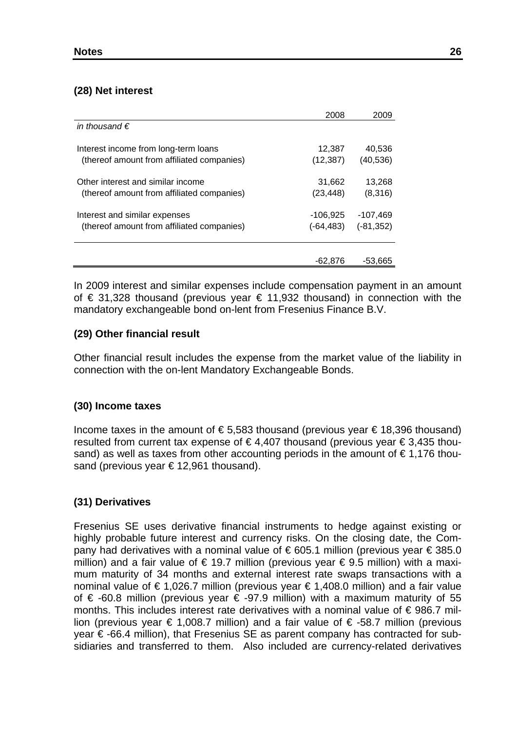### **(28) Net interest**

|                                            | 2008      | 2009         |
|--------------------------------------------|-----------|--------------|
| in thousand $\epsilon$                     |           |              |
|                                            |           |              |
| Interest income from long-term loans       | 12,387    | 40,536       |
| (thereof amount from affiliated companies) | (12, 387) | (40, 536)    |
|                                            |           |              |
| Other interest and similar income          | 31,662    | 13,268       |
| (thereof amount from affiliated companies) | (23, 448) | (8,316)      |
|                                            |           |              |
| Interest and similar expenses              | -106,925  | -107,469     |
| (thereof amount from affiliated companies) | (-64,483) | $(-81, 352)$ |
|                                            |           |              |
|                                            | -62,876   | $-53,665$    |

In 2009 interest and similar expenses include compensation payment in an amount of € 31,328 thousand (previous year € 11,932 thousand) in connection with the mandatory exchangeable bond on-lent from Fresenius Finance B.V.

### **(29) Other financial result**

Other financial result includes the expense from the market value of the liability in connection with the on-lent Mandatory Exchangeable Bonds.

### **(30) Income taxes**

Income taxes in the amount of  $\epsilon$  5,583 thousand (previous year  $\epsilon$  18,396 thousand) resulted from current tax expense of € 4,407 thousand (previous year € 3,435 thousand) as well as taxes from other accounting periods in the amount of  $\epsilon$  1,176 thousand (previous year €12,961 thousand).

## **(31) Derivatives**

Fresenius SE uses derivative financial instruments to hedge against existing or highly probable future interest and currency risks. On the closing date, the Company had derivatives with a nominal value of €605.1 million (previous year €385.0 million) and a fair value of € 19.7 million (previous year € 9.5 million) with a maximum maturity of 34 months and external interest rate swaps transactions with a nominal value of €1,026.7 million (previous year €1,408.0 million) and a fair value of € -60.8 million (previous year € -97.9 million) with a maximum maturity of 55 months. This includes interest rate derivatives with a nominal value of € 986.7 million (previous year € 1,008.7 million) and a fair value of  $\epsilon$  -58.7 million (previous year € -66.4 million), that Fresenius SE as parent company has contracted for subsidiaries and transferred to them. Also included are currency-related derivatives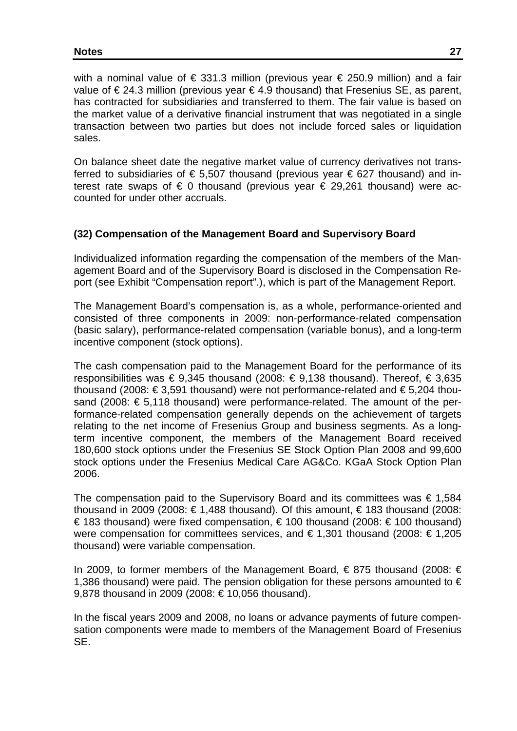with a nominal value of  $\epsilon$  331.3 million (previous year  $\epsilon$  250.9 million) and a fair value of €24.3 million (previous year €4.9 thousand) that Fresenius SE, as parent, has contracted for subsidiaries and transferred to them. The fair value is based on the market value of a derivative financial instrument that was negotiated in a single transaction between two parties but does not include forced sales or liquidation sales.

On balance sheet date the negative market value of currency derivatives not transferred to subsidiaries of  $\epsilon$  5,507 thousand (previous year  $\epsilon$  627 thousand) and interest rate swaps of  $\epsilon$  0 thousand (previous vear  $\epsilon$  29.261 thousand) were accounted for under other accruals.

### **(32) Compensation of the Management Board and Supervisory Board**

Individualized information regarding the compensation of the members of the Management Board and of the Supervisory Board is disclosed in the Compensation Report (see Exhibit "Compensation report".), which is part of the Management Report.

The Management Board's compensation is, as a whole, performance-oriented and consisted of three components in 2009: non-performance-related compensation (basic salary), performance-related compensation (variable bonus), and a long-term incentive component (stock options).

The cash compensation paid to the Management Board for the performance of its responsibilities was € 9,345 thousand (2008: € 9,138 thousand). Thereof, € 3,635 thousand (2008: € 3,591 thousand) were not performance-related and € 5,204 thousand (2008:  $\epsilon$  5,118 thousand) were performance-related. The amount of the performance-related compensation generally depends on the achievement of targets relating to the net income of Fresenius Group and business segments. As a longterm incentive component, the members of the Management Board received 180,600 stock options under the Fresenius SE Stock Option Plan 2008 and 99,600 stock options under the Fresenius Medical Care AG&Co. KGaA Stock Option Plan 2006.

The compensation paid to the Supervisory Board and its committees was  $\epsilon$  1,584 thousand in 2009 (2008: €1,488 thousand). Of this amount,  $\epsilon$  183 thousand (2008: € 183 thousand) were fixed compensation, € 100 thousand (2008: € 100 thousand) were compensation for committees services, and € 1,301 thousand (2008: € 1,205 thousand) were variable compensation.

In 2009, to former members of the Management Board, € 875 thousand (2008: € 1,386 thousand) were paid. The pension obligation for these persons amounted to  $\epsilon$ 9,878 thousand in 2009 (2008: €10,056 thousand).

In the fiscal years 2009 and 2008, no loans or advance payments of future compensation components were made to members of the Management Board of Fresenius SE.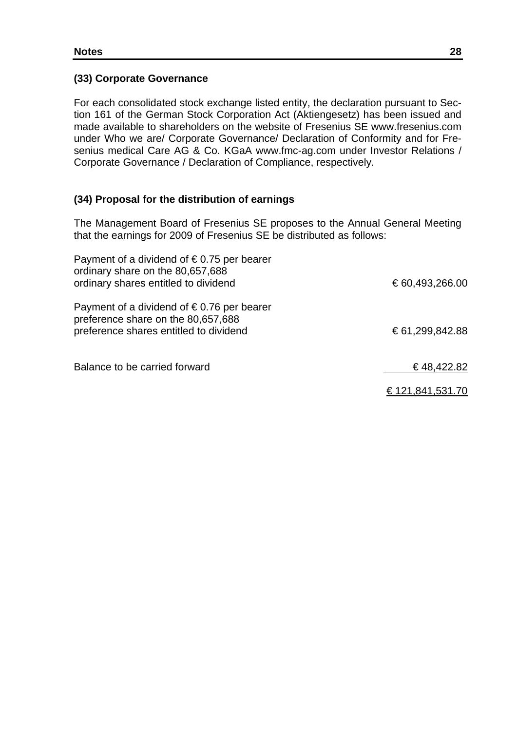### **(33) Corporate Governance**

For each consolidated stock exchange listed entity, the declaration pursuant to Section 161 of the German Stock Corporation Act (Aktiengesetz) has been issued and made available to shareholders on the website of Fresenius SE www.fresenius.com under Who we are/ Corporate Governance/ Declaration of Conformity and for Fresenius medical Care AG & Co. KGaA www.fmc-ag.com under Investor Relations / Corporate Governance / Declaration of Compliance, respectively.

## **(34) Proposal for the distribution of earnings**

The Management Board of Fresenius SE proposes to the Annual General Meeting that the earnings for 2009 of Fresenius SE be distributed as follows:

| Payment of a dividend of $\epsilon$ 0.75 per bearer<br>ordinary share on the 80,657,688<br>ordinary shares entitled to dividend     | € 60,493,266.00       |
|-------------------------------------------------------------------------------------------------------------------------------------|-----------------------|
| Payment of a dividend of $\epsilon$ 0.76 per bearer<br>preference share on the 80,657,688<br>preference shares entitled to dividend | €61,299,842.88        |
| Dolongo to he corried fequend                                                                                                       | _00 ∩00 A <del></del> |

Balance to be carried forward  $\overline{ }$   $\overline{ }$   $\overline{ }$   $\overline{ }$   $\overline{ }$   $\overline{ }$   $\overline{ }$   $\overline{ }$   $\overline{ }$   $\overline{ }$   $\overline{ }$   $\overline{ }$   $\overline{ }$   $\overline{ }$   $\overline{ }$   $\overline{ }$   $\overline{ }$   $\overline{ }$   $\overline{ }$   $\overline{ }$   $\overline{ }$   $\overline{ }$   $\overline{ }$   $\overline{ }$ 

€ 121,841,531.70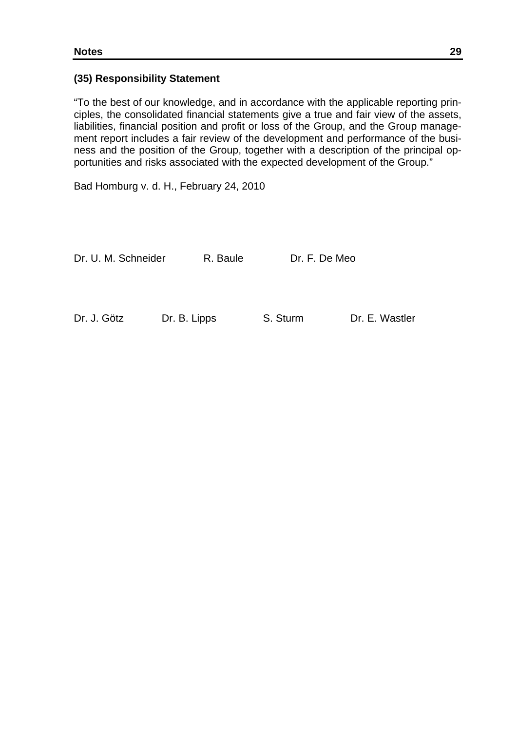### **(35) Responsibility Statement**

"To the best of our knowledge, and in accordance with the applicable reporting principles, the consolidated financial statements give a true and fair view of the assets, liabilities, financial position and profit or loss of the Group, and the Group management report includes a fair review of the development and performance of the business and the position of the Group, together with a description of the principal opportunities and risks associated with the expected development of the Group."

Bad Homburg v. d. H., February 24, 2010

Dr. U. M. Schneider R. Baule Dr. F. De Meo

Dr. J. Götz Dr. B. Lipps S. Sturm Dr. E. Wastler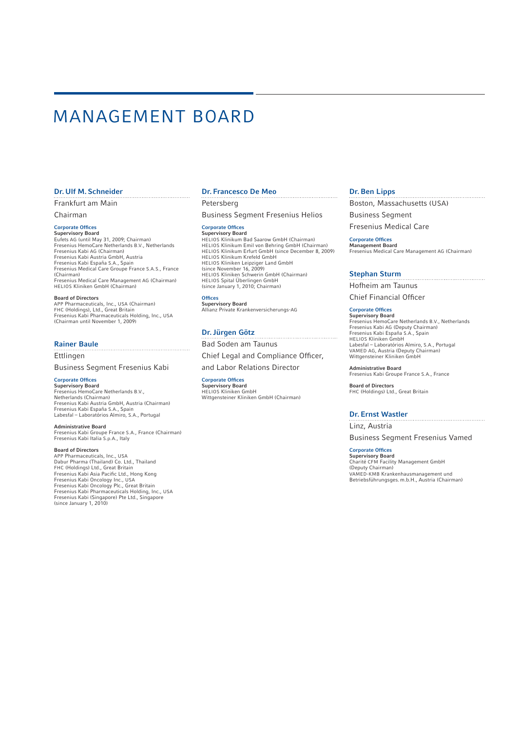# MANAGEMENT BOARD

#### Dr. Ulf M. Schneider

Frankfurt am Main

Chairman

#### Corporate Offices **Supervisory Board**

Eufets AG (until May 31, 2009; Chairman) Fresenius HemoCare Netherlands B.V., Netherlands Fresenius Kabi AG (Chairman) Fresenius Kabi Austria GmbH, Austria Fresenius Kabi España S.A., Spain Fresenius Medical Care Groupe France S.A.S., France (Chairman) Fresenius Medical Care Management AG (Chairman) HELIOS Kliniken GmbH (Chairman)

#### Board of Directors

APP Pharmaceuticals, Inc., USA (Chairman) FHC (Holdings), Ltd., Great Britain Fresenius Kabi Pharmaceuticals Holding, Inc., USA (Chairman until November 1, 2009)

#### Rainer Baule

Ettlingen

#### Business Segment Fresenius Kabi

Corporate Offices

Supervisory Board Fresenius HemoCare Netherlands B.V., Netherlands (Chairman) Fresenius Kabi Austria GmbH, Austria (Chairman) Fresenius Kabi España S.A., Spain Labesfal – Laboratórios Almiro, S.A., Portugal

#### Administrative Board

Fresenius Kabi Groupe France S.A., France (Chairman) Fresenius Kabi Italia S.p.A., Italy

### **Board of Directors**<br>APP Pharmaceuticals, Inc., USA

APP Pharmaceuticals, Inc., USA<br>Dabur Pharma (Thailand Oo. Ltd., Thailand<br>FHC (Holdings) Ltd., Great Britain<br>Fresenius Kabi Asia Pacific Ltd., Hong Kong<br>Fresenius Kabi Oncology Inc., USA<br>Fresenius Kabi Oncology Plc., Great

#### Dr. Francesco De Meo

Petersberg Business Segment Fresenius Helios

#### Corporate Offices

**Supervisory Board** HELIOS Klinikum Bad Saarow GmbH (Chairman) HELIOS Klinikum Emil von Behring GmbH (Chairman) HELIOS Klinikum Erfurt GmbH (since December 8, 2009) HELIOS Klinikum Krefeld GmbH HELIOS Kliniken Leipziger Land GmbH (since November 16, 2009) HELIOS Kliniken Schwerin GmbH (Chairman) HELIOS Spital Überlingen GmbH (since January 1, 2010; Chairman)

**Offices** Supervisory Board Allianz Private Krankenversicherungs-AG

#### Dr. Jürgen Götz

Bad Soden am Taunus Chief Legal and Compliance Officer, and Labor Relations Director

Corporate Offices **Supervisory Board**<br>HELIOS Kliniken GmbH<br>Wittgensteiner Kliniken GmbH (Chairman)

#### Dr. Ben Lipps

Boston, Massachusetts (USA) Business Segment

Fresenius Medical Care

#### **Corporate Offices**

Management Board Fresenius Medical Care Management AG (Chairman)

#### Stephan Sturm

Hofheim am Taunus Chief Financial Officer

#### Corporate Offices

Supervisory Board Fresenius HemoCare Netherlands B.V., Netherlands Fresenius Kabi AG (Deputy Chairman) Fresenius Kabi España S.A., Spain HELIOS Kliniken GmbH Labesfal – Laboratórios Almiro, S.A., Portugal VAMED AG, Austria (Deputy Chairman) Wittgensteiner Kliniken GmbH

Administrative Board Fresenius Kabi Groupe France S.A., France

Board of Directors FHC (Holdings) Ltd., Great Britain

#### Dr. Ernst Wastler

Linz, Austria Business Segment Fresenius Vamed

#### Corporate Offices

Supervisory Board Charité CFM Facility Management GmbH (Deputy Chairman) VAMED-KMB Krankenhausmanagement und Betriebsführungsges. m.b.H., Austria (Chairman)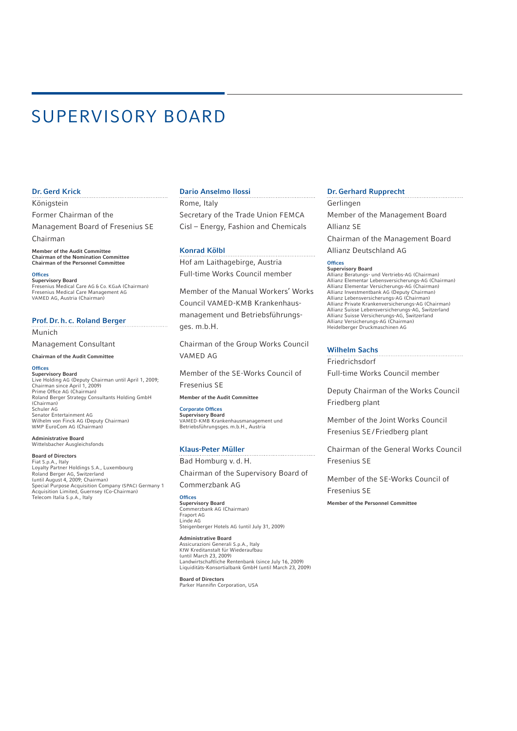# SUPERVISORY BOARD

#### Dr. Gerd Krick

Königstein

Former Chairman of the

Management Board of Fresenius SE Chairman

Member of the Audit Committee Chairman of the Nomination Committee Chairman of the Personnel Committee

**Offices** Supervisory Board Fresenius Medical Care AG & Co. KGaA (Chairman) Fresenius Medical Care Management AG VAMED AG, Austria (Chairman)

#### Prof. Dr. h. c. Roland Berger

Munich

Management Consultant

Chairman of the Audit Committee

#### **Offices**

Supervisory Board Live Holding AG (Deputy Chairman until April 1, 2009; Chairman since April 1, 2009)<br>Prime Office AG (Chairman) Roland Berger Strategy Consultants Holding GmbH (Chairman) Schuler AG Senator Entertainment AG Wilhelm von Finck AG (Deputy Chairman) WMP EuroCom AG (Chairman)

#### Administrative Board Wittelsbacher Ausgleichsfonds

Board of Directors Fiat S.p.A., Italy Loyalty Partner Holdings S.A., Luxembourg Roland Berger AG, Switzerland (until August 4, 2009; Chairman) Special Purpose Acquisition Company (SPAC) Germany 1 Acquisition Limited, Guernsey (Co-Chairman) Telecom Italia S.p.A., Italy

#### Dario Anselmo Ilossi

Rome, Italy Secretary of the Trade Union FEMCA Cisl – Energy, Fashion and Chemicals

#### Konrad Kölbl

Hof am Laithagebirge, Austria Full-time Works Council member

Member of the Manual Workers' Works Council VAMED-KMB Krankenhausmana gement und Betriebsführungs ges. m.b.H.

Chairman of the Group Works Council VAMED AG

Member of the SE-Works Council of Fresenius SE

Member of the Audit Committee

Corporate Offices Supervisory Board VAMED-KMB Krankenhausmanagement und Betriebs führungsges. m.b.H., Austria

#### Klaus-Peter Müller

Bad Homburg v. d. H.

Chairman of the Supervisory Board of Commerzbank AG

**Offices** Supervisory Board Commerzbank AG (Chairman) Fraport AG Linde AG Steigenberger Hotels AG (until July 31, 2009)

Administrative Board Assicurazioni Generali S.p.A., Italy KfW Kreditanstalt für Wiederaufbau (until March 23, 2009) Landwirtschaftliche Rentenbank (since July 16, 2009) Liquiditäts-Konsortialbank GmbH (until March 23, 2009)

Board of Directors<br>Parker Hannifin Corporation, USA

#### Dr. Gerhard Rupprecht

Gerlingen Member of the Management Board Allianz SE Chairman of the Management Board Allianz Deutschland AG

#### **Offices** Supervisory Board

Allianz Beratungs- und Vertriebs-AG (Chairman) Allianz Elementar Lebensversicherungs-AG (Chairman) Allianz Elementar Versicherungs-AG (Chairman) Allianz Investmentbank AG (Deputy Chairman) Allianz Lebensversicherungs-AG (Chairman) Allianz Private Krankenversicherungs-AG (Chairman) Allianz Suisse Lebensversicherungs-AG, Switzerland Allianz Suisse Versicherungs-AG, Switzerland Allianz Versicherungs-AG (Chairman) Heidelberger Druckmaschinen AG

#### Wilhelm Sachs

Friedrichsdorf

Full-time Works Council member

Deputy Chairman of the Works Council Friedberg plant

Member of the Joint Works Council Fresenius SE / Friedberg plant

Chairman of the General Works Council Fresenius SE

Member of the SE-Works Council of Fresenius SE Member of the Personnel Committee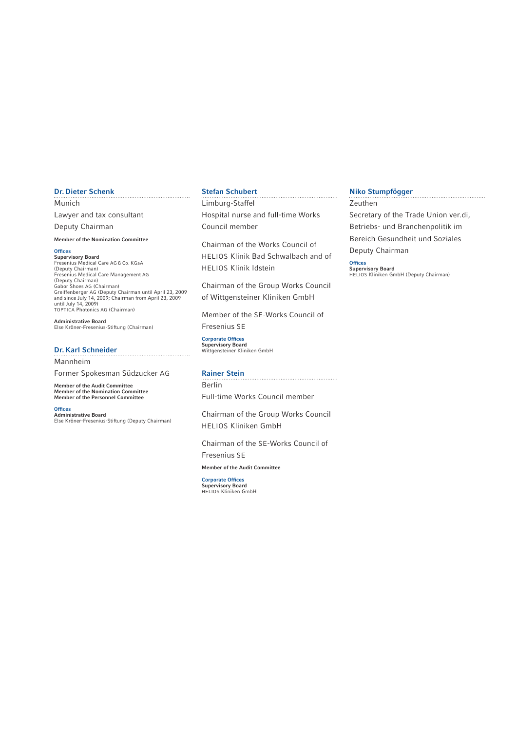#### Dr. Dieter Schenk

#### Munich

Lawyer and tax consultant Deputy Chairman

#### Member of the Nomination Committee

#### **Offices**

Supervisory Board Fresenius Medical Care AG & Co. KGaA (Deputy Chairman) Fresenius Medical Care Management AG<br>(Deputy Chairman)<br>Gabor Shoes AG (Chairman)<br>Greiffenberger AG (Deputy Chairman until April 23, 2009<br>and since July 14, 2009; Chairman from April 23, 2009<br>until July 14, 2009)<br>TOPTICA Ph

Administrative Board Else Kröner-Fresenius-Stiftung (Chairman)

#### Dr. Karl Schneider

Mannheim

Former Spokesman Südzucker AG

Member of the Audit Committee Member of the Nomination Committee Member of the Personnel Committee

**Offices** Administrative Board Else Kröner-Fresenius-Stiftung (Deputy Chairman)

#### Stefan Schubert

Limburg-Staffel Hospital nurse and full-time Works Council member

Chairman of the Works Council of HELIOS Klinik Bad Schwalbach and of HELIOS Klinik Idstein

Chairman of the Group Works Council of Wittgensteiner Kliniken GmbH

Member of the SE-Works Council of Fresenius SE

Corporate Offices Supervisory Board Wittgensteiner Kliniken GmbH

#### Rainer Stein

Berlin Full-time Works Council member

Chairman of the Group Works Council HELIOS Kliniken GmbH

Chairman of the SE-Works Council of Fresenius SE

Member of the Audit Committee

Corporate Offices Supervisory Board HELIOS Kliniken GmbH

#### Niko Stumpfögger

Zeuthen Secretary of the Trade Union ver.di, Betriebs- und Branchenpolitik im Bereich Gesundheit und Soziales Deputy Chairman

**Offices** Supervisory Board HELIOS Kliniken GmbH (Deputy Chairman)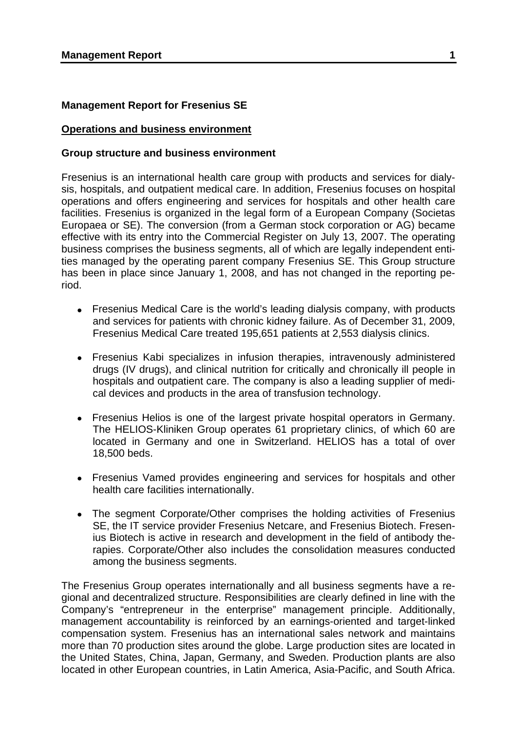### **Management Report for Fresenius SE**

#### **Operations and business environment**

#### **Group structure and business environment**

Fresenius is an international health care group with products and services for dialysis, hospitals, and outpatient medical care. In addition, Fresenius focuses on hospital operations and offers engineering and services for hospitals and other health care facilities. Fresenius is organized in the legal form of a European Company (Societas Europaea or SE). The conversion (from a German stock corporation or AG) became effective with its entry into the Commercial Register on July 13, 2007. The operating business comprises the business segments, all of which are legally independent entities managed by the operating parent company Fresenius SE. This Group structure has been in place since January 1, 2008, and has not changed in the reporting period.

- Fresenius Medical Care is the world's leading dialysis company, with products and services for patients with chronic kidney failure. As of December 31, 2009, Fresenius Medical Care treated 195,651 patients at 2,553 dialysis clinics.
- Fresenius Kabi specializes in infusion therapies, intravenously administered drugs (IV drugs), and clinical nutrition for critically and chronically ill people in hospitals and outpatient care. The company is also a leading supplier of medical devices and products in the area of transfusion technology.
- Fresenius Helios is one of the largest private hospital operators in Germany. The HELIOS-Kliniken Group operates 61 proprietary clinics, of which 60 are located in Germany and one in Switzerland. HELIOS has a total of over 18,500 beds.
- Fresenius Vamed provides engineering and services for hospitals and other health care facilities internationally.
- The segment Corporate/Other comprises the holding activities of Fresenius SE, the IT service provider Fresenius Netcare, and Fresenius Biotech. Fresenius Biotech is active in research and development in the field of antibody therapies. Corporate/Other also includes the consolidation measures conducted among the business segments.

The Fresenius Group operates internationally and all business segments have a regional and decentralized structure. Responsibilities are clearly defined in line with the Company's "entrepreneur in the enterprise" management principle. Additionally, management accountability is reinforced by an earnings-oriented and target-linked compensation system. Fresenius has an international sales network and maintains more than 70 production sites around the globe. Large production sites are located in the United States, China, Japan, Germany, and Sweden. Production plants are also located in other European countries, in Latin America, Asia-Pacific, and South Africa.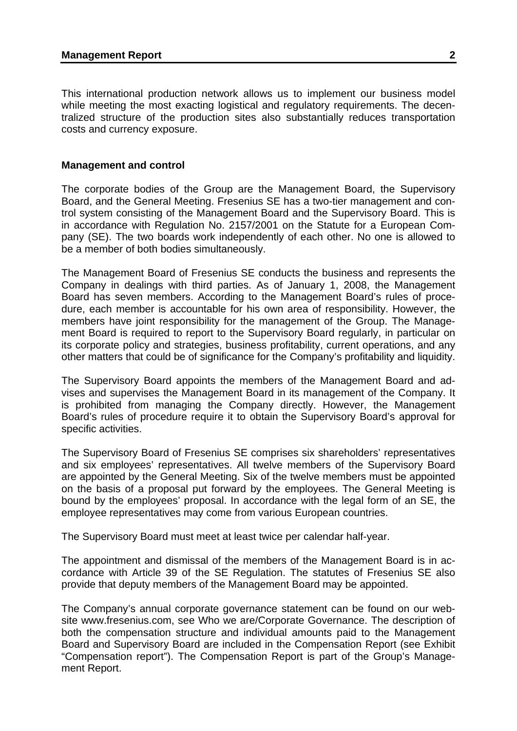This international production network allows us to implement our business model while meeting the most exacting logistical and regulatory requirements. The decentralized structure of the production sites also substantially reduces transportation costs and currency exposure.

#### **Management and control**

The corporate bodies of the Group are the Management Board, the Supervisory Board, and the General Meeting. Fresenius SE has a two-tier management and control system consisting of the Management Board and the Supervisory Board. This is in accordance with Regulation No. 2157/2001 on the Statute for a European Company (SE). The two boards work independently of each other. No one is allowed to be a member of both bodies simultaneously.

The Management Board of Fresenius SE conducts the business and represents the Company in dealings with third parties. As of January 1, 2008, the Management Board has seven members. According to the Management Board's rules of procedure, each member is accountable for his own area of responsibility. However, the members have joint responsibility for the management of the Group. The Management Board is required to report to the Supervisory Board regularly, in particular on its corporate policy and strategies, business profitability, current operations, and any other matters that could be of significance for the Company's profitability and liquidity.

The Supervisory Board appoints the members of the Management Board and advises and supervises the Management Board in its management of the Company. It is prohibited from managing the Company directly. However, the Management Board's rules of procedure require it to obtain the Supervisory Board's approval for specific activities.

The Supervisory Board of Fresenius SE comprises six shareholders' representatives and six employees' representatives. All twelve members of the Supervisory Board are appointed by the General Meeting. Six of the twelve members must be appointed on the basis of a proposal put forward by the employees. The General Meeting is bound by the employees' proposal. In accordance with the legal form of an SE, the employee representatives may come from various European countries.

The Supervisory Board must meet at least twice per calendar half-year.

The appointment and dismissal of the members of the Management Board is in accordance with Article 39 of the SE Regulation. The statutes of Fresenius SE also provide that deputy members of the Management Board may be appointed.

The Company's annual corporate governance statement can be found on our website www.fresenius.com, see Who we are/Corporate Governance. The description of both the compensation structure and individual amounts paid to the Management Board and Supervisory Board are included in the Compensation Report (see Exhibit "Compensation report"). The Compensation Report is part of the Group's Management Report.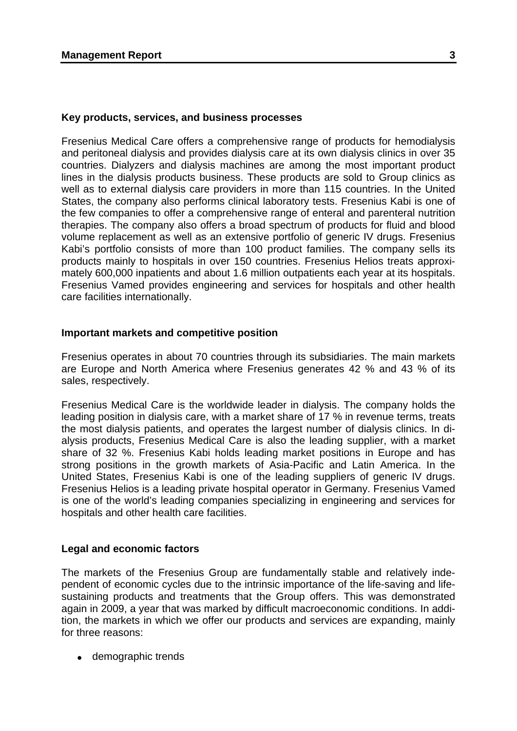#### **Key products, services, and business processes**

Fresenius Medical Care offers a comprehensive range of products for hemodialysis and peritoneal dialysis and provides dialysis care at its own dialysis clinics in over 35 countries. Dialyzers and dialysis machines are among the most important product lines in the dialysis products business. These products are sold to Group clinics as well as to external dialysis care providers in more than 115 countries. In the United States, the company also performs clinical laboratory tests. Fresenius Kabi is one of the few companies to offer a comprehensive range of enteral and parenteral nutrition therapies. The company also offers a broad spectrum of products for fluid and blood volume replacement as well as an extensive portfolio of generic IV drugs. Fresenius Kabi's portfolio consists of more than 100 product families. The company sells its products mainly to hospitals in over 150 countries. Fresenius Helios treats approximately 600,000 inpatients and about 1.6 million outpatients each year at its hospitals. Fresenius Vamed provides engineering and services for hospitals and other health care facilities internationally.

#### **Important markets and competitive position**

Fresenius operates in about 70 countries through its subsidiaries. The main markets are Europe and North America where Fresenius generates 42 % and 43 % of its sales, respectively.

Fresenius Medical Care is the worldwide leader in dialysis. The company holds the leading position in dialysis care, with a market share of 17 % in revenue terms, treats the most dialysis patients, and operates the largest number of dialysis clinics. In dialysis products, Fresenius Medical Care is also the leading supplier, with a market share of 32 %. Fresenius Kabi holds leading market positions in Europe and has strong positions in the growth markets of Asia-Pacific and Latin America. In the United States, Fresenius Kabi is one of the leading suppliers of generic IV drugs. Fresenius Helios is a leading private hospital operator in Germany. Fresenius Vamed is one of the world's leading companies specializing in engineering and services for hospitals and other health care facilities.

#### **Legal and economic factors**

The markets of the Fresenius Group are fundamentally stable and relatively independent of economic cycles due to the intrinsic importance of the life-saving and lifesustaining products and treatments that the Group offers. This was demonstrated again in 2009, a year that was marked by difficult macroeconomic conditions. In addition, the markets in which we offer our products and services are expanding, mainly for three reasons:

• demographic trends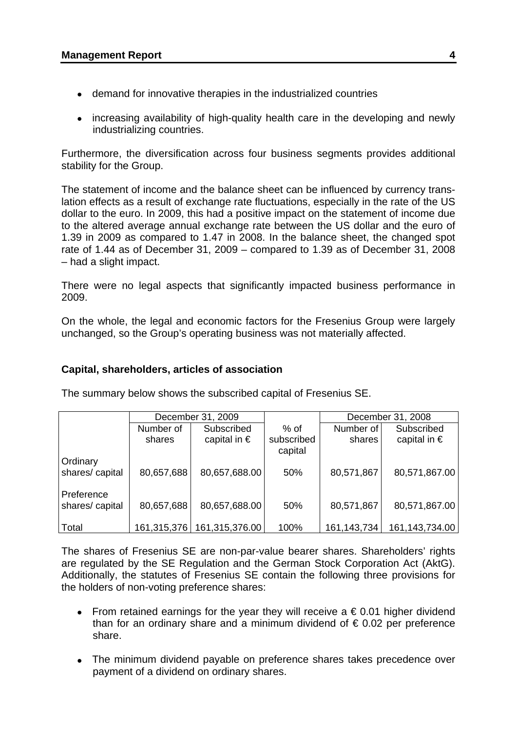- demand for innovative therapies in the industrialized countries
- increasing availability of high-quality health care in the developing and newly industrializing countries.

Furthermore, the diversification across four business segments provides additional stability for the Group.

The statement of income and the balance sheet can be influenced by currency translation effects as a result of exchange rate fluctuations, especially in the rate of the US dollar to the euro. In 2009, this had a positive impact on the statement of income due to the altered average annual exchange rate between the US dollar and the euro of 1.39 in 2009 as compared to 1.47 in 2008. In the balance sheet, the changed spot rate of 1.44 as of December 31, 2009 – compared to 1.39 as of December 31, 2008 – had a slight impact.

There were no legal aspects that significantly impacted business performance in 2009.

On the whole, the legal and economic factors for the Fresenius Group were largely unchanged, so the Group's operating business was not materially affected.

# **Capital, shareholders, articles of association**

|                              | December 31, 2009 |                       |                       | December 31, 2008 |                       |
|------------------------------|-------------------|-----------------------|-----------------------|-------------------|-----------------------|
|                              | Number of         | Subscribed            | % of                  | Number of         | Subscribed            |
|                              | shares            | capital in $\epsilon$ | subscribed<br>capital | shares            | capital in $\epsilon$ |
| Ordinary                     |                   |                       |                       |                   |                       |
| shares/capital               | 80,657,688        | 80,657,688.00         | 50%                   | 80,571,867        | 80,571,867.00         |
| Preference<br>shares/capital | 80,657,688        | 80,657,688.00         | 50%                   | 80,571,867        | 80,571,867.00         |
| ∣ Total                      | 161,315,376       | 161,315,376.00        | 100%                  | 161, 143, 734     | 161, 143, 734.00      |

The summary below shows the subscribed capital of Fresenius SE.

The shares of Fresenius SE are non-par-value bearer shares. Shareholders' rights are regulated by the SE Regulation and the German Stock Corporation Act (AktG). Additionally, the statutes of Fresenius SE contain the following three provisions for the holders of non-voting preference shares:

- From retained earnings for the year they will receive a  $\epsilon$  0.01 higher dividend than for an ordinary share and a minimum dividend of  $\epsilon$  0.02 per preference share.
- The minimum dividend payable on preference shares takes precedence over payment of a dividend on ordinary shares.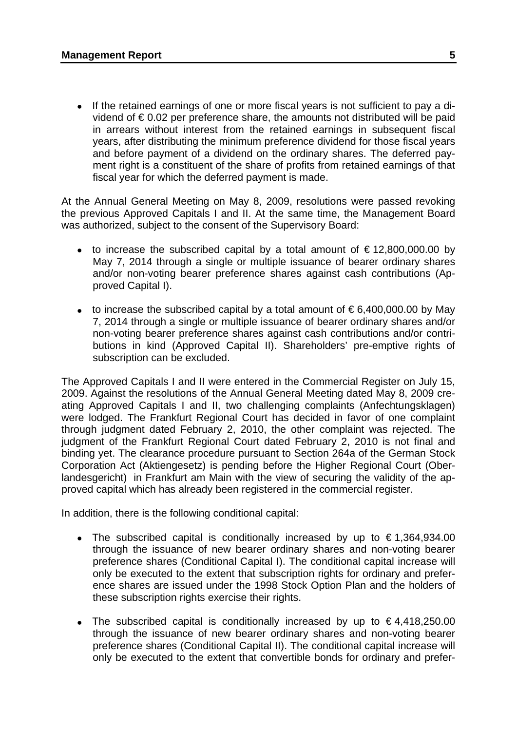• If the retained earnings of one or more fiscal years is not sufficient to pay a dividend of  $\epsilon$  0.02 per preference share, the amounts not distributed will be paid in arrears without interest from the retained earnings in subsequent fiscal years, after distributing the minimum preference dividend for those fiscal years and before payment of a dividend on the ordinary shares. The deferred payment right is a constituent of the share of profits from retained earnings of that fiscal year for which the deferred payment is made.

At the Annual General Meeting on May 8, 2009, resolutions were passed revoking the previous Approved Capitals I and II. At the same time, the Management Board was authorized, subject to the consent of the Supervisory Board:

- to increase the subscribed capital by a total amount of  $\epsilon$  12,800,000.00 by May 7, 2014 through a single or multiple issuance of bearer ordinary shares and/or non-voting bearer preference shares against cash contributions (Approved Capital I).
- to increase the subscribed capital by a total amount of  $\epsilon$  6,400,000,00 by May 7, 2014 through a single or multiple issuance of bearer ordinary shares and/or non-voting bearer preference shares against cash contributions and/or contributions in kind (Approved Capital II). Shareholders' pre-emptive rights of subscription can be excluded.

The Approved Capitals I and II were entered in the Commercial Register on July 15, 2009. Against the resolutions of the Annual General Meeting dated May 8, 2009 creating Approved Capitals I and II, two challenging complaints (Anfechtungsklagen) were lodged. The Frankfurt Regional Court has decided in favor of one complaint through judgment dated February 2, 2010, the other complaint was rejected. The judgment of the Frankfurt Regional Court dated February 2, 2010 is not final and binding yet. The clearance procedure pursuant to Section 264a of the German Stock Corporation Act (Aktiengesetz) is pending before the Higher Regional Court (Oberlandesgericht) in Frankfurt am Main with the view of securing the validity of the approved capital which has already been registered in the commercial register.

In addition, there is the following conditional capital:

- The subscribed capital is conditionally increased by up to  $\epsilon$  1,364,934,00 through the issuance of new bearer ordinary shares and non-voting bearer preference shares (Conditional Capital I). The conditional capital increase will only be executed to the extent that subscription rights for ordinary and preference shares are issued under the 1998 Stock Option Plan and the holders of these subscription rights exercise their rights.
- The subscribed capital is conditionally increased by up to  $\epsilon$ 4,418,250.00 through the issuance of new bearer ordinary shares and non-voting bearer preference shares (Conditional Capital II). The conditional capital increase will only be executed to the extent that convertible bonds for ordinary and prefer-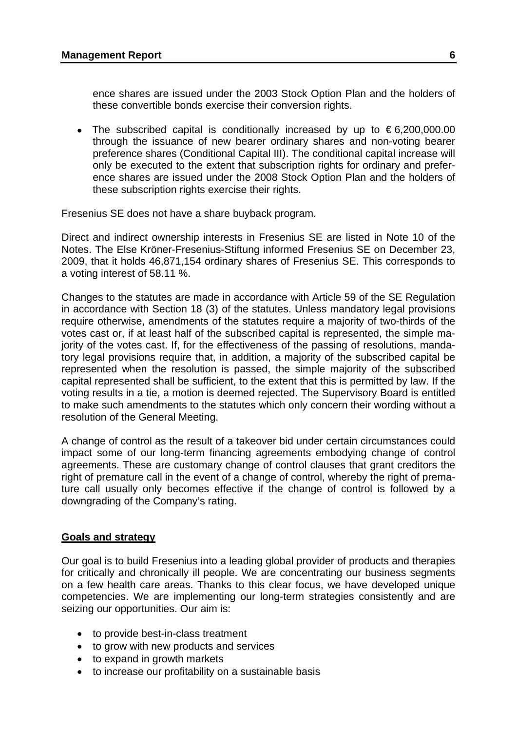ence shares are issued under the 2003 Stock Option Plan and the holders of these convertible bonds exercise their conversion rights.

• The subscribed capital is conditionally increased by up to  $\epsilon$ 6,200,000.00 through the issuance of new bearer ordinary shares and non-voting bearer preference shares (Conditional Capital III). The conditional capital increase will only be executed to the extent that subscription rights for ordinary and preference shares are issued under the 2008 Stock Option Plan and the holders of these subscription rights exercise their rights.

Fresenius SE does not have a share buyback program.

Direct and indirect ownership interests in Fresenius SE are listed in Note 10 of the Notes. The Else Kröner-Fresenius-Stiftung informed Fresenius SE on December 23, 2009, that it holds 46,871,154 ordinary shares of Fresenius SE. This corresponds to a voting interest of 58.11 %.

Changes to the statutes are made in accordance with Article 59 of the SE Regulation in accordance with Section 18 (3) of the statutes. Unless mandatory legal provisions require otherwise, amendments of the statutes require a majority of two-thirds of the votes cast or, if at least half of the subscribed capital is represented, the simple majority of the votes cast. If, for the effectiveness of the passing of resolutions, mandatory legal provisions require that, in addition, a majority of the subscribed capital be represented when the resolution is passed, the simple majority of the subscribed capital represented shall be sufficient, to the extent that this is permitted by law. If the voting results in a tie, a motion is deemed rejected. The Supervisory Board is entitled to make such amendments to the statutes which only concern their wording without a resolution of the General Meeting.

A change of control as the result of a takeover bid under certain circumstances could impact some of our long-term financing agreements embodying change of control agreements. These are customary change of control clauses that grant creditors the right of premature call in the event of a change of control, whereby the right of premature call usually only becomes effective if the change of control is followed by a downgrading of the Company's rating.

## **Goals and strategy**

Our goal is to build Fresenius into a leading global provider of products and therapies for critically and chronically ill people. We are concentrating our business segments on a few health care areas. Thanks to this clear focus, we have developed unique competencies. We are implementing our long-term strategies consistently and are seizing our opportunities. Our aim is:

- to provide best-in-class treatment
- to grow with new products and services
- to expand in growth markets
- to increase our profitability on a sustainable basis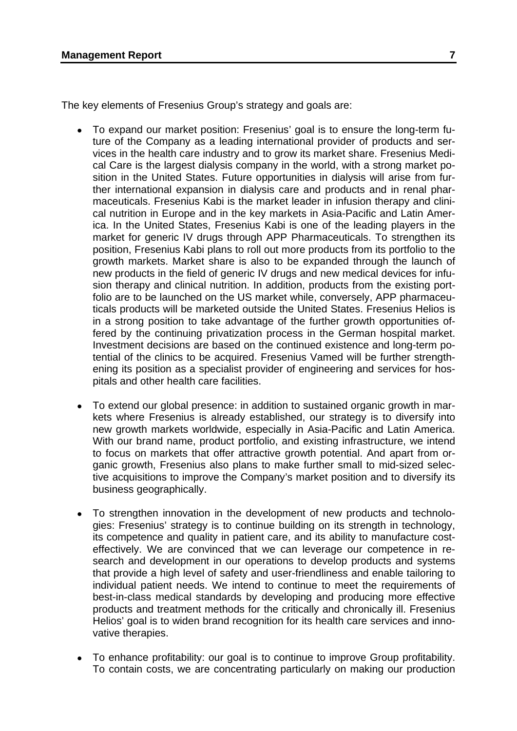The key elements of Fresenius Group's strategy and goals are:

- To expand our market position: Fresenius' goal is to ensure the long-term future of the Company as a leading international provider of products and services in the health care industry and to grow its market share. Fresenius Medical Care is the largest dialysis company in the world, with a strong market position in the United States. Future opportunities in dialysis will arise from further international expansion in dialysis care and products and in renal pharmaceuticals. Fresenius Kabi is the market leader in infusion therapy and clinical nutrition in Europe and in the key markets in Asia-Pacific and Latin America. In the United States, Fresenius Kabi is one of the leading players in the market for generic IV drugs through APP Pharmaceuticals. To strengthen its position, Fresenius Kabi plans to roll out more products from its portfolio to the growth markets. Market share is also to be expanded through the launch of new products in the field of generic IV drugs and new medical devices for infusion therapy and clinical nutrition. In addition, products from the existing portfolio are to be launched on the US market while, conversely, APP pharmaceuticals products will be marketed outside the United States. Fresenius Helios is in a strong position to take advantage of the further growth opportunities offered by the continuing privatization process in the German hospital market. Investment decisions are based on the continued existence and long-term potential of the clinics to be acquired. Fresenius Vamed will be further strengthening its position as a specialist provider of engineering and services for hospitals and other health care facilities.
- To extend our global presence: in addition to sustained organic growth in markets where Fresenius is already established, our strategy is to diversify into new growth markets worldwide, especially in Asia-Pacific and Latin America. With our brand name, product portfolio, and existing infrastructure, we intend to focus on markets that offer attractive growth potential. And apart from organic growth, Fresenius also plans to make further small to mid-sized selective acquisitions to improve the Company's market position and to diversify its business geographically.
- To strengthen innovation in the development of new products and technologies: Fresenius' strategy is to continue building on its strength in technology, its competence and quality in patient care, and its ability to manufacture costeffectively. We are convinced that we can leverage our competence in research and development in our operations to develop products and systems that provide a high level of safety and user-friendliness and enable tailoring to individual patient needs. We intend to continue to meet the requirements of best-in-class medical standards by developing and producing more effective products and treatment methods for the critically and chronically ill. Fresenius Helios' goal is to widen brand recognition for its health care services and innovative therapies.
- To enhance profitability: our goal is to continue to improve Group profitability. To contain costs, we are concentrating particularly on making our production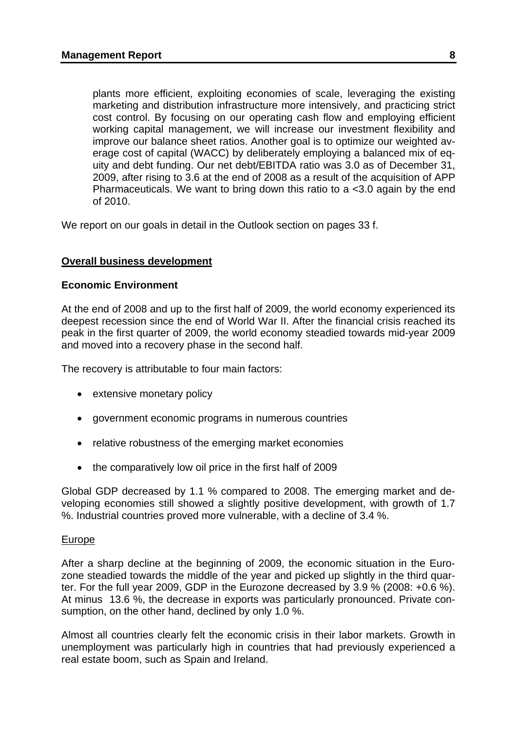plants more efficient, exploiting economies of scale, leveraging the existing marketing and distribution infrastructure more intensively, and practicing strict cost control. By focusing on our operating cash flow and employing efficient working capital management, we will increase our investment flexibility and improve our balance sheet ratios. Another goal is to optimize our weighted average cost of capital (WACC) by deliberately employing a balanced mix of equity and debt funding. Our net debt/EBITDA ratio was 3.0 as of December 31, 2009, after rising to 3.6 at the end of 2008 as a result of the acquisition of APP Pharmaceuticals. We want to bring down this ratio to a <3.0 again by the end of 2010.

We report on our goals in detail in the Outlook section on pages 33 f.

## **Overall business development**

### **Economic Environment**

At the end of 2008 and up to the first half of 2009, the world economy experienced its deepest recession since the end of World War II. After the financial crisis reached its peak in the first quarter of 2009, the world economy steadied towards mid-year 2009 and moved into a recovery phase in the second half.

The recovery is attributable to four main factors:

- extensive monetary policy
- government economic programs in numerous countries
- relative robustness of the emerging market economies
- the comparatively low oil price in the first half of 2009

Global GDP decreased by 1.1 % compared to 2008. The emerging market and developing economies still showed a slightly positive development, with growth of 1.7 %. Industrial countries proved more vulnerable, with a decline of 3.4 %.

#### Europe

After a sharp decline at the beginning of 2009, the economic situation in the Eurozone steadied towards the middle of the year and picked up slightly in the third quarter. For the full year 2009, GDP in the Eurozone decreased by 3.9 % (2008: +0.6 %). At minus 13.6 %, the decrease in exports was particularly pronounced. Private consumption, on the other hand, declined by only 1.0 %.

Almost all countries clearly felt the economic crisis in their labor markets. Growth in unemployment was particularly high in countries that had previously experienced a real estate boom, such as Spain and Ireland.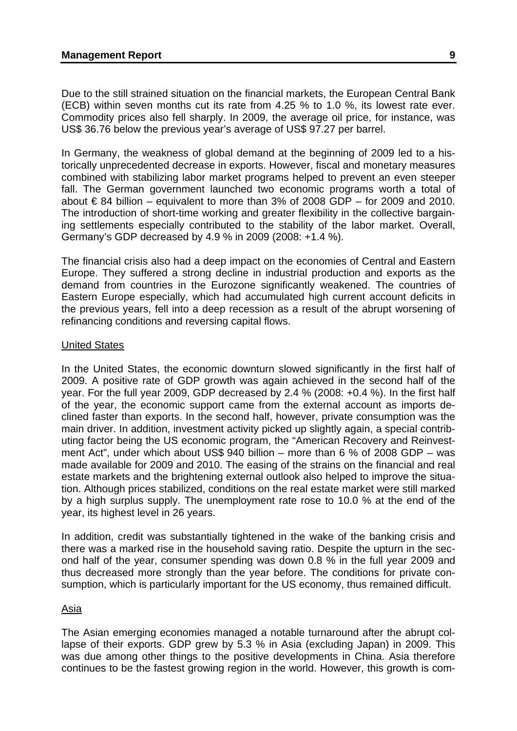Due to the still strained situation on the financial markets, the European Central Bank (ECB) within seven months cut its rate from 4.25 % to 1.0 %, its lowest rate ever. Commodity prices also fell sharply. In 2009, the average oil price, for instance, was US\$ 36.76 below the previous year's average of US\$ 97.27 per barrel.

In Germany, the weakness of global demand at the beginning of 2009 led to a historically unprecedented decrease in exports. However, fiscal and monetary measures combined with stabilizing labor market programs helped to prevent an even steeper fall. The German government launched two economic programs worth a total of about  $€ 84$  billion – equivalent to more than  $3\%$  of 2008 GDP – for 2009 and 2010. The introduction of short-time working and greater flexibility in the collective bargaining settlements especially contributed to the stability of the labor market. Overall, Germany's GDP decreased by 4.9 % in 2009 (2008: +1.4 %).

The financial crisis also had a deep impact on the economies of Central and Eastern Europe. They suffered a strong decline in industrial production and exports as the demand from countries in the Eurozone significantly weakened. The countries of Eastern Europe especially, which had accumulated high current account deficits in the previous years, fell into a deep recession as a result of the abrupt worsening of refinancing conditions and reversing capital flows.

## United States

In the United States, the economic downturn slowed significantly in the first half of 2009. A positive rate of GDP growth was again achieved in the second half of the year. For the full year 2009, GDP decreased by 2.4 % (2008: +0.4 %). In the first half of the year, the economic support came from the external account as imports declined faster than exports. In the second half, however, private consumption was the main driver. In addition, investment activity picked up slightly again, a special contributing factor being the US economic program, the "American Recovery and Reinvestment Act", under which about US\$ 940 billion – more than 6 % of 2008 GDP – was made available for 2009 and 2010. The easing of the strains on the financial and real estate markets and the brightening external outlook also helped to improve the situation. Although prices stabilized, conditions on the real estate market were still marked by a high surplus supply. The unemployment rate rose to 10.0 % at the end of the year, its highest level in 26 years.

In addition, credit was substantially tightened in the wake of the banking crisis and there was a marked rise in the household saving ratio. Despite the upturn in the second half of the year, consumer spending was down 0.8 % in the full year 2009 and thus decreased more strongly than the year before. The conditions for private consumption, which is particularly important for the US economy, thus remained difficult.

## Asia

The Asian emerging economies managed a notable turnaround after the abrupt collapse of their exports. GDP grew by 5.3 % in Asia (excluding Japan) in 2009. This was due among other things to the positive developments in China. Asia therefore continues to be the fastest growing region in the world. However, this growth is com-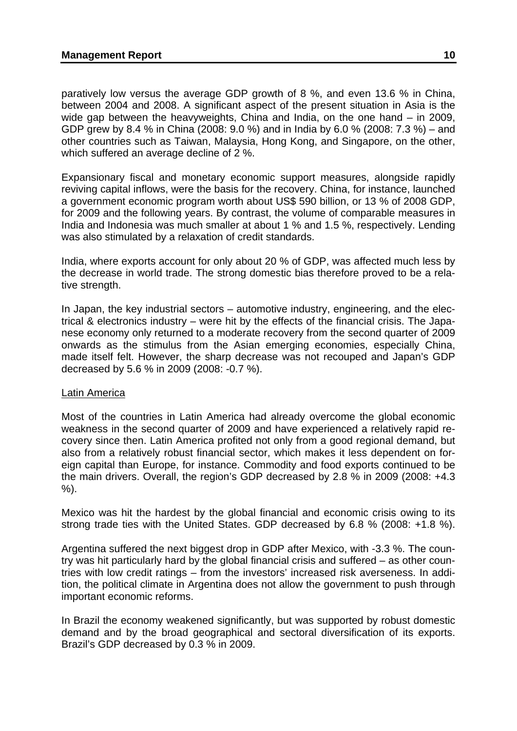paratively low versus the average GDP growth of 8 %, and even 13.6 % in China, between 2004 and 2008. A significant aspect of the present situation in Asia is the wide gap between the heavyweights, China and India, on the one hand – in 2009, GDP grew by 8.4 % in China (2008: 9.0 %) and in India by 6.0 % (2008: 7.3 %) – and other countries such as Taiwan, Malaysia, Hong Kong, and Singapore, on the other, which suffered an average decline of 2 %.

Expansionary fiscal and monetary economic support measures, alongside rapidly reviving capital inflows, were the basis for the recovery. China, for instance, launched a government economic program worth about US\$ 590 billion, or 13 % of 2008 GDP, for 2009 and the following years. By contrast, the volume of comparable measures in India and Indonesia was much smaller at about 1 % and 1.5 %, respectively. Lending was also stimulated by a relaxation of credit standards.

India, where exports account for only about 20 % of GDP, was affected much less by the decrease in world trade. The strong domestic bias therefore proved to be a relative strength.

In Japan, the key industrial sectors – automotive industry, engineering, and the electrical & electronics industry – were hit by the effects of the financial crisis. The Japanese economy only returned to a moderate recovery from the second quarter of 2009 onwards as the stimulus from the Asian emerging economies, especially China, made itself felt. However, the sharp decrease was not recouped and Japan's GDP decreased by 5.6 % in 2009 (2008: -0.7 %).

## Latin America

Most of the countries in Latin America had already overcome the global economic weakness in the second quarter of 2009 and have experienced a relatively rapid recovery since then. Latin America profited not only from a good regional demand, but also from a relatively robust financial sector, which makes it less dependent on foreign capital than Europe, for instance. Commodity and food exports continued to be the main drivers. Overall, the region's GDP decreased by 2.8 % in 2009 (2008: +4.3 %).

Mexico was hit the hardest by the global financial and economic crisis owing to its strong trade ties with the United States. GDP decreased by 6.8 % (2008: +1.8 %).

Argentina suffered the next biggest drop in GDP after Mexico, with -3.3 %. The country was hit particularly hard by the global financial crisis and suffered – as other countries with low credit ratings – from the investors' increased risk averseness. In addition, the political climate in Argentina does not allow the government to push through important economic reforms.

In Brazil the economy weakened significantly, but was supported by robust domestic demand and by the broad geographical and sectoral diversification of its exports. Brazil's GDP decreased by 0.3 % in 2009.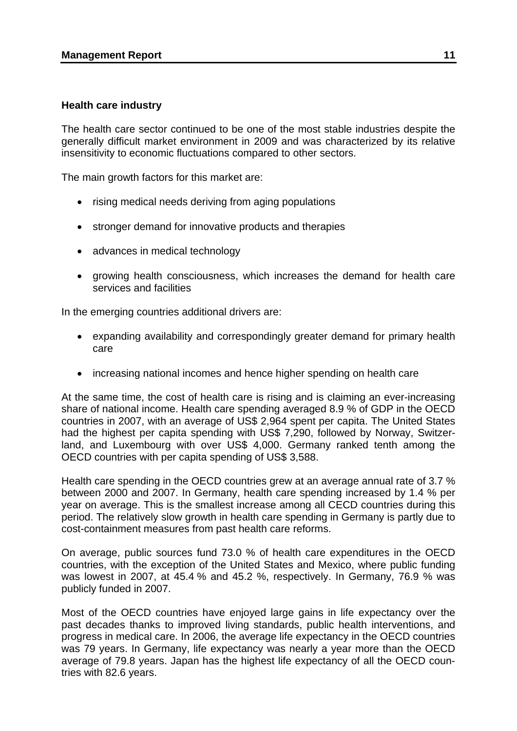### **Health care industry**

The health care sector continued to be one of the most stable industries despite the generally difficult market environment in 2009 and was characterized by its relative insensitivity to economic fluctuations compared to other sectors.

The main growth factors for this market are:

- rising medical needs deriving from aging populations
- stronger demand for innovative products and therapies
- advances in medical technology
- growing health consciousness, which increases the demand for health care services and facilities

In the emerging countries additional drivers are:

- expanding availability and correspondingly greater demand for primary health care
- increasing national incomes and hence higher spending on health care

At the same time, the cost of health care is rising and is claiming an ever-increasing share of national income. Health care spending averaged 8.9 % of GDP in the OECD countries in 2007, with an average of US\$ 2,964 spent per capita. The United States had the highest per capita spending with US\$ 7,290, followed by Norway, Switzerland, and Luxembourg with over US\$ 4,000. Germany ranked tenth among the OECD countries with per capita spending of US\$ 3,588.

Health care spending in the OECD countries grew at an average annual rate of 3.7 % between 2000 and 2007. In Germany, health care spending increased by 1.4 % per year on average. This is the smallest increase among all CECD countries during this period. The relatively slow growth in health care spending in Germany is partly due to cost-containment measures from past health care reforms.

On average, public sources fund 73.0 % of health care expenditures in the OECD countries, with the exception of the United States and Mexico, where public funding was lowest in 2007, at 45.4 % and 45.2 %, respectively. In Germany, 76.9 % was publicly funded in 2007.

Most of the OECD countries have enjoyed large gains in life expectancy over the past decades thanks to improved living standards, public health interventions, and progress in medical care. In 2006, the average life expectancy in the OECD countries was 79 years. In Germany, life expectancy was nearly a year more than the OECD average of 79.8 years. Japan has the highest life expectancy of all the OECD countries with 82.6 years.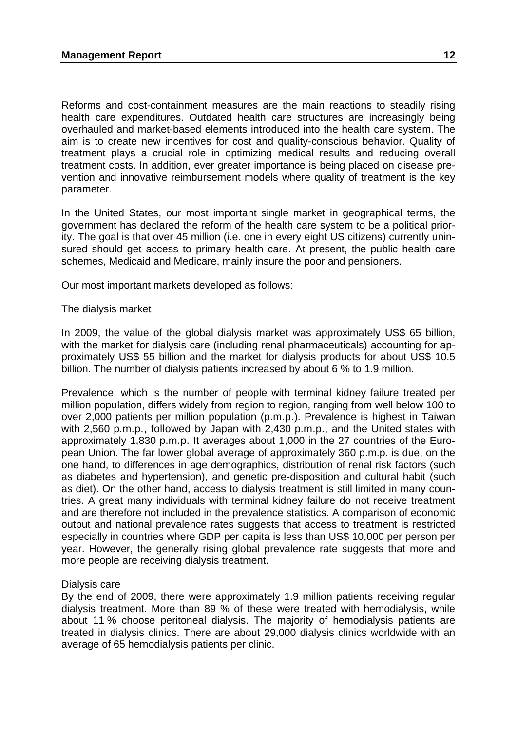Reforms and cost-containment measures are the main reactions to steadily rising health care expenditures. Outdated health care structures are increasingly being overhauled and market-based elements introduced into the health care system. The aim is to create new incentives for cost and quality-conscious behavior. Quality of treatment plays a crucial role in optimizing medical results and reducing overall treatment costs. In addition, ever greater importance is being placed on disease prevention and innovative reimbursement models where quality of treatment is the key parameter.

In the United States, our most important single market in geographical terms, the government has declared the reform of the health care system to be a political priority. The goal is that over 45 million (i.e. one in every eight US citizens) currently uninsured should get access to primary health care. At present, the public health care schemes, Medicaid and Medicare, mainly insure the poor and pensioners.

Our most important markets developed as follows:

### The dialysis market

In 2009, the value of the global dialysis market was approximately US\$ 65 billion, with the market for dialysis care (including renal pharmaceuticals) accounting for approximately US\$ 55 billion and the market for dialysis products for about US\$ 10.5 billion. The number of dialysis patients increased by about 6 % to 1.9 million.

Prevalence, which is the number of people with terminal kidney failure treated per million population, differs widely from region to region, ranging from well below 100 to over 2,000 patients per million population (p.m.p.). Prevalence is highest in Taiwan with 2,560 p.m.p., followed by Japan with 2,430 p.m.p., and the United states with approximately 1,830 p.m.p. It averages about 1,000 in the 27 countries of the European Union. The far lower global average of approximately 360 p.m.p. is due, on the one hand, to differences in age demographics, distribution of renal risk factors (such as diabetes and hypertension), and genetic pre-disposition and cultural habit (such as diet). On the other hand, access to dialysis treatment is still limited in many countries. A great many individuals with terminal kidney failure do not receive treatment and are therefore not included in the prevalence statistics. A comparison of economic output and national prevalence rates suggests that access to treatment is restricted especially in countries where GDP per capita is less than US\$ 10,000 per person per year. However, the generally rising global prevalence rate suggests that more and more people are receiving dialysis treatment.

## Dialysis care

By the end of 2009, there were approximately 1.9 million patients receiving regular dialysis treatment. More than 89 % of these were treated with hemodialysis, while about 11 % choose peritoneal dialysis. The majority of hemodialysis patients are treated in dialysis clinics. There are about 29,000 dialysis clinics worldwide with an average of 65 hemodialysis patients per clinic.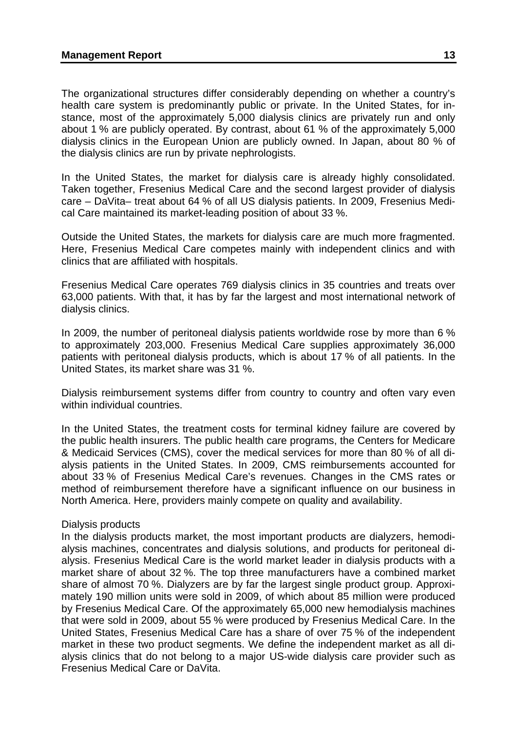The organizational structures differ considerably depending on whether a country's health care system is predominantly public or private. In the United States, for instance, most of the approximately 5,000 dialysis clinics are privately run and only about 1 % are publicly operated. By contrast, about 61 % of the approximately 5,000 dialysis clinics in the European Union are publicly owned. In Japan, about 80 % of the dialysis clinics are run by private nephrologists.

In the United States, the market for dialysis care is already highly consolidated. Taken together, Fresenius Medical Care and the second largest provider of dialysis care – DaVita– treat about 64 % of all US dialysis patients. In 2009, Fresenius Medical Care maintained its market-leading position of about 33 %.

Outside the United States, the markets for dialysis care are much more fragmented. Here, Fresenius Medical Care competes mainly with independent clinics and with clinics that are affiliated with hospitals.

Fresenius Medical Care operates 769 dialysis clinics in 35 countries and treats over 63,000 patients. With that, it has by far the largest and most international network of dialysis clinics.

In 2009, the number of peritoneal dialysis patients worldwide rose by more than 6 % to approximately 203,000. Fresenius Medical Care supplies approximately 36,000 patients with peritoneal dialysis products, which is about 17 % of all patients. In the United States, its market share was 31 %.

Dialysis reimbursement systems differ from country to country and often vary even within individual countries.

In the United States, the treatment costs for terminal kidney failure are covered by the public health insurers. The public health care programs, the Centers for Medicare & Medicaid Services (CMS), cover the medical services for more than 80 % of all dialysis patients in the United States. In 2009, CMS reimbursements accounted for about 33 % of Fresenius Medical Care's revenues. Changes in the CMS rates or method of reimbursement therefore have a significant influence on our business in North America. Here, providers mainly compete on quality and availability.

#### Dialysis products

In the dialysis products market, the most important products are dialyzers, hemodialysis machines, concentrates and dialysis solutions, and products for peritoneal dialysis. Fresenius Medical Care is the world market leader in dialysis products with a market share of about 32 %. The top three manufacturers have a combined market share of almost 70 %. Dialyzers are by far the largest single product group. Approximately 190 million units were sold in 2009, of which about 85 million were produced by Fresenius Medical Care. Of the approximately 65,000 new hemodialysis machines that were sold in 2009, about 55 % were produced by Fresenius Medical Care. In the United States, Fresenius Medical Care has a share of over 75 % of the independent market in these two product segments. We define the independent market as all dialysis clinics that do not belong to a major US-wide dialysis care provider such as Fresenius Medical Care or DaVita.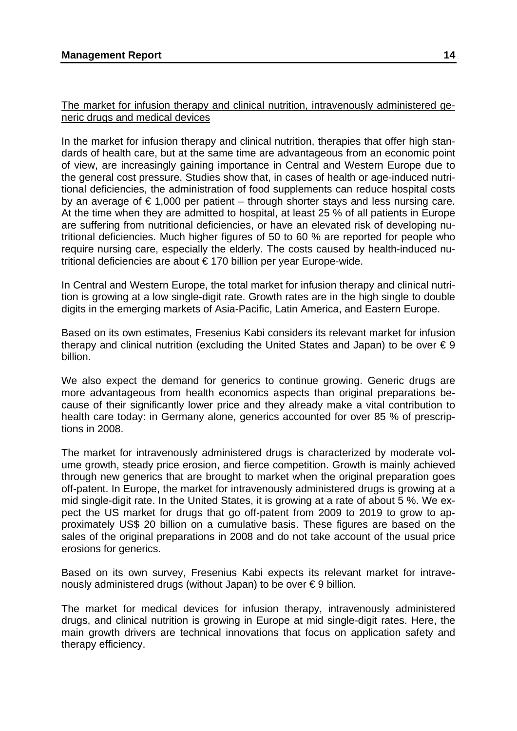## The market for infusion therapy and clinical nutrition, intravenously administered generic drugs and medical devices

In the market for infusion therapy and clinical nutrition, therapies that offer high standards of health care, but at the same time are advantageous from an economic point of view, are increasingly gaining importance in Central and Western Europe due to the general cost pressure. Studies show that, in cases of health or age-induced nutritional deficiencies, the administration of food supplements can reduce hospital costs by an average of  $\epsilon$  1,000 per patient – through shorter stays and less nursing care. At the time when they are admitted to hospital, at least 25 % of all patients in Europe are suffering from nutritional deficiencies, or have an elevated risk of developing nutritional deficiencies. Much higher figures of 50 to 60 % are reported for people who require nursing care, especially the elderly. The costs caused by health-induced nutritional deficiencies are about € 170 billion per year Europe-wide.

In Central and Western Europe, the total market for infusion therapy and clinical nutrition is growing at a low single-digit rate. Growth rates are in the high single to double digits in the emerging markets of Asia-Pacific, Latin America, and Eastern Europe.

Based on its own estimates, Fresenius Kabi considers its relevant market for infusion therapy and clinical nutrition (excluding the United States and Japan) to be over  $\epsilon$  9 billion.

We also expect the demand for generics to continue growing. Generic drugs are more advantageous from health economics aspects than original preparations because of their significantly lower price and they already make a vital contribution to health care today: in Germany alone, generics accounted for over 85 % of prescriptions in 2008.

The market for intravenously administered drugs is characterized by moderate volume growth, steady price erosion, and fierce competition. Growth is mainly achieved through new generics that are brought to market when the original preparation goes off-patent. In Europe, the market for intravenously administered drugs is growing at a mid single-digit rate. In the United States, it is growing at a rate of about 5 %. We expect the US market for drugs that go off-patent from 2009 to 2019 to grow to approximately US\$ 20 billion on a cumulative basis. These figures are based on the sales of the original preparations in 2008 and do not take account of the usual price erosions for generics.

Based on its own survey, Fresenius Kabi expects its relevant market for intravenously administered drugs (without Japan) to be over € 9 billion.

The market for medical devices for infusion therapy, intravenously administered drugs, and clinical nutrition is growing in Europe at mid single-digit rates. Here, the main growth drivers are technical innovations that focus on application safety and therapy efficiency.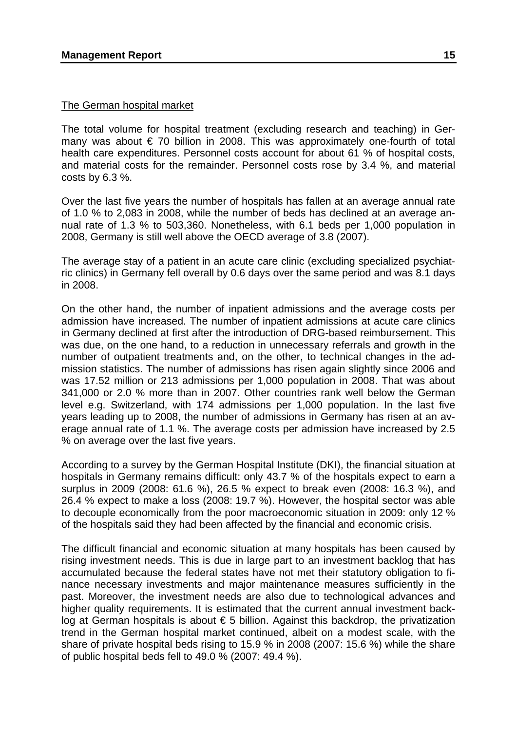### The German hospital market

The total volume for hospital treatment (excluding research and teaching) in Germany was about € 70 billion in 2008. This was approximately one-fourth of total health care expenditures. Personnel costs account for about 61 % of hospital costs, and material costs for the remainder. Personnel costs rose by 3.4 %, and material costs by 6.3 %.

Over the last five years the number of hospitals has fallen at an average annual rate of 1.0 % to 2,083 in 2008, while the number of beds has declined at an average annual rate of 1.3 % to 503,360. Nonetheless, with 6.1 beds per 1,000 population in 2008, Germany is still well above the OECD average of 3.8 (2007).

The average stay of a patient in an acute care clinic (excluding specialized psychiatric clinics) in Germany fell overall by 0.6 days over the same period and was 8.1 days in 2008.

On the other hand, the number of inpatient admissions and the average costs per admission have increased. The number of inpatient admissions at acute care clinics in Germany declined at first after the introduction of DRG-based reimbursement. This was due, on the one hand, to a reduction in unnecessary referrals and growth in the number of outpatient treatments and, on the other, to technical changes in the admission statistics. The number of admissions has risen again slightly since 2006 and was 17.52 million or 213 admissions per 1,000 population in 2008. That was about 341,000 or 2.0 % more than in 2007. Other countries rank well below the German level e.g. Switzerland, with 174 admissions per 1,000 population. In the last five years leading up to 2008, the number of admissions in Germany has risen at an average annual rate of 1.1 %. The average costs per admission have increased by 2.5 % on average over the last five years.

According to a survey by the German Hospital Institute (DKI), the financial situation at hospitals in Germany remains difficult: only 43.7 % of the hospitals expect to earn a surplus in 2009 (2008: 61.6 %), 26.5 % expect to break even (2008: 16.3 %), and 26.4 % expect to make a loss (2008: 19.7 %). However, the hospital sector was able to decouple economically from the poor macroeconomic situation in 2009: only 12 % of the hospitals said they had been affected by the financial and economic crisis.

The difficult financial and economic situation at many hospitals has been caused by rising investment needs. This is due in large part to an investment backlog that has accumulated because the federal states have not met their statutory obligation to finance necessary investments and major maintenance measures sufficiently in the past. Moreover, the investment needs are also due to technological advances and higher quality requirements. It is estimated that the current annual investment backlog at German hospitals is about  $\epsilon$  5 billion. Against this backdrop, the privatization trend in the German hospital market continued, albeit on a modest scale, with the share of private hospital beds rising to 15.9 % in 2008 (2007: 15.6 %) while the share of public hospital beds fell to 49.0 % (2007: 49.4 %).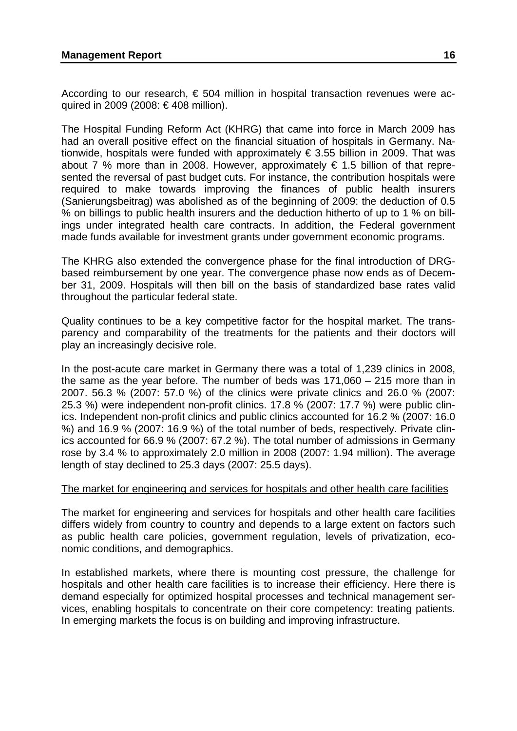According to our research,  $\epsilon$  504 million in hospital transaction revenues were acquired in 2009 (2008: € 408 million).

The Hospital Funding Reform Act (KHRG) that came into force in March 2009 has had an overall positive effect on the financial situation of hospitals in Germany. Nationwide, hospitals were funded with approximately  $\epsilon$  3.55 billion in 2009. That was about 7 % more than in 2008. However, approximately € 1.5 billion of that represented the reversal of past budget cuts. For instance, the contribution hospitals were required to make towards improving the finances of public health insurers (Sanierungsbeitrag) was abolished as of the beginning of 2009: the deduction of 0.5 % on billings to public health insurers and the deduction hitherto of up to 1 % on billings under integrated health care contracts. In addition, the Federal government made funds available for investment grants under government economic programs.

The KHRG also extended the convergence phase for the final introduction of DRGbased reimbursement by one year. The convergence phase now ends as of December 31, 2009. Hospitals will then bill on the basis of standardized base rates valid throughout the particular federal state.

Quality continues to be a key competitive factor for the hospital market. The transparency and comparability of the treatments for the patients and their doctors will play an increasingly decisive role.

In the post-acute care market in Germany there was a total of 1,239 clinics in 2008, the same as the year before. The number of beds was 171,060 – 215 more than in 2007. 56.3 % (2007: 57.0 %) of the clinics were private clinics and 26.0 % (2007: 25.3 %) were independent non-profit clinics. 17.8 % (2007: 17.7 %) were public clinics. Independent non-profit clinics and public clinics accounted for 16.2 % (2007: 16.0 %) and 16.9 % (2007: 16.9 %) of the total number of beds, respectively. Private clinics accounted for 66.9 % (2007: 67.2 %). The total number of admissions in Germany rose by 3.4 % to approximately 2.0 million in 2008 (2007: 1.94 million). The average length of stay declined to 25.3 days (2007: 25.5 days).

#### The market for engineering and services for hospitals and other health care facilities

The market for engineering and services for hospitals and other health care facilities differs widely from country to country and depends to a large extent on factors such as public health care policies, government regulation, levels of privatization, economic conditions, and demographics.

In established markets, where there is mounting cost pressure, the challenge for hospitals and other health care facilities is to increase their efficiency. Here there is demand especially for optimized hospital processes and technical management services, enabling hospitals to concentrate on their core competency: treating patients. In emerging markets the focus is on building and improving infrastructure.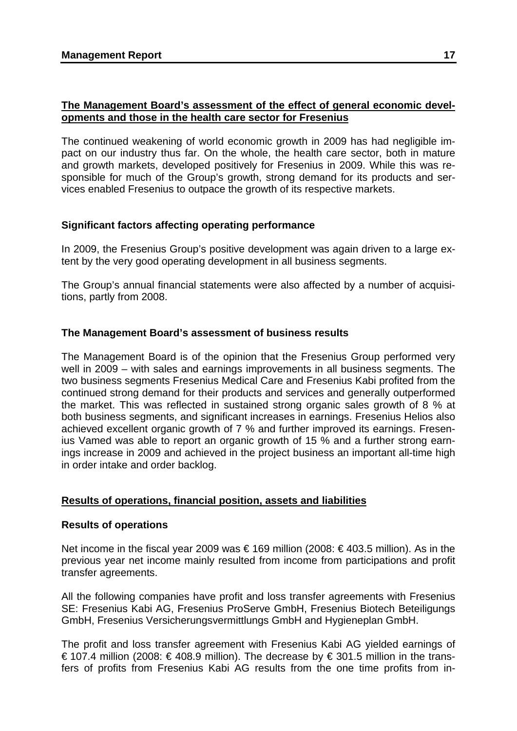# **The Management Board's assessment of the effect of general economic developments and those in the health care sector for Fresenius**

The continued weakening of world economic growth in 2009 has had negligible impact on our industry thus far. On the whole, the health care sector, both in mature and growth markets, developed positively for Fresenius in 2009. While this was responsible for much of the Group's growth, strong demand for its products and services enabled Fresenius to outpace the growth of its respective markets.

# **Significant factors affecting operating performance**

In 2009, the Fresenius Group's positive development was again driven to a large extent by the very good operating development in all business segments.

The Group's annual financial statements were also affected by a number of acquisitions, partly from 2008.

# **The Management Board's assessment of business results**

The Management Board is of the opinion that the Fresenius Group performed very well in 2009 – with sales and earnings improvements in all business segments. The two business segments Fresenius Medical Care and Fresenius Kabi profited from the continued strong demand for their products and services and generally outperformed the market. This was reflected in sustained strong organic sales growth of 8 % at both business segments, and significant increases in earnings. Fresenius Helios also achieved excellent organic growth of 7 % and further improved its earnings. Fresenius Vamed was able to report an organic growth of 15 % and a further strong earnings increase in 2009 and achieved in the project business an important all-time high in order intake and order backlog.

# **Results of operations, financial position, assets and liabilities**

# **Results of operations**

Net income in the fiscal year 2009 was € 169 million (2008: € 403.5 million). As in the previous year net income mainly resulted from income from participations and profit transfer agreements.

All the following companies have profit and loss transfer agreements with Fresenius SE: Fresenius Kabi AG, Fresenius ProServe GmbH, Fresenius Biotech Beteiligungs GmbH, Fresenius Versicherungsvermittlungs GmbH and Hygieneplan GmbH.

The profit and loss transfer agreement with Fresenius Kabi AG yielded earnings of € 107.4 million (2008: € 408.9 million). The decrease by € 301.5 million in the transfers of profits from Fresenius Kabi AG results from the one time profits from in-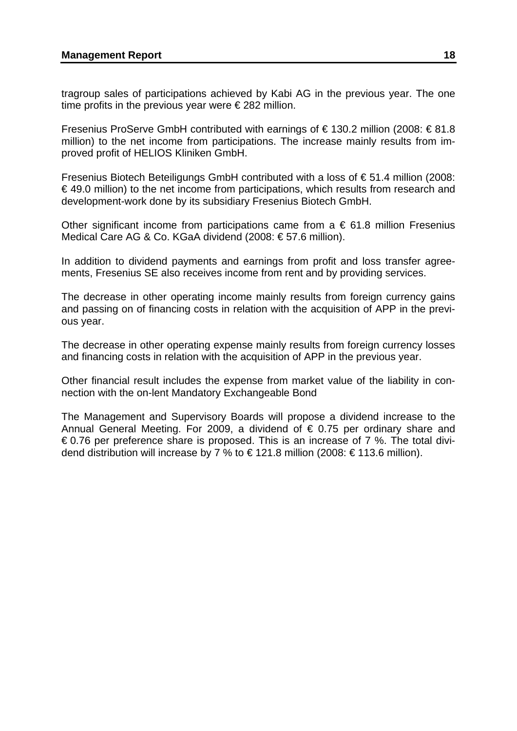#### **Management Report 28 and 28 and 28 and 28 and 28 and 28 and 28 and 28 and 28 and 28 and 28 and 28 and 28 and 28 and 28 and 28 and 28 and 28 and 28 and 28 and 28 and 28 and 28 and 28 and 28 and 28 and 28 and 28 and 28 and**

tragroup sales of participations achieved by Kabi AG in the previous year. The one time profits in the previous year were  $\epsilon$  282 million.

Fresenius ProServe GmbH contributed with earnings of € 130.2 million (2008: € 81.8 million) to the net income from participations. The increase mainly results from improved profit of HELIOS Kliniken GmbH.

Fresenius Biotech Beteiligungs GmbH contributed with a loss of  $\epsilon$  51.4 million (2008:  $\epsilon$  49.0 million) to the net income from participations, which results from research and development-work done by its subsidiary Fresenius Biotech GmbH.

Other significant income from participations came from  $a \in 61.8$  million Fresenius Medical Care AG & Co. KGaA dividend (2008: € 57.6 million).

In addition to dividend payments and earnings from profit and loss transfer agreements, Fresenius SE also receives income from rent and by providing services.

The decrease in other operating income mainly results from foreign currency gains and passing on of financing costs in relation with the acquisition of APP in the previous year.

The decrease in other operating expense mainly results from foreign currency losses and financing costs in relation with the acquisition of APP in the previous year.

Other financial result includes the expense from market value of the liability in connection with the on-lent Mandatory Exchangeable Bond

The Management and Supervisory Boards will propose a dividend increase to the Annual General Meeting. For 2009, a dividend of  $\epsilon$  0.75 per ordinary share and  $\epsilon$ 0.76 per preference share is proposed. This is an increase of 7 %. The total dividend distribution will increase by 7 % to  $\in$  121.8 million (2008:  $\in$  113.6 million).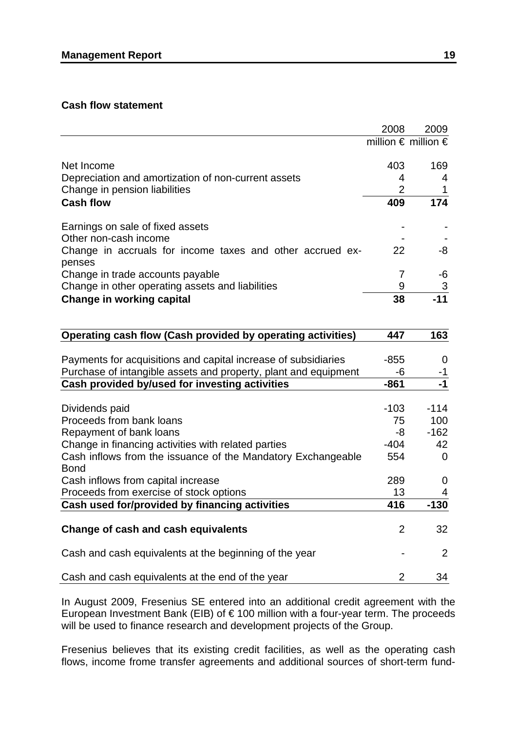### **Cash flow statement**

|                                                           | 2008                                  | 2009 |
|-----------------------------------------------------------|---------------------------------------|------|
|                                                           | million $\epsilon$ million $\epsilon$ |      |
|                                                           |                                       |      |
| Net Income                                                | 403                                   | 169  |
| Depreciation and amortization of non-current assets       |                                       |      |
| Change in pension liabilities                             |                                       |      |
| <b>Cash flow</b>                                          | 409                                   | 174  |
| Earnings on sale of fixed assets                          |                                       |      |
| Other non-cash income                                     |                                       |      |
| Change in accruals for income taxes and other accrued ex- | 22                                    | -8   |
| penses                                                    |                                       |      |
| Change in trade accounts payable                          |                                       |      |
| Change in other operating assets and liabilities          | 9                                     | 3    |
| Change in working capital                                 | 38                                    |      |

| Operating cash flow (Cash provided by operating activities)     | 447            | 163      |
|-----------------------------------------------------------------|----------------|----------|
|                                                                 |                |          |
| Payments for acquisitions and capital increase of subsidiaries  |                | 0        |
| Purchase of intangible assets and property, plant and equipment | -6             | -1       |
| Cash provided by/used for investing activities                  | $-861$         | $-1$     |
|                                                                 |                |          |
| Dividends paid                                                  | $-103$         | $-114$   |
| Proceeds from bank loans                                        | 75             | 100      |
| Repayment of bank loans                                         | -8             | $-162$   |
| Change in financing activities with related parties             | $-404$         | 42       |
| Cash inflows from the issuance of the Mandatory Exchangeable    | 554            | $\Omega$ |
| <b>Bond</b>                                                     |                |          |
| Cash inflows from capital increase                              | 289            | 0        |
| Proceeds from exercise of stock options                         | 13             | 4        |
| Cash used for/provided by financing activities                  | 416            | $-130$   |
|                                                                 |                |          |
| Change of cash and cash equivalents                             | $\overline{2}$ | 32       |
| Cash and cash equivalents at the beginning of the year          |                | 2        |
|                                                                 |                |          |
| Cash and cash equivalents at the end of the year                | 2              | 34       |

In August 2009, Fresenius SE entered into an additional credit agreement with the European Investment Bank (EIB) of € 100 million with a four-year term. The proceeds will be used to finance research and development projects of the Group.

Fresenius believes that its existing credit facilities, as well as the operating cash flows, income frome transfer agreements and additional sources of short-term fund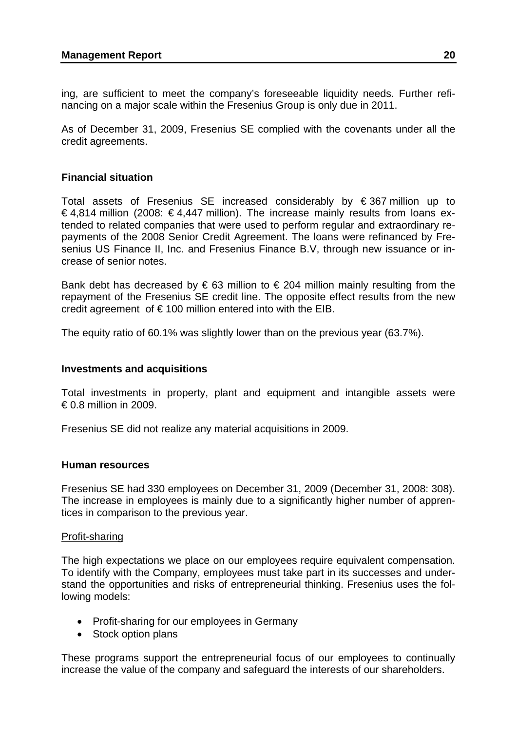ing, are sufficient to meet the company's foreseeable liquidity needs. Further refinancing on a major scale within the Fresenius Group is only due in 2011.

As of December 31, 2009, Fresenius SE complied with the covenants under all the credit agreements.

# **Financial situation**

Total assets of Fresenius SE increased considerably by € 367 million up to €4,814 million (2008: €4,447 million). The increase mainly results from loans extended to related companies that were used to perform regular and extraordinary repayments of the 2008 Senior Credit Agreement. The loans were refinanced by Fresenius US Finance II, Inc. and Fresenius Finance B.V, through new issuance or increase of senior notes.

Bank debt has decreased by  $\epsilon$  63 million to  $\epsilon$  204 million mainly resulting from the repayment of the Fresenius SE credit line. The opposite effect results from the new credit agreement of  $\epsilon$  100 million entered into with the EIB.

The equity ratio of 60.1% was slightly lower than on the previous year (63.7%).

## **Investments and acquisitions**

Total investments in property, plant and equipment and intangible assets were  $\epsilon$  0.8 million in 2009.

Fresenius SE did not realize any material acquisitions in 2009.

## **Human resources**

Fresenius SE had 330 employees on December 31, 2009 (December 31, 2008: 308). The increase in employees is mainly due to a significantly higher number of apprentices in comparison to the previous year.

## Profit-sharing

The high expectations we place on our employees require equivalent compensation. To identify with the Company, employees must take part in its successes and understand the opportunities and risks of entrepreneurial thinking. Fresenius uses the following models:

- Profit-sharing for our employees in Germany
- Stock option plans

These programs support the entrepreneurial focus of our employees to continually increase the value of the company and safeguard the interests of our shareholders.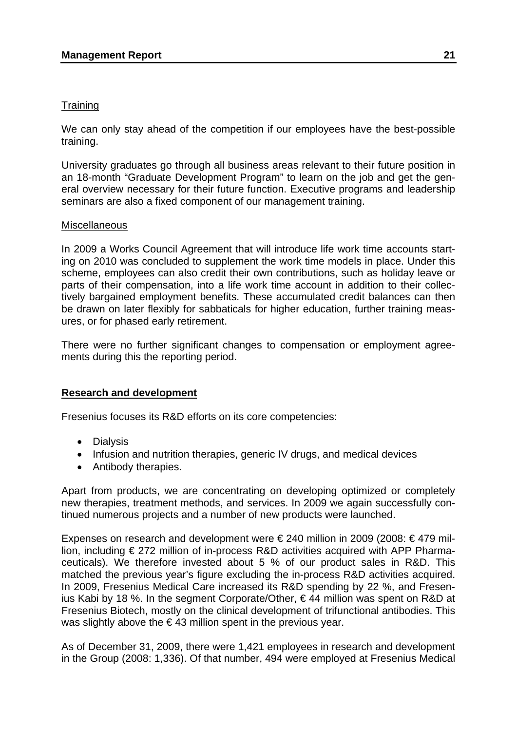# **Training**

We can only stay ahead of the competition if our employees have the best-possible training.

University graduates go through all business areas relevant to their future position in an 18-month "Graduate Development Program" to learn on the job and get the general overview necessary for their future function. Executive programs and leadership seminars are also a fixed component of our management training.

### **Miscellaneous**

In 2009 a Works Council Agreement that will introduce life work time accounts starting on 2010 was concluded to supplement the work time models in place. Under this scheme, employees can also credit their own contributions, such as holiday leave or parts of their compensation, into a life work time account in addition to their collectively bargained employment benefits. These accumulated credit balances can then be drawn on later flexibly for sabbaticals for higher education, further training measures, or for phased early retirement.

There were no further significant changes to compensation or employment agreements during this the reporting period.

## **Research and development**

Fresenius focuses its R&D efforts on its core competencies:

- Dialysis
- Infusion and nutrition therapies, generic IV drugs, and medical devices
- Antibody therapies.

Apart from products, we are concentrating on developing optimized or completely new therapies, treatment methods, and services. In 2009 we again successfully continued numerous projects and a number of new products were launched.

Expenses on research and development were €240 million in 2009 (2008: €479 million, including € 272 million of in-process R&D activities acquired with APP Pharmaceuticals). We therefore invested about 5 % of our product sales in R&D. This matched the previous year's figure excluding the in-process R&D activities acquired. In 2009, Fresenius Medical Care increased its R&D spending by 22 %, and Fresenius Kabi by 18 %. In the segment Corporate/Other, € 44 million was spent on R&D at Fresenius Biotech, mostly on the clinical development of trifunctional antibodies. This was slightly above the  $\epsilon$  43 million spent in the previous year.

As of December 31, 2009, there were 1,421 employees in research and development in the Group (2008: 1,336). Of that number, 494 were employed at Fresenius Medical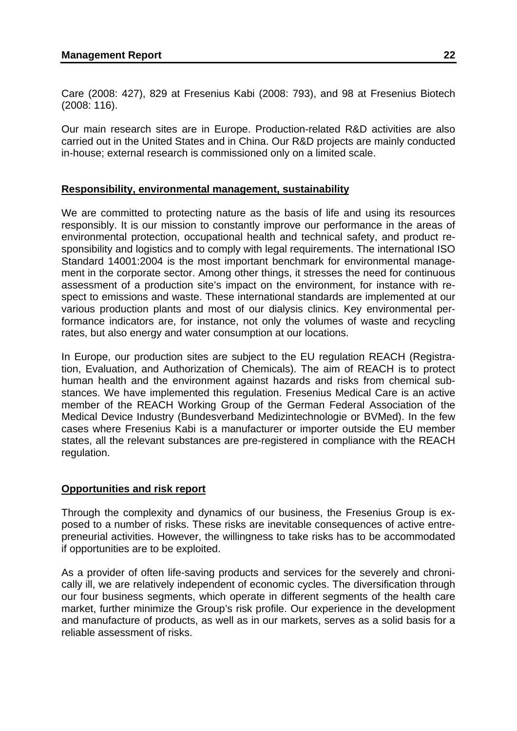Care (2008: 427), 829 at Fresenius Kabi (2008: 793), and 98 at Fresenius Biotech (2008: 116).

Our main research sites are in Europe. Production-related R&D activities are also carried out in the United States and in China. Our R&D projects are mainly conducted in-house; external research is commissioned only on a limited scale.

# **Responsibility, environmental management, sustainability**

We are committed to protecting nature as the basis of life and using its resources responsibly. It is our mission to constantly improve our performance in the areas of environmental protection, occupational health and technical safety, and product responsibility and logistics and to comply with legal requirements. The international ISO Standard 14001:2004 is the most important benchmark for environmental management in the corporate sector. Among other things, it stresses the need for continuous assessment of a production site's impact on the environment, for instance with respect to emissions and waste. These international standards are implemented at our various production plants and most of our dialysis clinics. Key environmental performance indicators are, for instance, not only the volumes of waste and recycling rates, but also energy and water consumption at our locations.

In Europe, our production sites are subject to the EU regulation REACH (Registration, Evaluation, and Authorization of Chemicals). The aim of REACH is to protect human health and the environment against hazards and risks from chemical substances. We have implemented this regulation. Fresenius Medical Care is an active member of the REACH Working Group of the German Federal Association of the Medical Device Industry (Bundesverband Medizintechnologie or BVMed). In the few cases where Fresenius Kabi is a manufacturer or importer outside the EU member states, all the relevant substances are pre-registered in compliance with the REACH regulation.

## **Opportunities and risk report**

Through the complexity and dynamics of our business, the Fresenius Group is exposed to a number of risks. These risks are inevitable consequences of active entrepreneurial activities. However, the willingness to take risks has to be accommodated if opportunities are to be exploited.

As a provider of often life-saving products and services for the severely and chronically ill, we are relatively independent of economic cycles. The diversification through our four business segments, which operate in different segments of the health care market, further minimize the Group's risk profile. Our experience in the development and manufacture of products, as well as in our markets, serves as a solid basis for a reliable assessment of risks.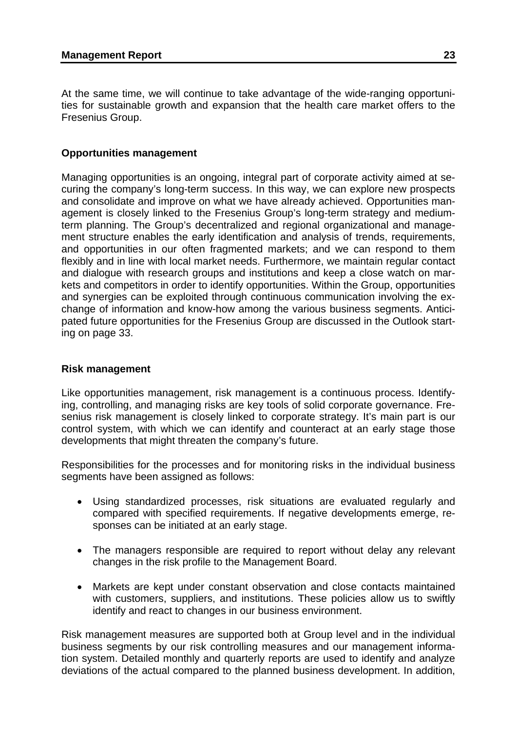At the same time, we will continue to take advantage of the wide-ranging opportunities for sustainable growth and expansion that the health care market offers to the Fresenius Group.

# **Opportunities management**

Managing opportunities is an ongoing, integral part of corporate activity aimed at securing the company's long-term success. In this way, we can explore new prospects and consolidate and improve on what we have already achieved. Opportunities management is closely linked to the Fresenius Group's long-term strategy and mediumterm planning. The Group's decentralized and regional organizational and management structure enables the early identification and analysis of trends, requirements, and opportunities in our often fragmented markets; and we can respond to them flexibly and in line with local market needs. Furthermore, we maintain regular contact and dialogue with research groups and institutions and keep a close watch on markets and competitors in order to identify opportunities. Within the Group, opportunities and synergies can be exploited through continuous communication involving the exchange of information and know-how among the various business segments. Anticipated future opportunities for the Fresenius Group are discussed in the Outlook starting on page 33.

# **Risk management**

Like opportunities management, risk management is a continuous process. Identifying, controlling, and managing risks are key tools of solid corporate governance. Fresenius risk management is closely linked to corporate strategy. It's main part is our control system, with which we can identify and counteract at an early stage those developments that might threaten the company's future.

Responsibilities for the processes and for monitoring risks in the individual business segments have been assigned as follows:

- Using standardized processes, risk situations are evaluated regularly and compared with specified requirements. If negative developments emerge, responses can be initiated at an early stage.
- The managers responsible are required to report without delay any relevant changes in the risk profile to the Management Board.
- Markets are kept under constant observation and close contacts maintained with customers, suppliers, and institutions. These policies allow us to swiftly identify and react to changes in our business environment.

Risk management measures are supported both at Group level and in the individual business segments by our risk controlling measures and our management information system. Detailed monthly and quarterly reports are used to identify and analyze deviations of the actual compared to the planned business development. In addition,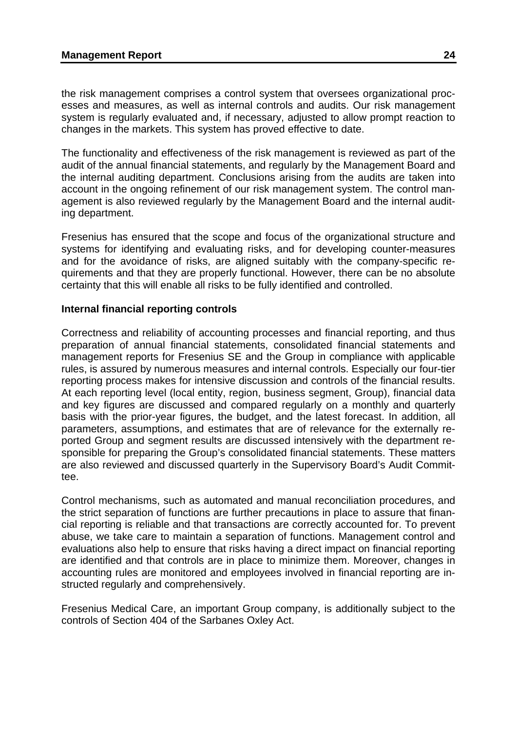the risk management comprises a control system that oversees organizational processes and measures, as well as internal controls and audits. Our risk management system is regularly evaluated and, if necessary, adjusted to allow prompt reaction to changes in the markets. This system has proved effective to date.

The functionality and effectiveness of the risk management is reviewed as part of the audit of the annual financial statements, and regularly by the Management Board and the internal auditing department. Conclusions arising from the audits are taken into account in the ongoing refinement of our risk management system. The control management is also reviewed regularly by the Management Board and the internal auditing department.

Fresenius has ensured that the scope and focus of the organizational structure and systems for identifying and evaluating risks, and for developing counter-measures and for the avoidance of risks, are aligned suitably with the company-specific requirements and that they are properly functional. However, there can be no absolute certainty that this will enable all risks to be fully identified and controlled.

## **Internal financial reporting controls**

Correctness and reliability of accounting processes and financial reporting, and thus preparation of annual financial statements, consolidated financial statements and management reports for Fresenius SE and the Group in compliance with applicable rules, is assured by numerous measures and internal controls. Especially our four-tier reporting process makes for intensive discussion and controls of the financial results. At each reporting level (local entity, region, business segment, Group), financial data and key figures are discussed and compared regularly on a monthly and quarterly basis with the prior-year figures, the budget, and the latest forecast. In addition, all parameters, assumptions, and estimates that are of relevance for the externally reported Group and segment results are discussed intensively with the department responsible for preparing the Group's consolidated financial statements. These matters are also reviewed and discussed quarterly in the Supervisory Board's Audit Committee.

Control mechanisms, such as automated and manual reconciliation procedures, and the strict separation of functions are further precautions in place to assure that financial reporting is reliable and that transactions are correctly accounted for. To prevent abuse, we take care to maintain a separation of functions. Management control and evaluations also help to ensure that risks having a direct impact on financial reporting are identified and that controls are in place to minimize them. Moreover, changes in accounting rules are monitored and employees involved in financial reporting are instructed regularly and comprehensively.

Fresenius Medical Care, an important Group company, is additionally subject to the controls of Section 404 of the Sarbanes Oxley Act.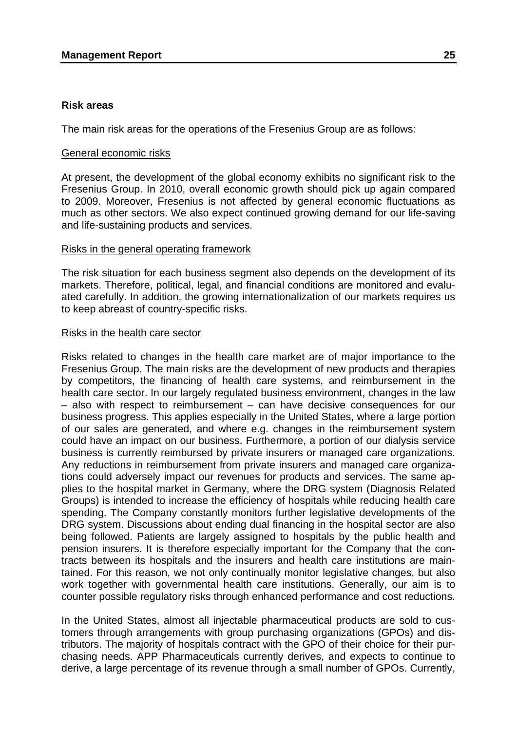#### **Risk areas**

The main risk areas for the operations of the Fresenius Group are as follows:

#### General economic risks

At present, the development of the global economy exhibits no significant risk to the Fresenius Group. In 2010, overall economic growth should pick up again compared to 2009. Moreover, Fresenius is not affected by general economic fluctuations as much as other sectors. We also expect continued growing demand for our life-saving and life-sustaining products and services.

#### Risks in the general operating framework

The risk situation for each business segment also depends on the development of its markets. Therefore, political, legal, and financial conditions are monitored and evaluated carefully. In addition, the growing internationalization of our markets requires us to keep abreast of country-specific risks.

### Risks in the health care sector

Risks related to changes in the health care market are of major importance to the Fresenius Group. The main risks are the development of new products and therapies by competitors, the financing of health care systems, and reimbursement in the health care sector. In our largely regulated business environment, changes in the law – also with respect to reimbursement – can have decisive consequences for our business progress. This applies especially in the United States, where a large portion of our sales are generated, and where e.g. changes in the reimbursement system could have an impact on our business. Furthermore, a portion of our dialysis service business is currently reimbursed by private insurers or managed care organizations. Any reductions in reimbursement from private insurers and managed care organizations could adversely impact our revenues for products and services. The same applies to the hospital market in Germany, where the DRG system (Diagnosis Related Groups) is intended to increase the efficiency of hospitals while reducing health care spending. The Company constantly monitors further legislative developments of the DRG system. Discussions about ending dual financing in the hospital sector are also being followed. Patients are largely assigned to hospitals by the public health and pension insurers. It is therefore especially important for the Company that the contracts between its hospitals and the insurers and health care institutions are maintained. For this reason, we not only continually monitor legislative changes, but also work together with governmental health care institutions. Generally, our aim is to counter possible regulatory risks through enhanced performance and cost reductions.

In the United States, almost all injectable pharmaceutical products are sold to customers through arrangements with group purchasing organizations (GPOs) and distributors. The majority of hospitals contract with the GPO of their choice for their purchasing needs. APP Pharmaceuticals currently derives, and expects to continue to derive, a large percentage of its revenue through a small number of GPOs. Currently,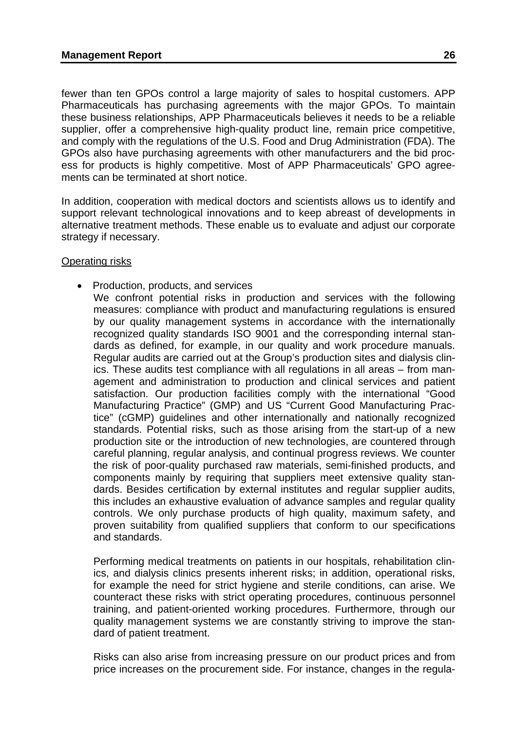fewer than ten GPOs control a large majority of sales to hospital customers. APP Pharmaceuticals has purchasing agreements with the major GPOs. To maintain these business relationships, APP Pharmaceuticals believes it needs to be a reliable supplier, offer a comprehensive high-quality product line, remain price competitive, and comply with the regulations of the U.S. Food and Drug Administration (FDA). The GPOs also have purchasing agreements with other manufacturers and the bid process for products is highly competitive. Most of APP Pharmaceuticals' GPO agreements can be terminated at short notice.

In addition, cooperation with medical doctors and scientists allows us to identify and support relevant technological innovations and to keep abreast of developments in alternative treatment methods. These enable us to evaluate and adjust our corporate strategy if necessary.

#### Operating risks

- Production, products, and services
	- We confront potential risks in production and services with the following measures: compliance with product and manufacturing regulations is ensured by our quality management systems in accordance with the internationally recognized quality standards ISO 9001 and the corresponding internal standards as defined, for example, in our quality and work procedure manuals. Regular audits are carried out at the Group's production sites and dialysis clinics. These audits test compliance with all regulations in all areas – from management and administration to production and clinical services and patient satisfaction. Our production facilities comply with the international "Good Manufacturing Practice" (GMP) and US "Current Good Manufacturing Practice" (cGMP) guidelines and other internationally and nationally recognized standards. Potential risks, such as those arising from the start-up of a new production site or the introduction of new technologies, are countered through careful planning, regular analysis, and continual progress reviews. We counter the risk of poor-quality purchased raw materials, semi-finished products, and components mainly by requiring that suppliers meet extensive quality standards. Besides certification by external institutes and regular supplier audits, this includes an exhaustive evaluation of advance samples and regular quality controls. We only purchase products of high quality, maximum safety, and proven suitability from qualified suppliers that conform to our specifications and standards.

Performing medical treatments on patients in our hospitals, rehabilitation clinics, and dialysis clinics presents inherent risks; in addition, operational risks, for example the need for strict hygiene and sterile conditions, can arise. We counteract these risks with strict operating procedures, continuous personnel training, and patient-oriented working procedures. Furthermore, through our quality management systems we are constantly striving to improve the standard of patient treatment.

Risks can also arise from increasing pressure on our product prices and from price increases on the procurement side. For instance, changes in the regula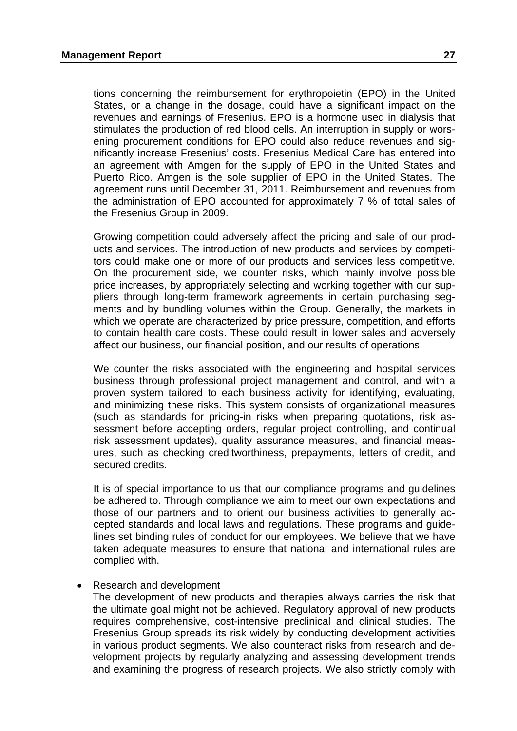tions concerning the reimbursement for erythropoietin (EPO) in the United States, or a change in the dosage, could have a significant impact on the revenues and earnings of Fresenius. EPO is a hormone used in dialysis that stimulates the production of red blood cells. An interruption in supply or worsening procurement conditions for EPO could also reduce revenues and significantly increase Fresenius' costs. Fresenius Medical Care has entered into an agreement with Amgen for the supply of EPO in the United States and Puerto Rico. Amgen is the sole supplier of EPO in the United States. The agreement runs until December 31, 2011. Reimbursement and revenues from the administration of EPO accounted for approximately 7 % of total sales of the Fresenius Group in 2009.

Growing competition could adversely affect the pricing and sale of our products and services. The introduction of new products and services by competitors could make one or more of our products and services less competitive. On the procurement side, we counter risks, which mainly involve possible price increases, by appropriately selecting and working together with our suppliers through long-term framework agreements in certain purchasing segments and by bundling volumes within the Group. Generally, the markets in which we operate are characterized by price pressure, competition, and efforts to contain health care costs. These could result in lower sales and adversely affect our business, our financial position, and our results of operations.

We counter the risks associated with the engineering and hospital services business through professional project management and control, and with a proven system tailored to each business activity for identifying, evaluating, and minimizing these risks. This system consists of organizational measures (such as standards for pricing-in risks when preparing quotations, risk assessment before accepting orders, regular project controlling, and continual risk assessment updates), quality assurance measures, and financial measures, such as checking creditworthiness, prepayments, letters of credit, and secured credits.

It is of special importance to us that our compliance programs and guidelines be adhered to. Through compliance we aim to meet our own expectations and those of our partners and to orient our business activities to generally accepted standards and local laws and regulations. These programs and guidelines set binding rules of conduct for our employees. We believe that we have taken adequate measures to ensure that national and international rules are complied with.

#### • Research and development

The development of new products and therapies always carries the risk that the ultimate goal might not be achieved. Regulatory approval of new products requires comprehensive, cost-intensive preclinical and clinical studies. The Fresenius Group spreads its risk widely by conducting development activities in various product segments. We also counteract risks from research and development projects by regularly analyzing and assessing development trends and examining the progress of research projects. We also strictly comply with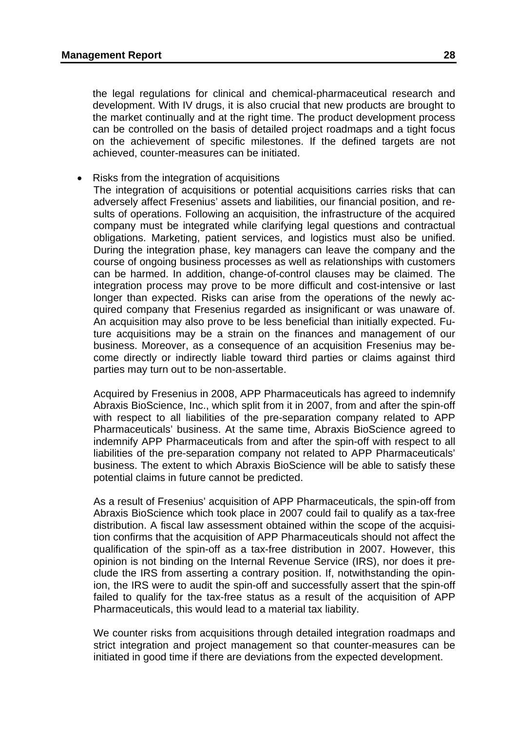the legal regulations for clinical and chemical-pharmaceutical research and development. With IV drugs, it is also crucial that new products are brought to the market continually and at the right time. The product development process can be controlled on the basis of detailed project roadmaps and a tight focus on the achievement of specific milestones. If the defined targets are not achieved, counter-measures can be initiated.

• Risks from the integration of acquisitions

The integration of acquisitions or potential acquisitions carries risks that can adversely affect Fresenius' assets and liabilities, our financial position, and results of operations. Following an acquisition, the infrastructure of the acquired company must be integrated while clarifying legal questions and contractual obligations. Marketing, patient services, and logistics must also be unified. During the integration phase, key managers can leave the company and the course of ongoing business processes as well as relationships with customers can be harmed. In addition, change-of-control clauses may be claimed. The integration process may prove to be more difficult and cost-intensive or last longer than expected. Risks can arise from the operations of the newly acquired company that Fresenius regarded as insignificant or was unaware of. An acquisition may also prove to be less beneficial than initially expected. Future acquisitions may be a strain on the finances and management of our business. Moreover, as a consequence of an acquisition Fresenius may become directly or indirectly liable toward third parties or claims against third parties may turn out to be non-assertable.

Acquired by Fresenius in 2008, APP Pharmaceuticals has agreed to indemnify Abraxis BioScience, Inc., which split from it in 2007, from and after the spin-off with respect to all liabilities of the pre-separation company related to APP Pharmaceuticals' business. At the same time, Abraxis BioScience agreed to indemnify APP Pharmaceuticals from and after the spin-off with respect to all liabilities of the pre-separation company not related to APP Pharmaceuticals' business. The extent to which Abraxis BioScience will be able to satisfy these potential claims in future cannot be predicted.

As a result of Fresenius' acquisition of APP Pharmaceuticals, the spin-off from Abraxis BioScience which took place in 2007 could fail to qualify as a tax-free distribution. A fiscal law assessment obtained within the scope of the acquisition confirms that the acquisition of APP Pharmaceuticals should not affect the qualification of the spin-off as a tax-free distribution in 2007. However, this opinion is not binding on the Internal Revenue Service (IRS), nor does it preclude the IRS from asserting a contrary position. If, notwithstanding the opinion, the IRS were to audit the spin-off and successfully assert that the spin-off failed to qualify for the tax-free status as a result of the acquisition of APP Pharmaceuticals, this would lead to a material tax liability.

We counter risks from acquisitions through detailed integration roadmaps and strict integration and project management so that counter-measures can be initiated in good time if there are deviations from the expected development.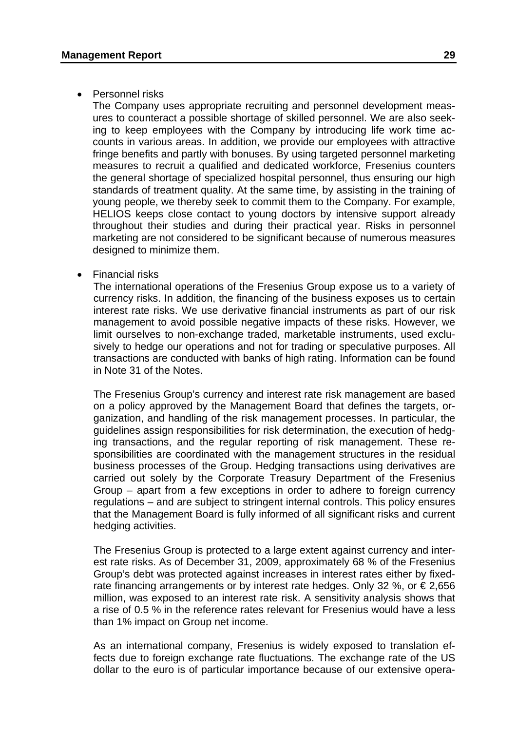### • Personnel risks

The Company uses appropriate recruiting and personnel development measures to counteract a possible shortage of skilled personnel. We are also seeking to keep employees with the Company by introducing life work time accounts in various areas. In addition, we provide our employees with attractive fringe benefits and partly with bonuses. By using targeted personnel marketing measures to recruit a qualified and dedicated workforce, Fresenius counters the general shortage of specialized hospital personnel, thus ensuring our high standards of treatment quality. At the same time, by assisting in the training of young people, we thereby seek to commit them to the Company. For example, HELIOS keeps close contact to young doctors by intensive support already throughout their studies and during their practical year. Risks in personnel marketing are not considered to be significant because of numerous measures designed to minimize them.

### • Financial risks

The international operations of the Fresenius Group expose us to a variety of currency risks. In addition, the financing of the business exposes us to certain interest rate risks. We use derivative financial instruments as part of our risk management to avoid possible negative impacts of these risks. However, we limit ourselves to non-exchange traded, marketable instruments, used exclusively to hedge our operations and not for trading or speculative purposes. All transactions are conducted with banks of high rating. Information can be found in Note 31 of the Notes.

The Fresenius Group's currency and interest rate risk management are based on a policy approved by the Management Board that defines the targets, organization, and handling of the risk management processes. In particular, the guidelines assign responsibilities for risk determination, the execution of hedging transactions, and the regular reporting of risk management. These responsibilities are coordinated with the management structures in the residual business processes of the Group. Hedging transactions using derivatives are carried out solely by the Corporate Treasury Department of the Fresenius Group – apart from a few exceptions in order to adhere to foreign currency regulations – and are subject to stringent internal controls. This policy ensures that the Management Board is fully informed of all significant risks and current hedging activities.

The Fresenius Group is protected to a large extent against currency and interest rate risks. As of December 31, 2009, approximately 68 % of the Fresenius Group's debt was protected against increases in interest rates either by fixedrate financing arrangements or by interest rate hedges. Only 32 %, or  $\epsilon$  2,656 million, was exposed to an interest rate risk. A sensitivity analysis shows that a rise of 0.5 % in the reference rates relevant for Fresenius would have a less than 1% impact on Group net income.

As an international company, Fresenius is widely exposed to translation effects due to foreign exchange rate fluctuations. The exchange rate of the US dollar to the euro is of particular importance because of our extensive opera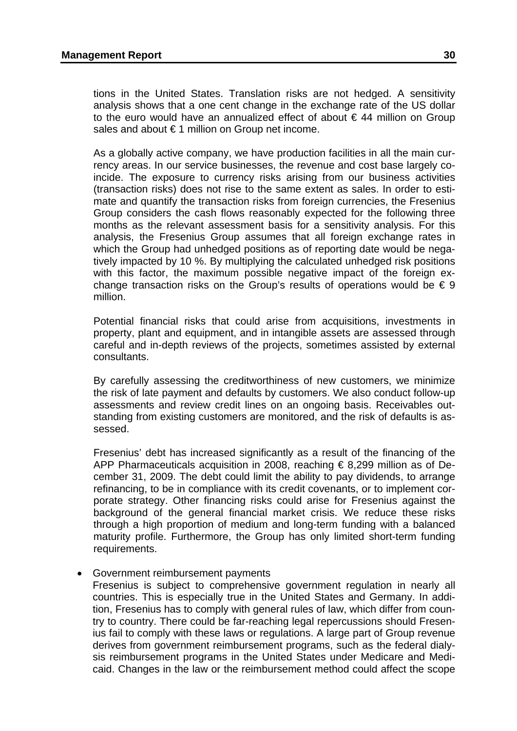tions in the United States. Translation risks are not hedged. A sensitivity analysis shows that a one cent change in the exchange rate of the US dollar to the euro would have an annualized effect of about  $\epsilon$  44 million on Group sales and about  $\epsilon$  1 million on Group net income.

As a globally active company, we have production facilities in all the main currency areas. In our service businesses, the revenue and cost base largely coincide. The exposure to currency risks arising from our business activities (transaction risks) does not rise to the same extent as sales. In order to estimate and quantify the transaction risks from foreign currencies, the Fresenius Group considers the cash flows reasonably expected for the following three months as the relevant assessment basis for a sensitivity analysis. For this analysis, the Fresenius Group assumes that all foreign exchange rates in which the Group had unhedged positions as of reporting date would be negatively impacted by 10 %. By multiplying the calculated unhedged risk positions with this factor, the maximum possible negative impact of the foreign exchange transaction risks on the Group's results of operations would be  $\epsilon \in \mathfrak{g}$ million.

Potential financial risks that could arise from acquisitions, investments in property, plant and equipment, and in intangible assets are assessed through careful and in-depth reviews of the projects, sometimes assisted by external consultants.

By carefully assessing the creditworthiness of new customers, we minimize the risk of late payment and defaults by customers. We also conduct follow-up assessments and review credit lines on an ongoing basis. Receivables outstanding from existing customers are monitored, and the risk of defaults is assessed.

Fresenius' debt has increased significantly as a result of the financing of the APP Pharmaceuticals acquisition in 2008, reaching € 8,299 million as of December 31, 2009. The debt could limit the ability to pay dividends, to arrange refinancing, to be in compliance with its credit covenants, or to implement corporate strategy. Other financing risks could arise for Fresenius against the background of the general financial market crisis. We reduce these risks through a high proportion of medium and long-term funding with a balanced maturity profile. Furthermore, the Group has only limited short-term funding requirements.

• Government reimbursement payments

Fresenius is subject to comprehensive government regulation in nearly all countries. This is especially true in the United States and Germany. In addition, Fresenius has to comply with general rules of law, which differ from country to country. There could be far-reaching legal repercussions should Fresenius fail to comply with these laws or regulations. A large part of Group revenue derives from government reimbursement programs, such as the federal dialysis reimbursement programs in the United States under Medicare and Medicaid. Changes in the law or the reimbursement method could affect the scope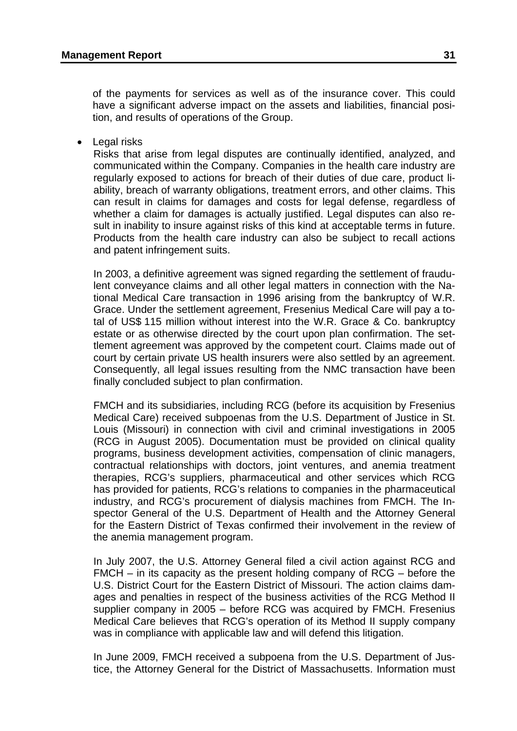of the payments for services as well as of the insurance cover. This could have a significant adverse impact on the assets and liabilities, financial position, and results of operations of the Group.

• Legal risks

Risks that arise from legal disputes are continually identified, analyzed, and communicated within the Company. Companies in the health care industry are regularly exposed to actions for breach of their duties of due care, product liability, breach of warranty obligations, treatment errors, and other claims. This can result in claims for damages and costs for legal defense, regardless of whether a claim for damages is actually justified. Legal disputes can also result in inability to insure against risks of this kind at acceptable terms in future. Products from the health care industry can also be subject to recall actions and patent infringement suits.

In 2003, a definitive agreement was signed regarding the settlement of fraudulent conveyance claims and all other legal matters in connection with the National Medical Care transaction in 1996 arising from the bankruptcy of W.R. Grace. Under the settlement agreement, Fresenius Medical Care will pay a total of US\$ 115 million without interest into the W.R. Grace & Co. bankruptcy estate or as otherwise directed by the court upon plan confirmation. The settlement agreement was approved by the competent court. Claims made out of court by certain private US health insurers were also settled by an agreement. Consequently, all legal issues resulting from the NMC transaction have been finally concluded subject to plan confirmation.

FMCH and its subsidiaries, including RCG (before its acquisition by Fresenius Medical Care) received subpoenas from the U.S. Department of Justice in St. Louis (Missouri) in connection with civil and criminal investigations in 2005 (RCG in August 2005). Documentation must be provided on clinical quality programs, business development activities, compensation of clinic managers, contractual relationships with doctors, joint ventures, and anemia treatment therapies, RCG's suppliers, pharmaceutical and other services which RCG has provided for patients, RCG's relations to companies in the pharmaceutical industry, and RCG's procurement of dialysis machines from FMCH. The Inspector General of the U.S. Department of Health and the Attorney General for the Eastern District of Texas confirmed their involvement in the review of the anemia management program.

In July 2007, the U.S. Attorney General filed a civil action against RCG and FMCH – in its capacity as the present holding company of RCG – before the U.S. District Court for the Eastern District of Missouri. The action claims damages and penalties in respect of the business activities of the RCG Method II supplier company in 2005 – before RCG was acquired by FMCH. Fresenius Medical Care believes that RCG's operation of its Method II supply company was in compliance with applicable law and will defend this litigation.

In June 2009, FMCH received a subpoena from the U.S. Department of Justice, the Attorney General for the District of Massachusetts. Information must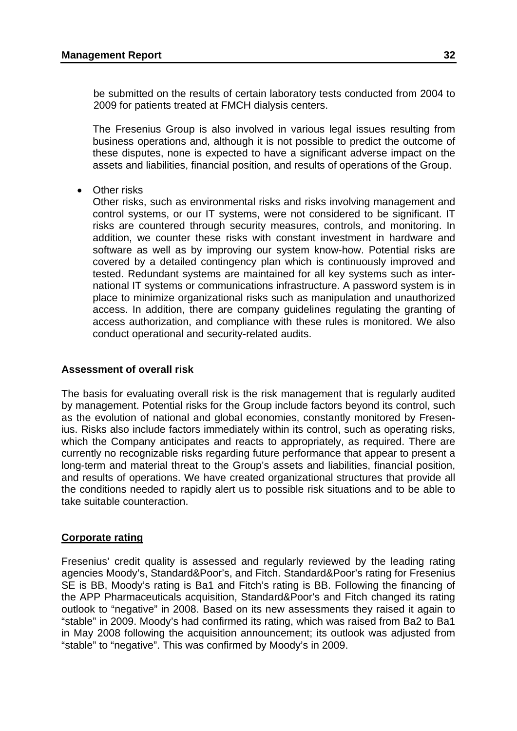be submitted on the results of certain laboratory tests conducted from 2004 to 2009 for patients treated at FMCH dialysis centers.

The Fresenius Group is also involved in various legal issues resulting from business operations and, although it is not possible to predict the outcome of these disputes, none is expected to have a significant adverse impact on the assets and liabilities, financial position, and results of operations of the Group.

• Other risks

Other risks, such as environmental risks and risks involving management and control systems, or our IT systems, were not considered to be significant. IT risks are countered through security measures, controls, and monitoring. In addition, we counter these risks with constant investment in hardware and software as well as by improving our system know-how. Potential risks are covered by a detailed contingency plan which is continuously improved and tested. Redundant systems are maintained for all key systems such as international IT systems or communications infrastructure. A password system is in place to minimize organizational risks such as manipulation and unauthorized access. In addition, there are company guidelines regulating the granting of access authorization, and compliance with these rules is monitored. We also conduct operational and security-related audits.

## **Assessment of overall risk**

The basis for evaluating overall risk is the risk management that is regularly audited by management. Potential risks for the Group include factors beyond its control, such as the evolution of national and global economies, constantly monitored by Fresenius. Risks also include factors immediately within its control, such as operating risks, which the Company anticipates and reacts to appropriately, as required. There are currently no recognizable risks regarding future performance that appear to present a long-term and material threat to the Group's assets and liabilities, financial position, and results of operations. We have created organizational structures that provide all the conditions needed to rapidly alert us to possible risk situations and to be able to take suitable counteraction.

## **Corporate rating**

Fresenius' credit quality is assessed and regularly reviewed by the leading rating agencies Moody's, Standard&Poor's, and Fitch. Standard&Poor's rating for Fresenius SE is BB, Moody's rating is Ba1 and Fitch's rating is BB. Following the financing of the APP Pharmaceuticals acquisition, Standard&Poor's and Fitch changed its rating outlook to "negative" in 2008. Based on its new assessments they raised it again to "stable" in 2009. Moody's had confirmed its rating, which was raised from Ba2 to Ba1 in May 2008 following the acquisition announcement; its outlook was adjusted from "stable" to "negative". This was confirmed by Moody's in 2009.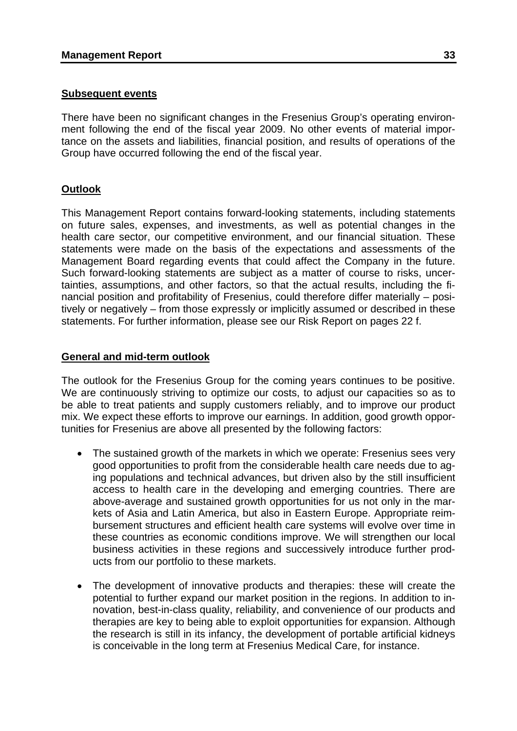### **Subsequent events**

There have been no significant changes in the Fresenius Group's operating environment following the end of the fiscal year 2009. No other events of material importance on the assets and liabilities, financial position, and results of operations of the Group have occurred following the end of the fiscal year.

# **Outlook**

This Management Report contains forward-looking statements, including statements on future sales, expenses, and investments, as well as potential changes in the health care sector, our competitive environment, and our financial situation. These statements were made on the basis of the expectations and assessments of the Management Board regarding events that could affect the Company in the future. Such forward-looking statements are subject as a matter of course to risks, uncertainties, assumptions, and other factors, so that the actual results, including the financial position and profitability of Fresenius, could therefore differ materially – positively or negatively – from those expressly or implicitly assumed or described in these statements. For further information, please see our Risk Report on pages 22 f.

### **General and mid-term outlook**

The outlook for the Fresenius Group for the coming years continues to be positive. We are continuously striving to optimize our costs, to adjust our capacities so as to be able to treat patients and supply customers reliably, and to improve our product mix. We expect these efforts to improve our earnings. In addition, good growth opportunities for Fresenius are above all presented by the following factors:

- The sustained growth of the markets in which we operate: Fresenius sees very good opportunities to profit from the considerable health care needs due to aging populations and technical advances, but driven also by the still insufficient access to health care in the developing and emerging countries. There are above-average and sustained growth opportunities for us not only in the markets of Asia and Latin America, but also in Eastern Europe. Appropriate reimbursement structures and efficient health care systems will evolve over time in these countries as economic conditions improve. We will strengthen our local business activities in these regions and successively introduce further products from our portfolio to these markets.
- The development of innovative products and therapies: these will create the potential to further expand our market position in the regions. In addition to innovation, best-in-class quality, reliability, and convenience of our products and therapies are key to being able to exploit opportunities for expansion. Although the research is still in its infancy, the development of portable artificial kidneys is conceivable in the long term at Fresenius Medical Care, for instance.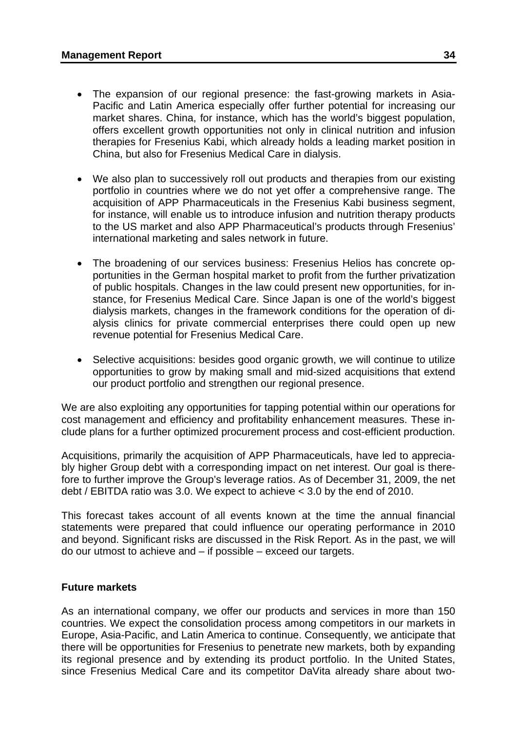- The expansion of our regional presence: the fast-growing markets in Asia-Pacific and Latin America especially offer further potential for increasing our market shares. China, for instance, which has the world's biggest population, offers excellent growth opportunities not only in clinical nutrition and infusion therapies for Fresenius Kabi, which already holds a leading market position in China, but also for Fresenius Medical Care in dialysis.
- We also plan to successively roll out products and therapies from our existing portfolio in countries where we do not yet offer a comprehensive range. The acquisition of APP Pharmaceuticals in the Fresenius Kabi business segment, for instance, will enable us to introduce infusion and nutrition therapy products to the US market and also APP Pharmaceutical's products through Fresenius' international marketing and sales network in future.
- The broadening of our services business: Fresenius Helios has concrete opportunities in the German hospital market to profit from the further privatization of public hospitals. Changes in the law could present new opportunities, for instance, for Fresenius Medical Care. Since Japan is one of the world's biggest dialysis markets, changes in the framework conditions for the operation of dialysis clinics for private commercial enterprises there could open up new revenue potential for Fresenius Medical Care.
- Selective acquisitions: besides good organic growth, we will continue to utilize opportunities to grow by making small and mid-sized acquisitions that extend our product portfolio and strengthen our regional presence.

We are also exploiting any opportunities for tapping potential within our operations for cost management and efficiency and profitability enhancement measures. These include plans for a further optimized procurement process and cost-efficient production.

Acquisitions, primarily the acquisition of APP Pharmaceuticals, have led to appreciably higher Group debt with a corresponding impact on net interest. Our goal is therefore to further improve the Group's leverage ratios. As of December 31, 2009, the net debt / EBITDA ratio was 3.0. We expect to achieve < 3.0 by the end of 2010.

This forecast takes account of all events known at the time the annual financial statements were prepared that could influence our operating performance in 2010 and beyond. Significant risks are discussed in the Risk Report. As in the past, we will do our utmost to achieve and – if possible – exceed our targets.

#### **Future markets**

As an international company, we offer our products and services in more than 150 countries. We expect the consolidation process among competitors in our markets in Europe, Asia-Pacific, and Latin America to continue. Consequently, we anticipate that there will be opportunities for Fresenius to penetrate new markets, both by expanding its regional presence and by extending its product portfolio. In the United States, since Fresenius Medical Care and its competitor DaVita already share about two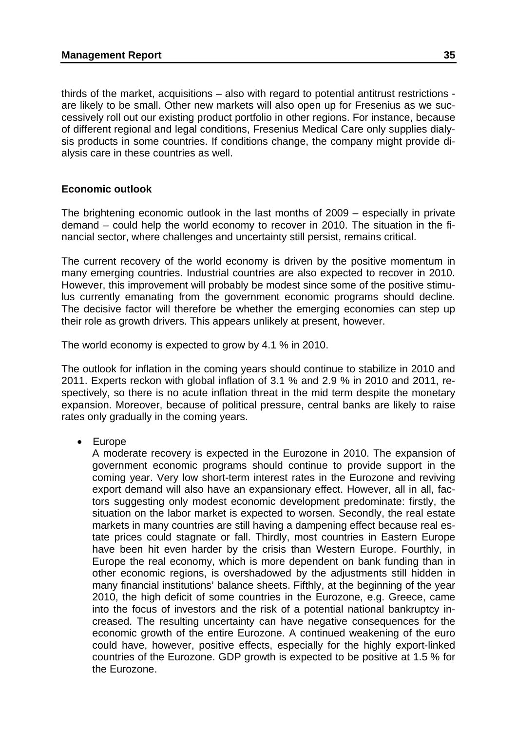thirds of the market, acquisitions – also with regard to potential antitrust restrictions are likely to be small. Other new markets will also open up for Fresenius as we successively roll out our existing product portfolio in other regions. For instance, because of different regional and legal conditions, Fresenius Medical Care only supplies dialysis products in some countries. If conditions change, the company might provide dialysis care in these countries as well.

# **Economic outlook**

The brightening economic outlook in the last months of 2009 – especially in private demand – could help the world economy to recover in 2010. The situation in the financial sector, where challenges and uncertainty still persist, remains critical.

The current recovery of the world economy is driven by the positive momentum in many emerging countries. Industrial countries are also expected to recover in 2010. However, this improvement will probably be modest since some of the positive stimulus currently emanating from the government economic programs should decline. The decisive factor will therefore be whether the emerging economies can step up their role as growth drivers. This appears unlikely at present, however.

The world economy is expected to grow by 4.1 % in 2010.

The outlook for inflation in the coming years should continue to stabilize in 2010 and 2011. Experts reckon with global inflation of 3.1 % and 2.9 % in 2010 and 2011, respectively, so there is no acute inflation threat in the mid term despite the monetary expansion. Moreover, because of political pressure, central banks are likely to raise rates only gradually in the coming years.

• Europe

A moderate recovery is expected in the Eurozone in 2010. The expansion of government economic programs should continue to provide support in the coming year. Very low short-term interest rates in the Eurozone and reviving export demand will also have an expansionary effect. However, all in all, factors suggesting only modest economic development predominate: firstly, the situation on the labor market is expected to worsen. Secondly, the real estate markets in many countries are still having a dampening effect because real estate prices could stagnate or fall. Thirdly, most countries in Eastern Europe have been hit even harder by the crisis than Western Europe. Fourthly, in Europe the real economy, which is more dependent on bank funding than in other economic regions, is overshadowed by the adjustments still hidden in many financial institutions' balance sheets. Fifthly, at the beginning of the year 2010, the high deficit of some countries in the Eurozone, e.g. Greece, came into the focus of investors and the risk of a potential national bankruptcy increased. The resulting uncertainty can have negative consequences for the economic growth of the entire Eurozone. A continued weakening of the euro could have, however, positive effects, especially for the highly export-linked countries of the Eurozone. GDP growth is expected to be positive at 1.5 % for the Eurozone.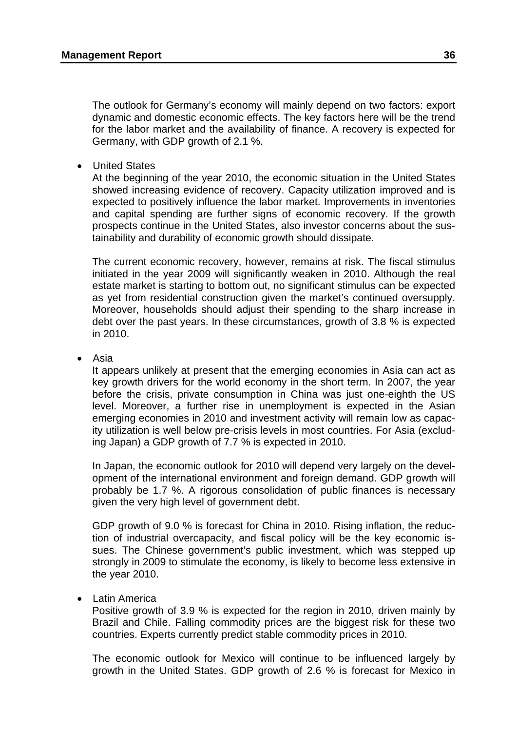The outlook for Germany's economy will mainly depend on two factors: export dynamic and domestic economic effects. The key factors here will be the trend for the labor market and the availability of finance. A recovery is expected for Germany, with GDP growth of 2.1 %.

**United States** 

At the beginning of the year 2010, the economic situation in the United States showed increasing evidence of recovery. Capacity utilization improved and is expected to positively influence the labor market. Improvements in inventories and capital spending are further signs of economic recovery. If the growth prospects continue in the United States, also investor concerns about the sustainability and durability of economic growth should dissipate.

The current economic recovery, however, remains at risk. The fiscal stimulus initiated in the year 2009 will significantly weaken in 2010. Although the real estate market is starting to bottom out, no significant stimulus can be expected as yet from residential construction given the market's continued oversupply. Moreover, households should adjust their spending to the sharp increase in debt over the past years. In these circumstances, growth of 3.8 % is expected in 2010.

• Asia

It appears unlikely at present that the emerging economies in Asia can act as key growth drivers for the world economy in the short term. In 2007, the year before the crisis, private consumption in China was just one-eighth the US level. Moreover, a further rise in unemployment is expected in the Asian emerging economies in 2010 and investment activity will remain low as capacity utilization is well below pre-crisis levels in most countries. For Asia (excluding Japan) a GDP growth of 7.7 % is expected in 2010.

In Japan, the economic outlook for 2010 will depend very largely on the development of the international environment and foreign demand. GDP growth will probably be 1.7 %. A rigorous consolidation of public finances is necessary given the very high level of government debt.

GDP growth of 9.0 % is forecast for China in 2010. Rising inflation, the reduction of industrial overcapacity, and fiscal policy will be the key economic issues. The Chinese government's public investment, which was stepped up strongly in 2009 to stimulate the economy, is likely to become less extensive in the year 2010.

• Latin America

Positive growth of 3.9 % is expected for the region in 2010, driven mainly by Brazil and Chile. Falling commodity prices are the biggest risk for these two countries. Experts currently predict stable commodity prices in 2010.

The economic outlook for Mexico will continue to be influenced largely by growth in the United States. GDP growth of 2.6 % is forecast for Mexico in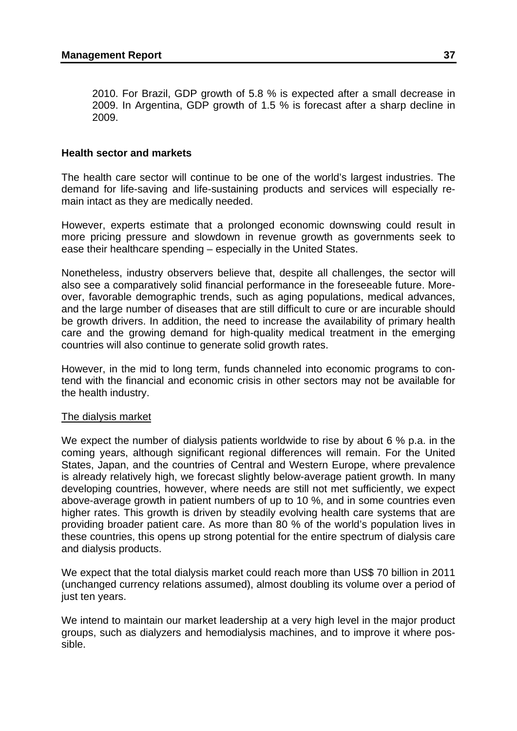2010. For Brazil, GDP growth of 5.8 % is expected after a small decrease in 2009. In Argentina, GDP growth of 1.5 % is forecast after a sharp decline in 2009.

# **Health sector and markets**

The health care sector will continue to be one of the world's largest industries. The demand for life-saving and life-sustaining products and services will especially remain intact as they are medically needed.

However, experts estimate that a prolonged economic downswing could result in more pricing pressure and slowdown in revenue growth as governments seek to ease their healthcare spending – especially in the United States.

Nonetheless, industry observers believe that, despite all challenges, the sector will also see a comparatively solid financial performance in the foreseeable future. Moreover, favorable demographic trends, such as aging populations, medical advances, and the large number of diseases that are still difficult to cure or are incurable should be growth drivers. In addition, the need to increase the availability of primary health care and the growing demand for high-quality medical treatment in the emerging countries will also continue to generate solid growth rates.

However, in the mid to long term, funds channeled into economic programs to contend with the financial and economic crisis in other sectors may not be available for the health industry.

## The dialysis market

We expect the number of dialysis patients worldwide to rise by about 6 % p.a. in the coming years, although significant regional differences will remain. For the United States, Japan, and the countries of Central and Western Europe, where prevalence is already relatively high, we forecast slightly below-average patient growth. In many developing countries, however, where needs are still not met sufficiently, we expect above-average growth in patient numbers of up to 10 %, and in some countries even higher rates. This growth is driven by steadily evolving health care systems that are providing broader patient care. As more than 80 % of the world's population lives in these countries, this opens up strong potential for the entire spectrum of dialysis care and dialysis products.

We expect that the total dialysis market could reach more than US\$ 70 billion in 2011 (unchanged currency relations assumed), almost doubling its volume over a period of just ten years.

We intend to maintain our market leadership at a very high level in the major product groups, such as dialyzers and hemodialysis machines, and to improve it where possible.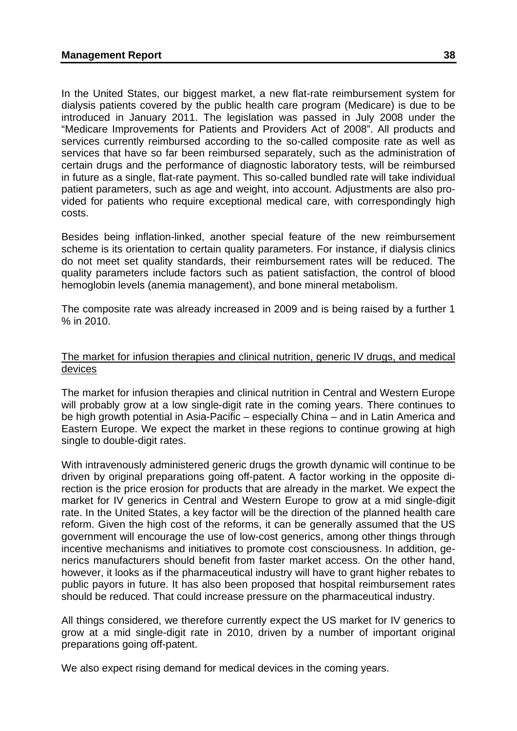In the United States, our biggest market, a new flat-rate reimbursement system for dialysis patients covered by the public health care program (Medicare) is due to be introduced in January 2011. The legislation was passed in July 2008 under the "Medicare Improvements for Patients and Providers Act of 2008". All products and services currently reimbursed according to the so-called composite rate as well as services that have so far been reimbursed separately, such as the administration of certain drugs and the performance of diagnostic laboratory tests, will be reimbursed in future as a single, flat-rate payment. This so-called bundled rate will take individual patient parameters, such as age and weight, into account. Adjustments are also provided for patients who require exceptional medical care, with correspondingly high costs.

Besides being inflation-linked, another special feature of the new reimbursement scheme is its orientation to certain quality parameters. For instance, if dialysis clinics do not meet set quality standards, their reimbursement rates will be reduced. The quality parameters include factors such as patient satisfaction, the control of blood hemoglobin levels (anemia management), and bone mineral metabolism.

The composite rate was already increased in 2009 and is being raised by a further 1 % in 2010.

# The market for infusion therapies and clinical nutrition, generic IV drugs, and medical devices

The market for infusion therapies and clinical nutrition in Central and Western Europe will probably grow at a low single-digit rate in the coming years. There continues to be high growth potential in Asia-Pacific – especially China – and in Latin America and Eastern Europe. We expect the market in these regions to continue growing at high single to double-digit rates.

With intravenously administered generic drugs the growth dynamic will continue to be driven by original preparations going off-patent. A factor working in the opposite direction is the price erosion for products that are already in the market. We expect the market for IV generics in Central and Western Europe to grow at a mid single-digit rate. In the United States, a key factor will be the direction of the planned health care reform. Given the high cost of the reforms, it can be generally assumed that the US government will encourage the use of low-cost generics, among other things through incentive mechanisms and initiatives to promote cost consciousness. In addition, generics manufacturers should benefit from faster market access. On the other hand, however, it looks as if the pharmaceutical industry will have to grant higher rebates to public payors in future. It has also been proposed that hospital reimbursement rates should be reduced. That could increase pressure on the pharmaceutical industry.

All things considered, we therefore currently expect the US market for IV generics to grow at a mid single-digit rate in 2010, driven by a number of important original preparations going off-patent.

We also expect rising demand for medical devices in the coming years.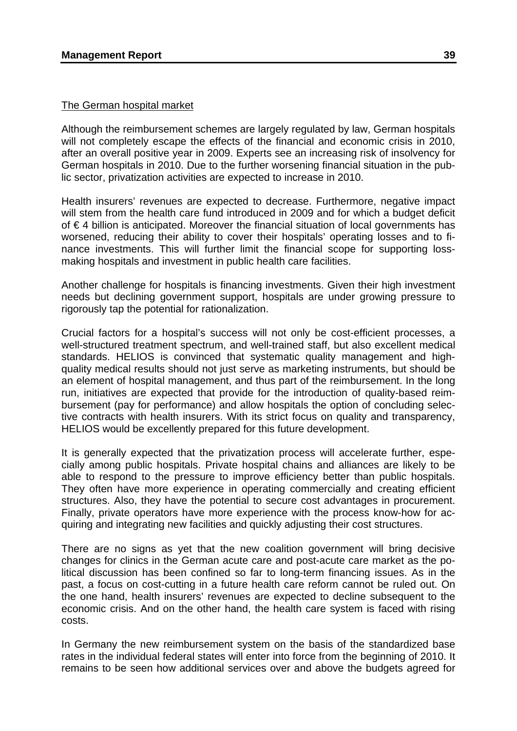# The German hospital market

Although the reimbursement schemes are largely regulated by law, German hospitals will not completely escape the effects of the financial and economic crisis in 2010, after an overall positive year in 2009. Experts see an increasing risk of insolvency for German hospitals in 2010. Due to the further worsening financial situation in the public sector, privatization activities are expected to increase in 2010.

Health insurers' revenues are expected to decrease. Furthermore, negative impact will stem from the health care fund introduced in 2009 and for which a budget deficit of € 4 billion is anticipated. Moreover the financial situation of local governments has worsened, reducing their ability to cover their hospitals' operating losses and to finance investments. This will further limit the financial scope for supporting lossmaking hospitals and investment in public health care facilities.

Another challenge for hospitals is financing investments. Given their high investment needs but declining government support, hospitals are under growing pressure to rigorously tap the potential for rationalization.

Crucial factors for a hospital's success will not only be cost-efficient processes, a well-structured treatment spectrum, and well-trained staff, but also excellent medical standards. HELIOS is convinced that systematic quality management and highquality medical results should not just serve as marketing instruments, but should be an element of hospital management, and thus part of the reimbursement. In the long run, initiatives are expected that provide for the introduction of quality-based reimbursement (pay for performance) and allow hospitals the option of concluding selective contracts with health insurers. With its strict focus on quality and transparency, HELIOS would be excellently prepared for this future development.

It is generally expected that the privatization process will accelerate further, especially among public hospitals. Private hospital chains and alliances are likely to be able to respond to the pressure to improve efficiency better than public hospitals. They often have more experience in operating commercially and creating efficient structures. Also, they have the potential to secure cost advantages in procurement. Finally, private operators have more experience with the process know-how for acquiring and integrating new facilities and quickly adjusting their cost structures.

There are no signs as yet that the new coalition government will bring decisive changes for clinics in the German acute care and post-acute care market as the political discussion has been confined so far to long-term financing issues. As in the past, a focus on cost-cutting in a future health care reform cannot be ruled out. On the one hand, health insurers' revenues are expected to decline subsequent to the economic crisis. And on the other hand, the health care system is faced with rising costs.

In Germany the new reimbursement system on the basis of the standardized base rates in the individual federal states will enter into force from the beginning of 2010. It remains to be seen how additional services over and above the budgets agreed for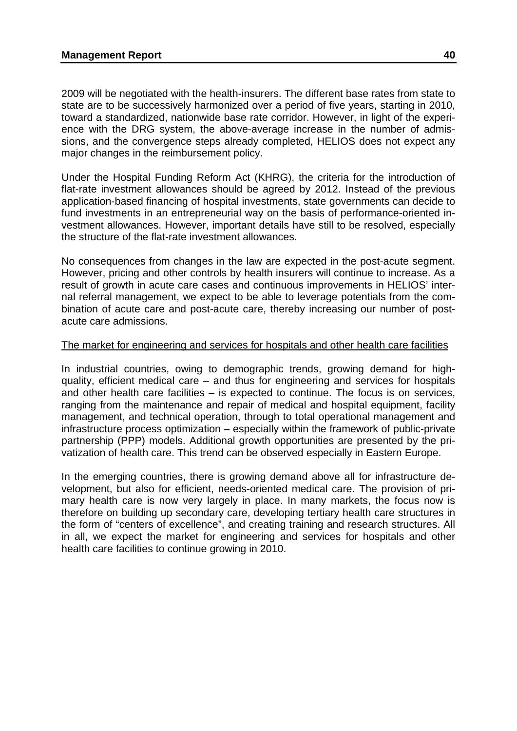2009 will be negotiated with the health-insurers. The different base rates from state to state are to be successively harmonized over a period of five years, starting in 2010, toward a standardized, nationwide base rate corridor. However, in light of the experience with the DRG system, the above-average increase in the number of admissions, and the convergence steps already completed, HELIOS does not expect any major changes in the reimbursement policy.

Under the Hospital Funding Reform Act (KHRG), the criteria for the introduction of flat-rate investment allowances should be agreed by 2012. Instead of the previous application-based financing of hospital investments, state governments can decide to fund investments in an entrepreneurial way on the basis of performance-oriented investment allowances. However, important details have still to be resolved, especially the structure of the flat-rate investment allowances.

No consequences from changes in the law are expected in the post-acute segment. However, pricing and other controls by health insurers will continue to increase. As a result of growth in acute care cases and continuous improvements in HELIOS' internal referral management, we expect to be able to leverage potentials from the combination of acute care and post-acute care, thereby increasing our number of postacute care admissions.

# The market for engineering and services for hospitals and other health care facilities

In industrial countries, owing to demographic trends, growing demand for highquality, efficient medical care – and thus for engineering and services for hospitals and other health care facilities – is expected to continue. The focus is on services, ranging from the maintenance and repair of medical and hospital equipment, facility management, and technical operation, through to total operational management and infrastructure process optimization – especially within the framework of public-private partnership (PPP) models. Additional growth opportunities are presented by the privatization of health care. This trend can be observed especially in Eastern Europe.

In the emerging countries, there is growing demand above all for infrastructure development, but also for efficient, needs-oriented medical care. The provision of primary health care is now very largely in place. In many markets, the focus now is therefore on building up secondary care, developing tertiary health care structures in the form of "centers of excellence", and creating training and research structures. All in all, we expect the market for engineering and services for hospitals and other health care facilities to continue growing in 2010.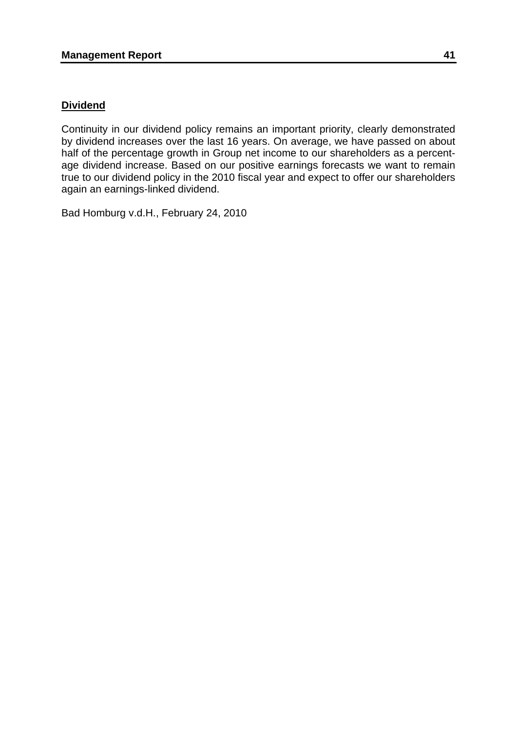# **Dividend**

Continuity in our dividend policy remains an important priority, clearly demonstrated by dividend increases over the last 16 years. On average, we have passed on about half of the percentage growth in Group net income to our shareholders as a percentage dividend increase. Based on our positive earnings forecasts we want to remain true to our dividend policy in the 2010 fiscal year and expect to offer our shareholders again an earnings-linked dividend.

Bad Homburg v.d.H., February 24, 2010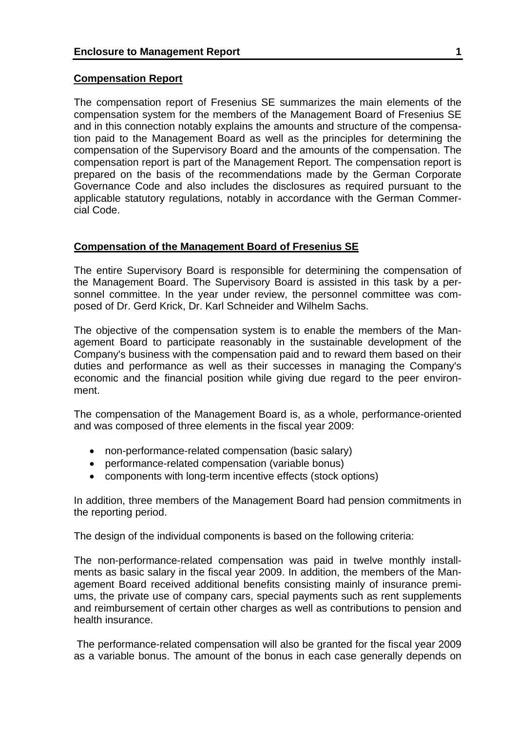# **Compensation Report**

The compensation report of Fresenius SE summarizes the main elements of the compensation system for the members of the Management Board of Fresenius SE and in this connection notably explains the amounts and structure of the compensation paid to the Management Board as well as the principles for determining the compensation of the Supervisory Board and the amounts of the compensation. The compensation report is part of the Management Report. The compensation report is prepared on the basis of the recommendations made by the German Corporate Governance Code and also includes the disclosures as required pursuant to the applicable statutory regulations, notably in accordance with the German Commercial Code.

# **Compensation of the Management Board of Fresenius SE**

The entire Supervisory Board is responsible for determining the compensation of the Management Board. The Supervisory Board is assisted in this task by a personnel committee. In the year under review, the personnel committee was composed of Dr. Gerd Krick, Dr. Karl Schneider and Wilhelm Sachs.

The objective of the compensation system is to enable the members of the Management Board to participate reasonably in the sustainable development of the Company's business with the compensation paid and to reward them based on their duties and performance as well as their successes in managing the Company's economic and the financial position while giving due regard to the peer environment.

The compensation of the Management Board is, as a whole, performance-oriented and was composed of three elements in the fiscal year 2009:

- non-performance-related compensation (basic salary)
- performance-related compensation (variable bonus)
- components with long-term incentive effects (stock options)

In addition, three members of the Management Board had pension commitments in the reporting period.

The design of the individual components is based on the following criteria:

The non-performance-related compensation was paid in twelve monthly installments as basic salary in the fiscal year 2009. In addition, the members of the Management Board received additional benefits consisting mainly of insurance premiums, the private use of company cars, special payments such as rent supplements and reimbursement of certain other charges as well as contributions to pension and health insurance.

 The performance-related compensation will also be granted for the fiscal year 2009 as a variable bonus. The amount of the bonus in each case generally depends on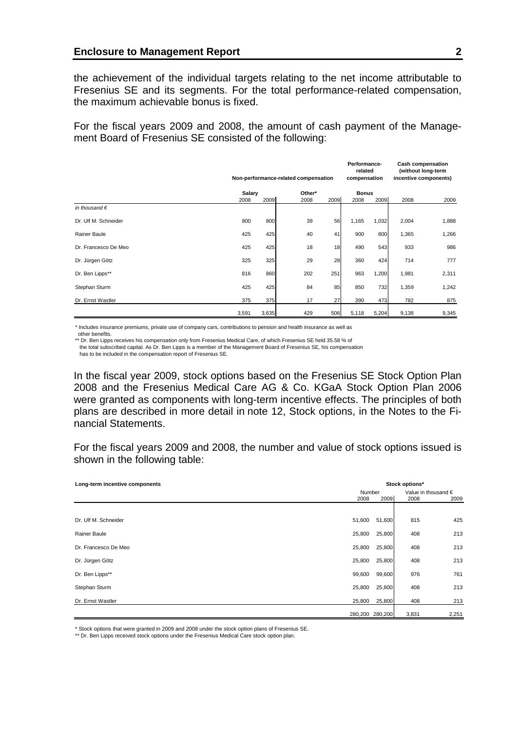the achievement of the individual targets relating to the net income attributable to Fresenius SE and its segments. For the total performance-related compensation, the maximum achievable bonus is fixed.

For the fiscal years 2009 and 2008, the amount of cash payment of the Management Board of Fresenius SE consisted of the following:

|                        | Non-performance-related compensation |       |      |                 | Performance-<br>related<br>compensation |              | <b>Cash compensation</b><br>(without long-term<br>incentive components) |       |
|------------------------|--------------------------------------|-------|------|-----------------|-----------------------------------------|--------------|-------------------------------------------------------------------------|-------|
|                        | Salary                               |       |      | Other*          |                                         | <b>Bonus</b> |                                                                         |       |
|                        | 2008                                 | 2009  | 2008 | 2009            | 2008                                    | 2009         | 2008                                                                    | 2009  |
| in thousand $\epsilon$ |                                      |       |      |                 |                                         |              |                                                                         |       |
| Dr. Ulf M. Schneider   | 800                                  | 800   | 39   | 56              | 1,165                                   | 1,032        | 2,004                                                                   | 1,888 |
| Rainer Baule           | 425                                  | 425   | 40   | 41              | 900                                     | 800          | 1,365                                                                   | 1,266 |
| Dr. Francesco De Meo   | 425                                  | 425   | 18   | 18 <sup>1</sup> | 490                                     | 543          | 933                                                                     | 986   |
| Dr. Jürgen Götz        | 325                                  | 325   | 29   | 28              | 360                                     | 424          | 714                                                                     | 777   |
| Dr. Ben Lipps**        | 816                                  | 860   | 202  | 251             | 963                                     | 1,200        | 1,981                                                                   | 2,311 |
| Stephan Sturm          | 425                                  | 425   | 84   | 85              | 850                                     | 732          | 1,359                                                                   | 1,242 |
| Dr. Ernst Wastler      | 375                                  | 375   | 17   | 27              | 390                                     | 473          | 782                                                                     | 875   |
|                        | 3,591                                | 3,635 | 429  | 506             | 5,118                                   | 5,204        | 9,138                                                                   | 9,345 |

\* Includes insurance premiums, private use of company cars, contributions to pension and health insurance as well as other benefits.

\*\* Dr. Ben Lipps receives his compensation only from Fresenius Medical Care, of which Fresenius SE held 35.58 % of

 the total subscribed capital. As Dr. Ben Lipps is a member of the Management Board of Fresenius SE, his compensation has to be included in the compensation report of Fresenius SE.

In the fiscal year 2009, stock options based on the Fresenius SE Stock Option Plan 2008 and the Fresenius Medical Care AG & Co. KGaA Stock Option Plan 2006 were granted as components with long-term incentive effects. The principles of both plans are described in more detail in note 12, Stock options, in the Notes to the Financial Statements.

For the fiscal years 2009 and 2008, the number and value of stock options issued is shown in the following table:

| Long-term incentive components | Stock options* |                 |       |                              |  |
|--------------------------------|----------------|-----------------|-------|------------------------------|--|
|                                | Number         |                 |       | Value in thousand $\epsilon$ |  |
|                                | 2008           | 2009            | 2008  | 2009                         |  |
|                                |                |                 |       |                              |  |
| Dr. Ulf M. Schneider           | 51,600         | 51,600          | 815   | 425                          |  |
| Rainer Baule                   | 25,800         | 25,800          | 408   | 213                          |  |
| Dr. Francesco De Meo           | 25,800         | 25,800          | 408   | 213                          |  |
| Dr. Jürgen Götz                | 25,800         | 25,800          | 408   | 213                          |  |
| Dr. Ben Lipps**                | 99,600         | 99,600          | 976   | 761                          |  |
| Stephan Sturm                  | 25,800         | 25,800          | 408   | 213                          |  |
| Dr. Ernst Wastler              | 25,800         | 25,800          | 408   | 213                          |  |
|                                |                | 280,200 280,200 | 3,831 | 2,251                        |  |

\* Stock options that were granted in 2009 and 2008 under the stock option plans of Fresenius SE.

\*\* Dr. Ben Lipps received stock options under the Fresenius Medical Care stock option plan.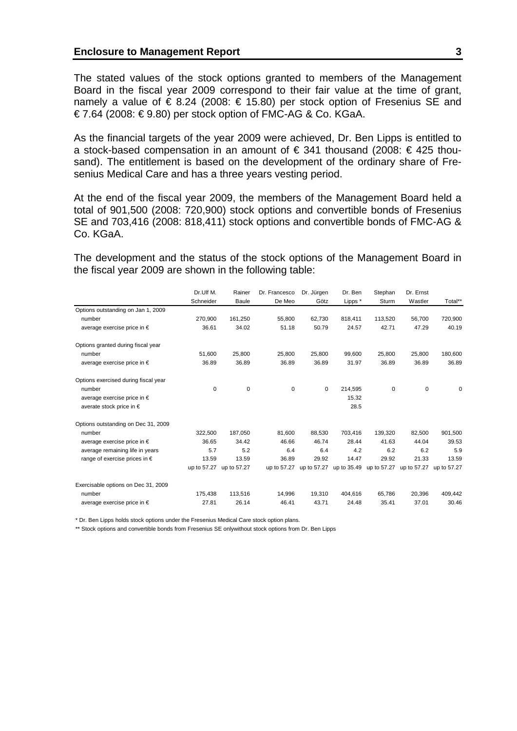The stated values of the stock options granted to members of the Management Board in the fiscal year 2009 correspond to their fair value at the time of grant, namely a value of € 8.24 (2008: € 15.80) per stock option of Fresenius SE and € 7.64 (2008: € 9.80) per stock option of FMC-AG & Co. KGaA.

As the financial targets of the year 2009 were achieved, Dr. Ben Lipps is entitled to a stock-based compensation in an amount of  $\epsilon$  341 thousand (2008:  $\epsilon$  425 thousand). The entitlement is based on the development of the ordinary share of Fresenius Medical Care and has a three years vesting period.

At the end of the fiscal year 2009, the members of the Management Board held a total of 901,500 (2008: 720,900) stock options and convertible bonds of Fresenius SE and 703,416 (2008: 818,411) stock options and convertible bonds of FMC-AG & Co. KGaA.

The development and the status of the stock options of the Management Board in the fiscal year 2009 are shown in the following table:

|                                        | Dr.Ulf M.   | Rainer      | Dr. Francesco | Dr. Jürgen  | Dr. Ben | Stephan                 | Dr. Ernst   |             |
|----------------------------------------|-------------|-------------|---------------|-------------|---------|-------------------------|-------------|-------------|
|                                        | Schneider   | Baule       | De Meo        | Götz        | Lipps * | Sturm                   | Wastler     | Total**     |
| Options outstanding on Jan 1, 2009     |             |             |               |             |         |                         |             |             |
| number                                 | 270,900     | 161,250     | 55,800        | 62.730      | 818.411 | 113,520                 | 56.700      | 720,900     |
| average exercise price in $\epsilon$   | 36.61       | 34.02       | 51.18         | 50.79       | 24.57   | 42.71                   | 47.29       | 40.19       |
| Options granted during fiscal year     |             |             |               |             |         |                         |             |             |
| number                                 | 51,600      | 25.800      | 25.800        | 25.800      | 99.600  | 25.800                  | 25.800      | 180,600     |
| average exercise price in $\epsilon$   | 36.89       | 36.89       | 36.89         | 36.89       | 31.97   | 36.89                   | 36.89       | 36.89       |
| Options exercised during fiscal year   |             |             |               |             |         |                         |             |             |
| number                                 | 0           | $\mathbf 0$ | 0             | $\mathbf 0$ | 214,595 | $\mathbf 0$             | $\pmb{0}$   | 0           |
| average exercise price in €            |             |             |               |             | 15.32   |                         |             |             |
| averate stock price in $\epsilon$      |             |             |               |             | 28.5    |                         |             |             |
| Options outstanding on Dec 31, 2009    |             |             |               |             |         |                         |             |             |
| number                                 | 322,500     | 187,050     | 81,600        | 88,530      | 703,416 | 139,320                 | 82,500      | 901,500     |
| average exercise price in $\epsilon$   | 36.65       | 34.42       | 46.66         | 46.74       | 28.44   | 41.63                   | 44.04       | 39.53       |
| average remaining life in years        | 5.7         | 5.2         | 6.4           | 6.4         | 4.2     | 6.2                     | 6.2         | 5.9         |
| range of exercise prices in $\epsilon$ | 13.59       | 13.59       | 36.89         | 29.92       | 14.47   | 29.92                   | 21.33       | 13.59       |
|                                        | up to 57.27 | up to 57.27 | up to 57.27   | up to 57.27 |         | up to 35.49 up to 57.27 | up to 57.27 | up to 57.27 |
| Exercisable options on Dec 31, 2009    |             |             |               |             |         |                         |             |             |
| number                                 | 175,438     | 113,516     | 14,996        | 19,310      | 404,616 | 65,786                  | 20,396      | 409,442     |
| average exercise price in $\epsilon$   | 27.81       | 26.14       | 46.41         | 43.71       | 24.48   | 35.41                   | 37.01       | 30.46       |

\* Dr. Ben Lipps holds stock options under the Fresenius Medical Care stock option plans.

\*\* Stock options and convertible bonds from Fresenius SE onlywithout stock options from Dr. Ben Lipps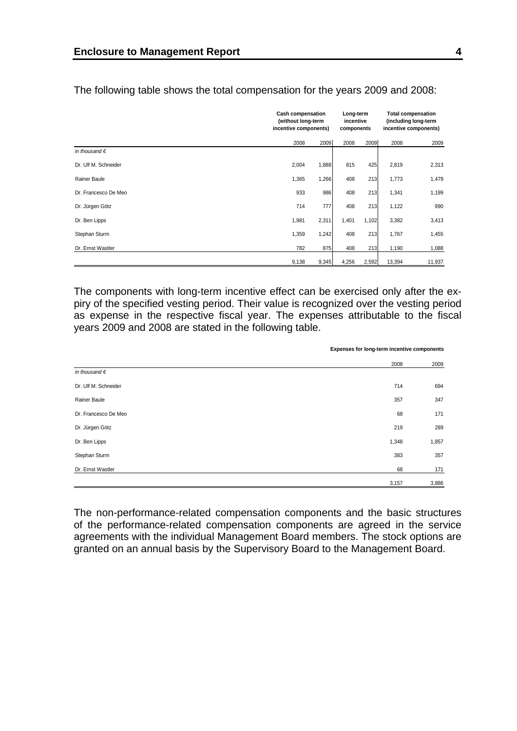|                        | <b>Cash compensation</b><br>(without long-term<br>incentive components) |       | Long-term<br>incentive<br>components |       | <b>Total compensation</b><br>(including long-term<br>incentive components) |        |
|------------------------|-------------------------------------------------------------------------|-------|--------------------------------------|-------|----------------------------------------------------------------------------|--------|
|                        | 2008                                                                    | 2009  | 2008                                 | 2009  | 2008                                                                       | 2009   |
| in thousand $\epsilon$ |                                                                         |       |                                      |       |                                                                            |        |
| Dr. Ulf M. Schneider   | 2,004                                                                   | 1,888 | 815                                  | 425   | 2,819                                                                      | 2,313  |
| Rainer Baule           | 1,365                                                                   | 1,266 | 408                                  | 213   | 1,773                                                                      | 1,479  |
| Dr. Francesco De Meo   | 933                                                                     | 986   | 408                                  | 213   | 1,341                                                                      | 1,199  |
| Dr. Jürgen Götz        | 714                                                                     | 777   | 408                                  | 213   | 1,122                                                                      | 990    |
| Dr. Ben Lipps          | 1,981                                                                   | 2,311 | 1,401                                | 1,102 | 3,382                                                                      | 3,413  |
| Stephan Sturm          | 1,359                                                                   | 1,242 | 408                                  | 213   | 1,767                                                                      | 1,455  |
| Dr. Ernst Wastler      | 782                                                                     | 875   | 408                                  | 213   | 1,190                                                                      | 1,088  |
|                        | 9,138                                                                   | 9,345 | 4,256                                | 2,592 | 13,394                                                                     | 11,937 |

The following table shows the total compensation for the years 2009 and 2008:

The components with long-term incentive effect can be exercised only after the expiry of the specified vesting period. Their value is recognized over the vesting period as expense in the respective fiscal year. The expenses attributable to the fiscal years 2009 and 2008 are stated in the following table.

|                        | Expenses for long-term incentive components |       |
|------------------------|---------------------------------------------|-------|
|                        | 2008                                        | 2009  |
| in thousand $\epsilon$ |                                             |       |
| Dr. Ulf M. Schneider   | 714                                         | 694   |
| Rainer Baule           | 357                                         | 347   |
| Dr. Francesco De Meo   | 68                                          | 171   |
| Dr. Jürgen Götz        | 219                                         | 289   |
| Dr. Ben Lipps          | 1,348                                       | 1,857 |
| Stephan Sturm          | 383                                         | 357   |
| Dr. Ernst Wastler      | 68                                          | 171   |

The non-performance-related compensation components and the basic structures of the performance-related compensation components are agreed in the service agreements with the individual Management Board members. The stock options are granted on an annual basis by the Supervisory Board to the Management Board.

3,157 3,886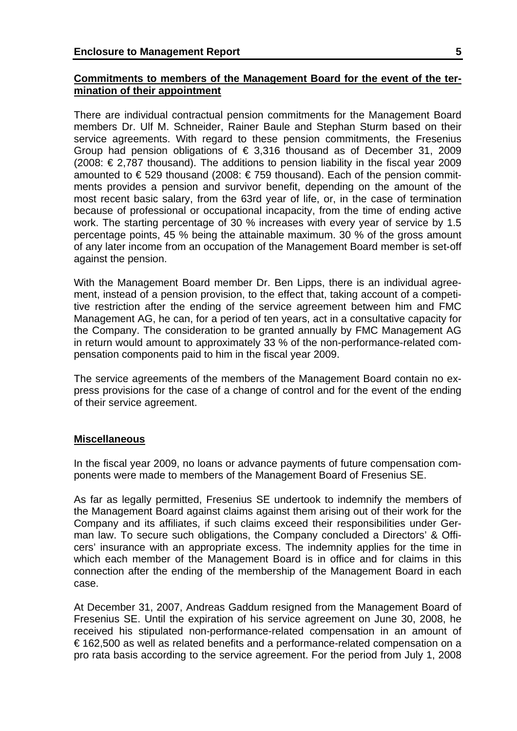# **Commitments to members of the Management Board for the event of the termination of their appointment**

There are individual contractual pension commitments for the Management Board members Dr. Ulf M. Schneider, Rainer Baule and Stephan Sturm based on their service agreements. With regard to these pension commitments, the Fresenius Group had pension obligations of  $\epsilon$  3,316 thousand as of December 31, 2009 (2008: € 2,787 thousand). The additions to pension liability in the fiscal year 2009 amounted to € 529 thousand (2008: € 759 thousand). Each of the pension commitments provides a pension and survivor benefit, depending on the amount of the most recent basic salary, from the 63rd year of life, or, in the case of termination because of professional or occupational incapacity, from the time of ending active work. The starting percentage of 30 % increases with every year of service by 1.5 percentage points, 45 % being the attainable maximum. 30 % of the gross amount of any later income from an occupation of the Management Board member is set-off against the pension.

With the Management Board member Dr. Ben Lipps, there is an individual agreement, instead of a pension provision, to the effect that, taking account of a competitive restriction after the ending of the service agreement between him and FMC Management AG, he can, for a period of ten years, act in a consultative capacity for the Company. The consideration to be granted annually by FMC Management AG in return would amount to approximately 33 % of the non-performance-related compensation components paid to him in the fiscal year 2009.

The service agreements of the members of the Management Board contain no express provisions for the case of a change of control and for the event of the ending of their service agreement.

# **Miscellaneous**

In the fiscal year 2009, no loans or advance payments of future compensation components were made to members of the Management Board of Fresenius SE.

As far as legally permitted, Fresenius SE undertook to indemnify the members of the Management Board against claims against them arising out of their work for the Company and its affiliates, if such claims exceed their responsibilities under German law. To secure such obligations, the Company concluded a Directors' & Officers' insurance with an appropriate excess. The indemnity applies for the time in which each member of the Management Board is in office and for claims in this connection after the ending of the membership of the Management Board in each case.

At December 31, 2007, Andreas Gaddum resigned from the Management Board of Fresenius SE. Until the expiration of his service agreement on June 30, 2008, he received his stipulated non-performance-related compensation in an amount of € 162,500 as well as related benefits and a performance-related compensation on a pro rata basis according to the service agreement. For the period from July 1, 2008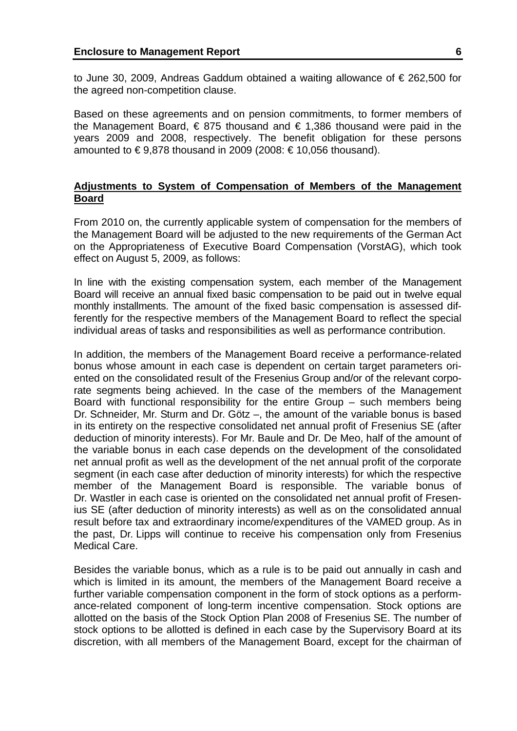to June 30, 2009, Andreas Gaddum obtained a waiting allowance of € 262,500 for the agreed non-competition clause.

Based on these agreements and on pension commitments, to former members of the Management Board,  $\epsilon$  875 thousand and  $\epsilon$  1,386 thousand were paid in the years 2009 and 2008, respectively. The benefit obligation for these persons amounted to  $\epsilon$  9,878 thousand in 2009 (2008:  $\epsilon$  10,056 thousand).

# **Adjustments to System of Compensation of Members of the Management Board**

From 2010 on, the currently applicable system of compensation for the members of the Management Board will be adjusted to the new requirements of the German Act on the Appropriateness of Executive Board Compensation (VorstAG), which took effect on August 5, 2009, as follows:

In line with the existing compensation system, each member of the Management Board will receive an annual fixed basic compensation to be paid out in twelve equal monthly installments. The amount of the fixed basic compensation is assessed differently for the respective members of the Management Board to reflect the special individual areas of tasks and responsibilities as well as performance contribution.

In addition, the members of the Management Board receive a performance-related bonus whose amount in each case is dependent on certain target parameters oriented on the consolidated result of the Fresenius Group and/or of the relevant corporate segments being achieved. In the case of the members of the Management Board with functional responsibility for the entire Group – such members being Dr. Schneider, Mr. Sturm and Dr. Götz –, the amount of the variable bonus is based in its entirety on the respective consolidated net annual profit of Fresenius SE (after deduction of minority interests). For Mr. Baule and Dr. De Meo, half of the amount of the variable bonus in each case depends on the development of the consolidated net annual profit as well as the development of the net annual profit of the corporate segment (in each case after deduction of minority interests) for which the respective member of the Management Board is responsible. The variable bonus of Dr. Wastler in each case is oriented on the consolidated net annual profit of Fresenius SE (after deduction of minority interests) as well as on the consolidated annual result before tax and extraordinary income/expenditures of the VAMED group. As in the past, Dr. Lipps will continue to receive his compensation only from Fresenius Medical Care.

Besides the variable bonus, which as a rule is to be paid out annually in cash and which is limited in its amount, the members of the Management Board receive a further variable compensation component in the form of stock options as a performance-related component of long-term incentive compensation. Stock options are allotted on the basis of the Stock Option Plan 2008 of Fresenius SE. The number of stock options to be allotted is defined in each case by the Supervisory Board at its discretion, with all members of the Management Board, except for the chairman of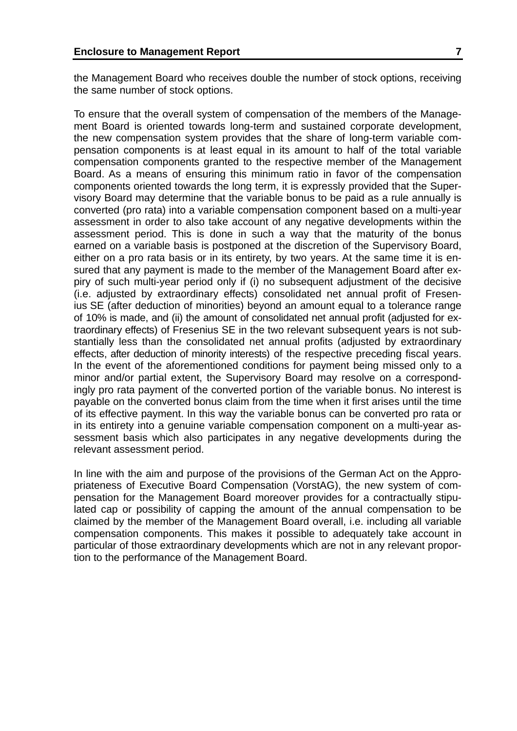the Management Board who receives double the number of stock options, receiving the same number of stock options.

To ensure that the overall system of compensation of the members of the Management Board is oriented towards long-term and sustained corporate development, the new compensation system provides that the share of long-term variable compensation components is at least equal in its amount to half of the total variable compensation components granted to the respective member of the Management Board. As a means of ensuring this minimum ratio in favor of the compensation components oriented towards the long term, it is expressly provided that the Supervisory Board may determine that the variable bonus to be paid as a rule annually is converted (pro rata) into a variable compensation component based on a multi-year assessment in order to also take account of any negative developments within the assessment period. This is done in such a way that the maturity of the bonus earned on a variable basis is postponed at the discretion of the Supervisory Board, either on a pro rata basis or in its entirety, by two years. At the same time it is ensured that any payment is made to the member of the Management Board after expiry of such multi-year period only if (i) no subsequent adjustment of the decisive (i.e. adjusted by extraordinary effects) consolidated net annual profit of Fresenius SE (after deduction of minorities) beyond an amount equal to a tolerance range of 10% is made, and (ii) the amount of consolidated net annual profit (adjusted for extraordinary effects) of Fresenius SE in the two relevant subsequent years is not substantially less than the consolidated net annual profits (adjusted by extraordinary effects, after deduction of minority interests) of the respective preceding fiscal years. In the event of the aforementioned conditions for payment being missed only to a minor and/or partial extent, the Supervisory Board may resolve on a correspondingly pro rata payment of the converted portion of the variable bonus. No interest is payable on the converted bonus claim from the time when it first arises until the time of its effective payment. In this way the variable bonus can be converted pro rata or in its entirety into a genuine variable compensation component on a multi-year assessment basis which also participates in any negative developments during the relevant assessment period.

In line with the aim and purpose of the provisions of the German Act on the Appropriateness of Executive Board Compensation (VorstAG), the new system of compensation for the Management Board moreover provides for a contractually stipulated cap or possibility of capping the amount of the annual compensation to be claimed by the member of the Management Board overall, i.e. including all variable compensation components. This makes it possible to adequately take account in particular of those extraordinary developments which are not in any relevant proportion to the performance of the Management Board.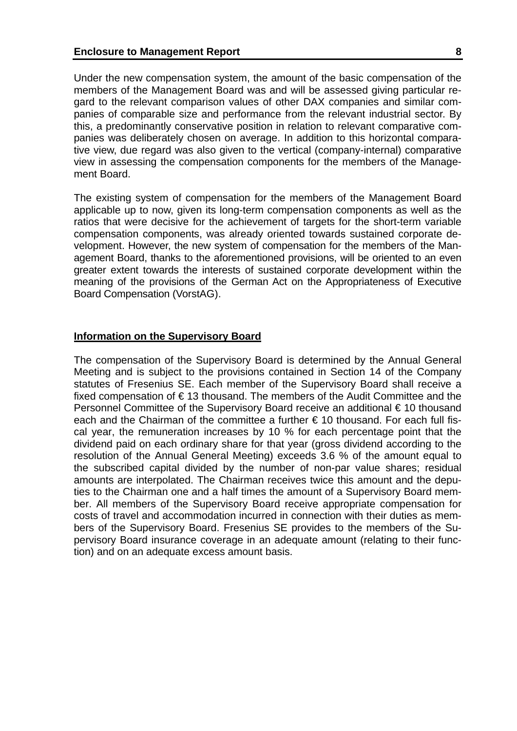Under the new compensation system, the amount of the basic compensation of the members of the Management Board was and will be assessed giving particular regard to the relevant comparison values of other DAX companies and similar companies of comparable size and performance from the relevant industrial sector. By this, a predominantly conservative position in relation to relevant comparative companies was deliberately chosen on average. In addition to this horizontal comparative view, due regard was also given to the vertical (company-internal) comparative view in assessing the compensation components for the members of the Management Board.

The existing system of compensation for the members of the Management Board applicable up to now, given its long-term compensation components as well as the ratios that were decisive for the achievement of targets for the short-term variable compensation components, was already oriented towards sustained corporate development. However, the new system of compensation for the members of the Management Board, thanks to the aforementioned provisions, will be oriented to an even greater extent towards the interests of sustained corporate development within the meaning of the provisions of the German Act on the Appropriateness of Executive Board Compensation (VorstAG).

### **Information on the Supervisory Board**

The compensation of the Supervisory Board is determined by the Annual General Meeting and is subject to the provisions contained in Section 14 of the Company statutes of Fresenius SE. Each member of the Supervisory Board shall receive a fixed compensation of € 13 thousand. The members of the Audit Committee and the Personnel Committee of the Supervisory Board receive an additional € 10 thousand each and the Chairman of the committee a further  $\epsilon$  10 thousand. For each full fiscal year, the remuneration increases by 10 % for each percentage point that the dividend paid on each ordinary share for that year (gross dividend according to the resolution of the Annual General Meeting) exceeds 3.6 % of the amount equal to the subscribed capital divided by the number of non-par value shares; residual amounts are interpolated. The Chairman receives twice this amount and the deputies to the Chairman one and a half times the amount of a Supervisory Board member. All members of the Supervisory Board receive appropriate compensation for costs of travel and accommodation incurred in connection with their duties as members of the Supervisory Board. Fresenius SE provides to the members of the Supervisory Board insurance coverage in an adequate amount (relating to their function) and on an adequate excess amount basis.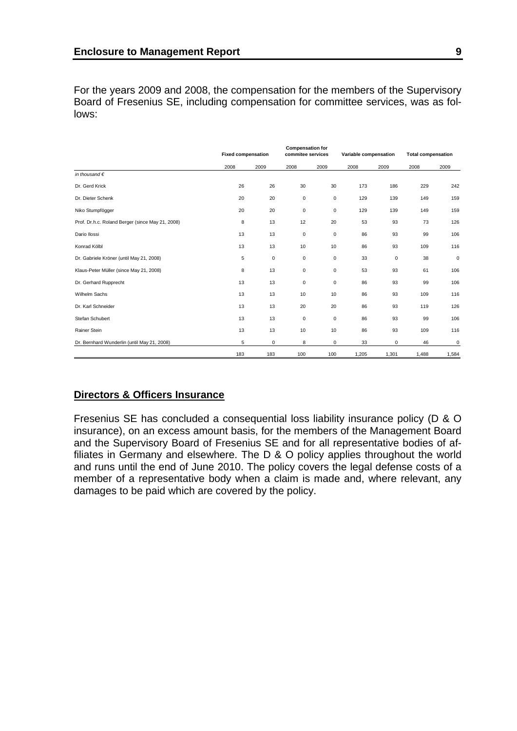For the years 2009 and 2008, the compensation for the members of the Supervisory Board of Fresenius SE, including compensation for committee services, was as follows:

|                                                  |      | <b>Fixed compensation</b> |             | <b>Compensation for</b><br>commitee services |       | Variable compensation |       | <b>Total compensation</b> |  |
|--------------------------------------------------|------|---------------------------|-------------|----------------------------------------------|-------|-----------------------|-------|---------------------------|--|
|                                                  | 2008 | 2009                      | 2008        | 2009                                         | 2008  | 2009                  | 2008  | 2009                      |  |
| in thousand $\epsilon$                           |      |                           |             |                                              |       |                       |       |                           |  |
| Dr. Gerd Krick                                   | 26   | 26                        | 30          | 30                                           | 173   | 186                   | 229   | 242                       |  |
| Dr. Dieter Schenk                                | 20   | 20                        | $\mathbf 0$ | $\mathsf 0$                                  | 129   | 139                   | 149   | 159                       |  |
| Niko Stumpfögger                                 | 20   | 20                        | 0           | $\mathsf 0$                                  | 129   | 139                   | 149   | 159                       |  |
| Prof. Dr.h.c. Roland Berger (since May 21, 2008) | 8    | 13                        | 12          | 20                                           | 53    | 93                    | 73    | 126                       |  |
| Dario Ilossi                                     | 13   | 13                        | $\mathbf 0$ | $\mathsf 0$                                  | 86    | 93                    | 99    | 106                       |  |
| Konrad Kölbl                                     | 13   | 13                        | 10          | 10                                           | 86    | 93                    | 109   | 116                       |  |
| Dr. Gabriele Kröner (until May 21, 2008)         | 5    | $\mathbf 0$               | $\mathbf 0$ | $\mathsf 0$                                  | 33    | $\mathbf 0$           | 38    | $\mathsf 0$               |  |
| Klaus-Peter Müller (since May 21, 2008)          | 8    | 13                        | 0           | $\mathbf 0$                                  | 53    | 93                    | 61    | 106                       |  |
| Dr. Gerhard Rupprecht                            | 13   | 13                        | $\mathbf 0$ | $\mathbf 0$                                  | 86    | 93                    | 99    | 106                       |  |
| Wilhelm Sachs                                    | 13   | 13                        | 10          | 10                                           | 86    | 93                    | 109   | 116                       |  |
| Dr. Karl Schneider                               | 13   | 13                        | 20          | 20                                           | 86    | 93                    | 119   | 126                       |  |
| Stefan Schubert                                  | 13   | 13                        | $\mathbf 0$ | $\mathsf 0$                                  | 86    | 93                    | 99    | 106                       |  |
| Rainer Stein                                     | 13   | 13                        | 10          | 10                                           | 86    | 93                    | 109   | 116                       |  |
| Dr. Bernhard Wunderlin (until May 21, 2008)      | 5    | 0                         | 8           | 0                                            | 33    | $\mathbf 0$           | 46    | 0                         |  |
|                                                  | 183  | 183                       | 100         | 100                                          | 1,205 | 1,301                 | 1,488 | 1,584                     |  |

# **Directors & Officers Insurance**

Fresenius SE has concluded a consequential loss liability insurance policy (D & O insurance), on an excess amount basis, for the members of the Management Board and the Supervisory Board of Fresenius SE and for all representative bodies of affiliates in Germany and elsewhere. The D & O policy applies throughout the world and runs until the end of June 2010. The policy covers the legal defense costs of a member of a representative body when a claim is made and, where relevant, any damages to be paid which are covered by the policy.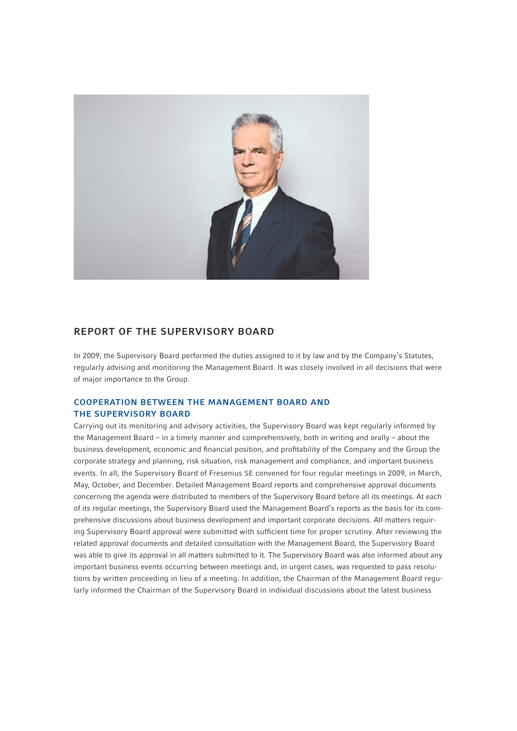

## REPORT OF THE SUPERVISORY BOARD

In 2009, the Supervisory Board performed the duties assigned to it by law and by the Company's Statutes, regularly advising and monitoring the Management Board. It was closely involved in all decisions that were of major importance to the Group.

### COOPERATION BETWEEN THE MANAGEMENT BOARD AND THE SUPERVISORY BOARD

Carrying out its monitoring and advisory activities, the Supervisory Board was kept regularly informed by the Management Board – in a timely manner and comprehensively, both in writing and orally – about the business development, economic and financial position, and profitability of the Company and the Group the corporate strategy and planning, risk situation, risk management and compliance, and important business events. In all, the Supervisory Board of Fresenius SE convened for four regular meetings in 2009, in March, May, October, and December. Detailed Management Board reports and comprehensive approval documents concerning the agenda were distributed to members of the Supervisory Board before all its meetings. At each of its regular meetings, the Supervisory Board used the Management Board's reports as the basis for its comprehensive discussions about business development and important corporate decisions. All matters requiring Supervisory Board approval were submitted with sufficient time for proper scrutiny. After reviewing the related approval documents and detailed consultation with the Management Board, the Supervisory Board was able to give its approval in all matters submitted to it. The Supervisory Board was also informed about any important business events occurring between meetings and, in urgent cases, was requested to pass resolutions by written proceeding in lieu of a meeting. In addition, the Chairman of the Management Board regularly informed the Chairman of the Supervisory Board in individual discussions about the latest business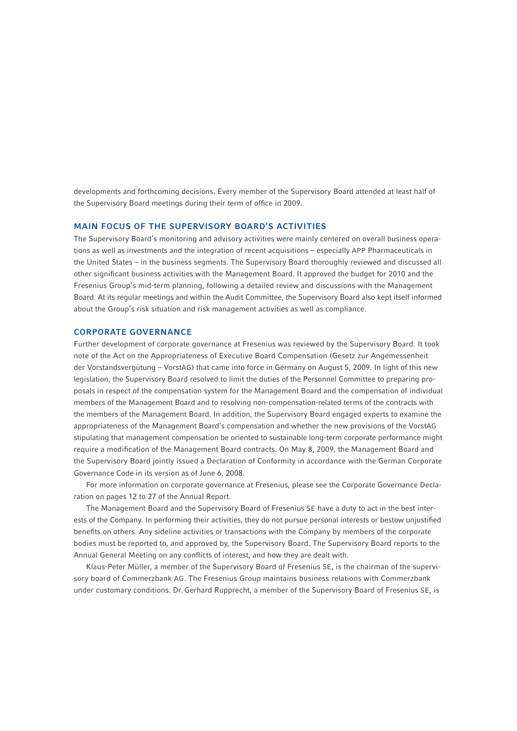developments and forthcoming decisions. Every member of the Supervisory Board attended at least half of the Supervisory Board meetings during their term of office in 2009.

#### MAIN FOCUS OF THE SUPERVISORY BOARD'S ACTIVITIES

The Supervisory Board's monitoring and advisory activities were mainly centered on overall business operations as well as investments and the integration of recent acquisitions – especially APP Pharmaceuticals in the United States – in the business segments. The Supervisory Board thoroughly reviewed and discussed all other significant business activities with the Management Board. It approved the budget for 2010 and the Fresenius Group's mid-term planning, following a detailed review and discussions with the Management Board. At its regular meetings and within the Audit Committee, the Supervisory Board also kept itself informed about the Group's risk situation and risk management activities as well as compliance.

#### CORPORATE GOVERNANCE

Further development of corporate governance at Fresenius was reviewed by the Supervisory Board. It took note of the Act on the Appropriateness of Executive Board Compensation (Gesetz zur Angemessenheit der Vorstandsvergütung – VorstAG) that came into force in Germany on August 5, 2009. In light of this new legislation, the Supervisory Board resolved to limit the duties of the Personnel Committee to preparing proposals in respect of the compensation system for the Management Board and the compensation of individual members of the Management Board and to resolving non-compensation-related terms of the contracts with the members of the Management Board. In addition, the Supervisory Board engaged experts to examine the appropriateness of the Management Board's compensation and whether the new provisions of the VorstAG stipulating that management compensation be oriented to sustainable long-term corporate performance might require a modification of the Management Board contracts. On May 8, 2009, the Management Board and the Supervisory Board jointly issued a Declaration of Conformity in accordance with the German Corporate Governance Code in its version as of June 6, 2008.

For more information on corporate governance at Fresenius, please see the Corporate Governance Declaration on pages 12 to 27 of the Annual Report.

The Management Board and the Supervisory Board of Fresenius SE have a duty to act in the best interests of the Company. In performing their activities, they do not pursue personal interests or bestow unjustified benefits on others. Any sideline activities or transactions with the Company by members of the corporate bodies must be reported to, and approved by, the Supervisory Board. The Supervisory Board reports to the Annual General Meeting on any conflicts of interest, and how they are dealt with.

Klaus-Peter Müller, a member of the Supervisory Board of Fresenius SE, is the chairman of the supervisory board of Commerzbank AG. The Fresenius Group maintains business relations with Commerzbank under customary conditions. Dr. Gerhard Rupprecht, a member of the Supervisory Board of Fresenius SE, is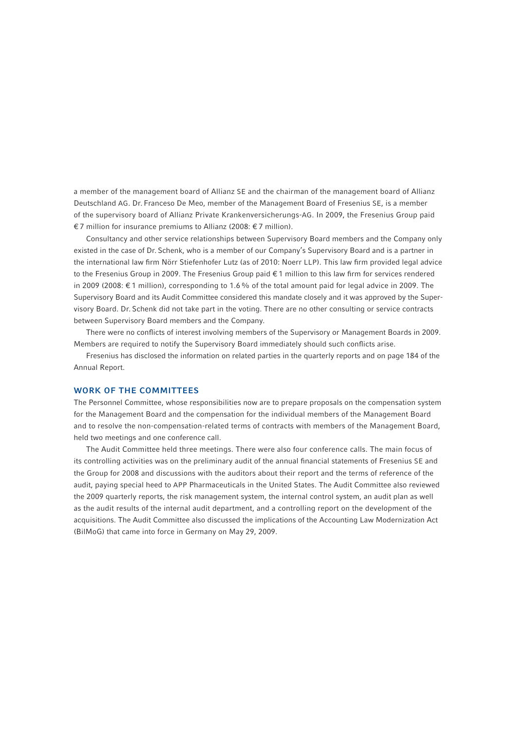a member of the management board of Allianz SE and the chairman of the management board of Allianz Deutschland AG. Dr. Franceso De Meo, member of the Management Board of Fresenius SE, is a member of the supervisory board of Allianz Private Krankenversicherungs-AG. In 2009, the Fresenius Group paid € 7 million for insurance premiums to Allianz (2008: € 7 million).

Consultancy and other service relationships between Supervisory Board members and the Company only existed in the case of Dr. Schenk, who is a member of our Company's Supervisory Board and is a partner in the international law firm Nörr Stiefenhofer Lutz (as of 2010: Noerr LLP). This law firm provided legal advice to the Fresenius Group in 2009. The Fresenius Group paid € 1 million to this law firm for services rendered in 2009 (2008: € 1 million), corresponding to 1.6 % of the total amount paid for legal advice in 2009. The Supervisory Board and its Audit Committee considered this mandate closely and it was approved by the Supervisory Board. Dr. Schenk did not take part in the voting. There are no other consulting or service contracts between Supervisory Board members and the Company.

There were no conflicts of interest involving members of the Supervisory or Management Boards in 2009. Members are required to notify the Supervisory Board immediately should such conflicts arise.

Fresenius has disclosed the information on related parties in the quarterly reports and on page 184 of the Annual Report.

### WORK OF THE COMMITTEES

The Personnel Committee, whose responsibilities now are to prepare proposals on the compensation system for the Management Board and the compensation for the individual members of the Management Board and to resolve the non-compensation-related terms of contracts with members of the Management Board, held two meetings and one conference call.

The Audit Committee held three meetings. There were also four conference calls. The main focus of its controlling activities was on the preliminary audit of the annual financial statements of Fresenius SE and the Group for 2008 and discussions with the auditors about their report and the terms of reference of the audit, paying special heed to APP Pharmaceuticals in the United States. The Audit Committee also reviewed the 2009 quarterly reports, the risk management system, the internal control system, an audit plan as well as the audit results of the internal audit department, and a controlling report on the development of the acquisitions. The Audit Committee also discussed the implications of the Accounting Law Modernization Act (BilMoG) that came into force in Germany on May 29, 2009.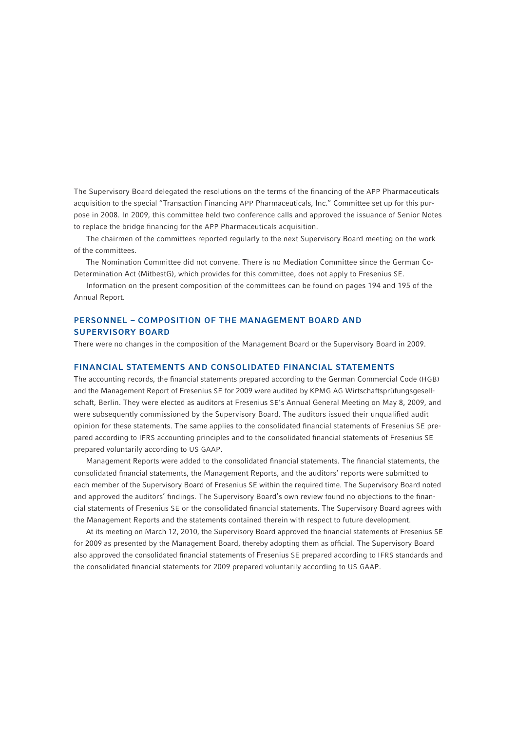The Supervisory Board delegated the resolutions on the terms of the financing of the APP Pharmaceuticals acquisition to the special "Transaction Financing APP Pharmaceuticals, Inc." Committee set up for this purpose in 2008. In 2009, this committee held two conference calls and approved the issuance of Senior Notes to replace the bridge financing for the APP Pharmaceuticals acquisition.

The chairmen of the committees reported regularly to the next Supervisory Board meeting on the work of the committees.

The Nomination Committee did not convene. There is no Mediation Committee since the German Co-Determination Act (MitbestG), which provides for this committee, does not apply to Fresenius SE.

Information on the present composition of the committees can be found on pages 194 and 195 of the Annual Report.

## PERSONNEL – COMPOSITION OF THE MANAGEMENT BOARD AND SUPERVISORY BOARD

There were no changes in the composition of the Management Board or the Supervisory Board in 2009.

### FINANCIAL STATEMENTS AND CONSOLIDATED FINANCIAL STATEMENTS

The accounting records, the financial statements prepared according to the German Commercial Code (HGB) and the Management Report of Fresenius SE for 2009 were audited by KPMG AG Wirtschaftsprüfungsgesellschaft, Berlin. They were elected as auditors at Fresenius SE's Annual General Meeting on May 8, 2009, and were subsequently commissioned by the Supervisory Board. The auditors issued their unqualified audit opinion for these statements. The same applies to the consolidated financial statements of Fresenius SE prepared according to IFRS accounting principles and to the consolidated financial statements of Fresenius SE prepared voluntarily according to US GAAP.

Management Reports were added to the consolidated financial statements. The financial statements, the consolidated financial statements, the Management Reports, and the auditors' reports were submitted to each member of the Supervisory Board of Fresenius SE within the required time. The Supervisory Board noted and approved the auditors' findings. The Supervisory Board's own review found no objections to the financial statements of Fresenius SE or the consolidated financial statements. The Supervisory Board agrees with the Management Reports and the statements contained therein with respect to future development.

At its meeting on March 12, 2010, the Supervisory Board approved the financial statements of Fresenius SE for 2009 as presented by the Management Board, thereby adopting them as official. The Supervisory Board also approved the consolidated financial statements of Fresenius SE prepared according to IFRS standards and the consolidated financial statements for 2009 prepared voluntarily according to US GAAP.